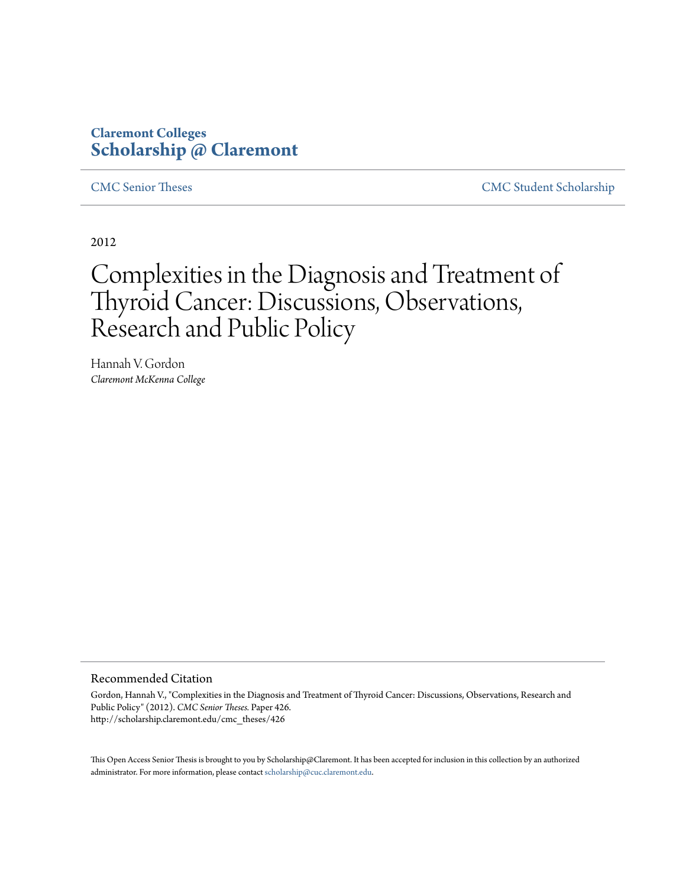## **Claremont Colleges [Scholarship @ Claremont](http://scholarship.claremont.edu)**

[CMC Senior Theses](http://scholarship.claremont.edu/cmc_theses) [CMC Student Scholarship](http://scholarship.claremont.edu/cmc_student)

2012

# Complexities in the Diagnosis and Treatment of Thyroid Cancer: Discussions, Observations, Research and Public Policy

Hannah V. Gordon *Claremont McKenna College*

#### Recommended Citation

Gordon, Hannah V., "Complexities in the Diagnosis and Treatment of Thyroid Cancer: Discussions, Observations, Research and Public Policy" (2012). *CMC Senior Theses.* Paper 426. http://scholarship.claremont.edu/cmc\_theses/426

This Open Access Senior Thesis is brought to you by Scholarship@Claremont. It has been accepted for inclusion in this collection by an authorized administrator. For more information, please contact [scholarship@cuc.claremont.edu.](mailto:scholarship@cuc.claremont.edu)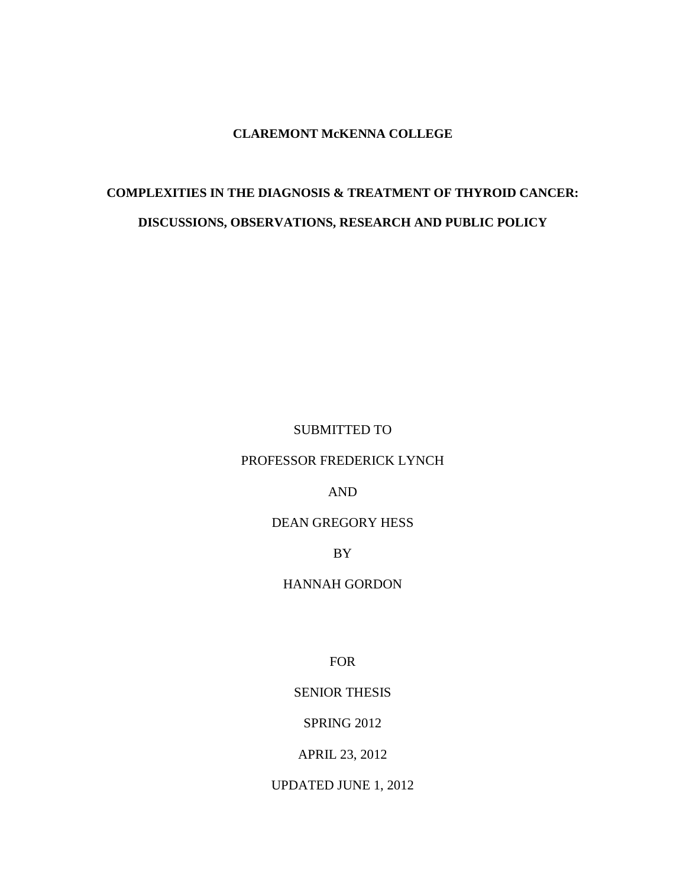#### **CLAREMONT McKENNA COLLEGE**

# **COMPLEXITIES IN THE DIAGNOSIS & TREATMENT OF THYROID CANCER: DISCUSSIONS, OBSERVATIONS, RESEARCH AND PUBLIC POLICY**

#### SUBMITTED TO

#### PROFESSOR FREDERICK LYNCH

#### AND

#### DEAN GREGORY HESS

BY

#### HANNAH GORDON

FOR

#### SENIOR THESIS

#### SPRING 2012

#### APRIL 23, 2012

#### UPDATED JUNE 1, 2012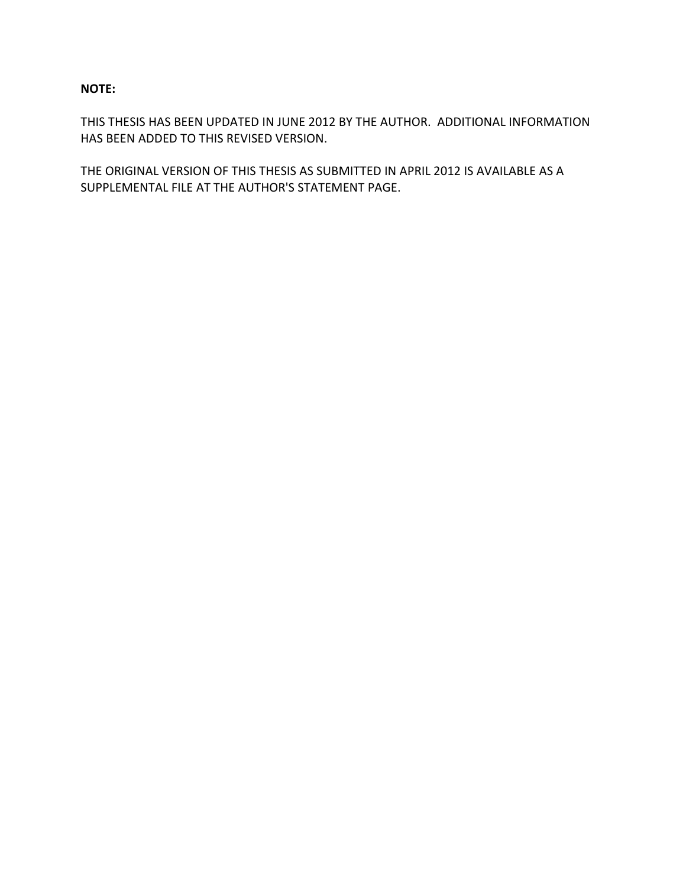#### **NOTE:**

THIS THESIS HAS BEEN UPDATED IN JUNE 2012 BY THE AUTHOR. ADDITIONAL INFORMATION HAS BEEN ADDED TO THIS REVISED VERSION.

THE ORIGINAL VERSION OF THIS THESIS AS SUBMITTED IN APRIL 2012 IS AVAILABLE AS A SUPPLEMENTAL FILE AT THE AUTHOR'S STATEMENT PAGE.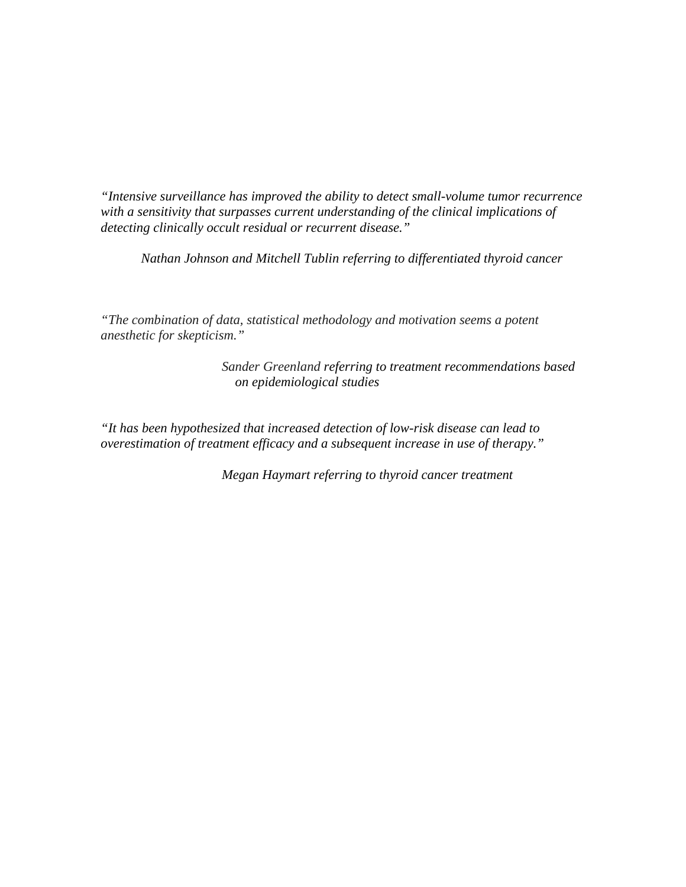*"Intensive surveillance has improved the ability to detect small-volume tumor recurrence with a sensitivity that surpasses current understanding of the clinical implications of detecting clinically occult residual or recurrent disease."*

*Nathan Johnson and Mitchell Tublin referring to differentiated thyroid cancer*

*"The combination of data, statistical methodology and motivation seems a potent anesthetic for skepticism."*

> *Sander Greenland referring to treatment recommendations based on epidemiological studies*

*"It has been hypothesized that increased detection of low-risk disease can lead to overestimation of treatment efficacy and a subsequent increase in use of therapy."*

*Megan Haymart referring to thyroid cancer treatment*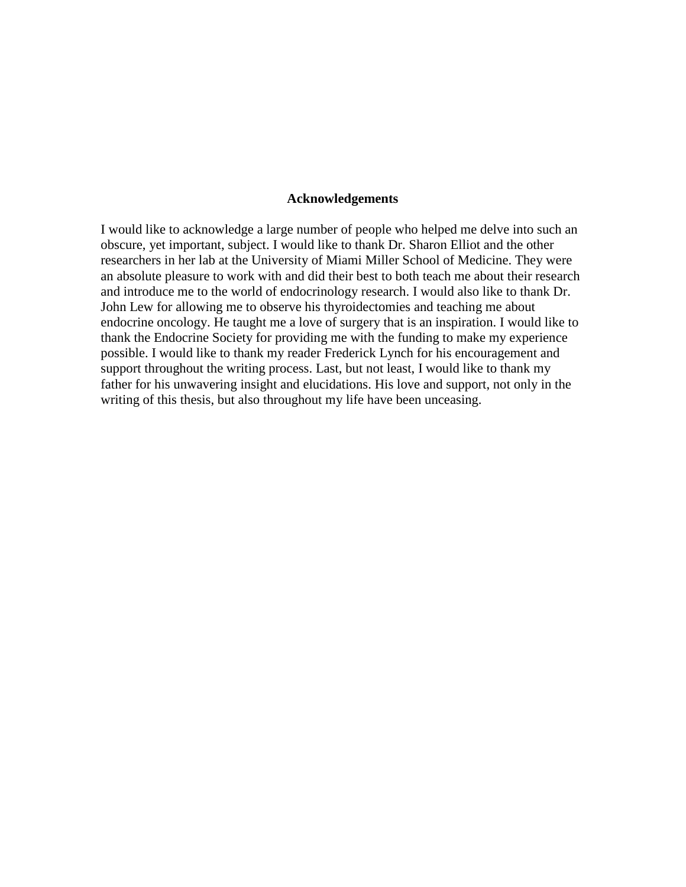#### **Acknowledgements**

I would like to acknowledge a large number of people who helped me delve into such an obscure, yet important, subject. I would like to thank Dr. Sharon Elliot and the other researchers in her lab at the University of Miami Miller School of Medicine. They were an absolute pleasure to work with and did their best to both teach me about their research and introduce me to the world of endocrinology research. I would also like to thank Dr. John Lew for allowing me to observe his thyroidectomies and teaching me about endocrine oncology. He taught me a love of surgery that is an inspiration. I would like to thank the Endocrine Society for providing me with the funding to make my experience possible. I would like to thank my reader Frederick Lynch for his encouragement and support throughout the writing process. Last, but not least, I would like to thank my father for his unwavering insight and elucidations. His love and support, not only in the writing of this thesis, but also throughout my life have been unceasing.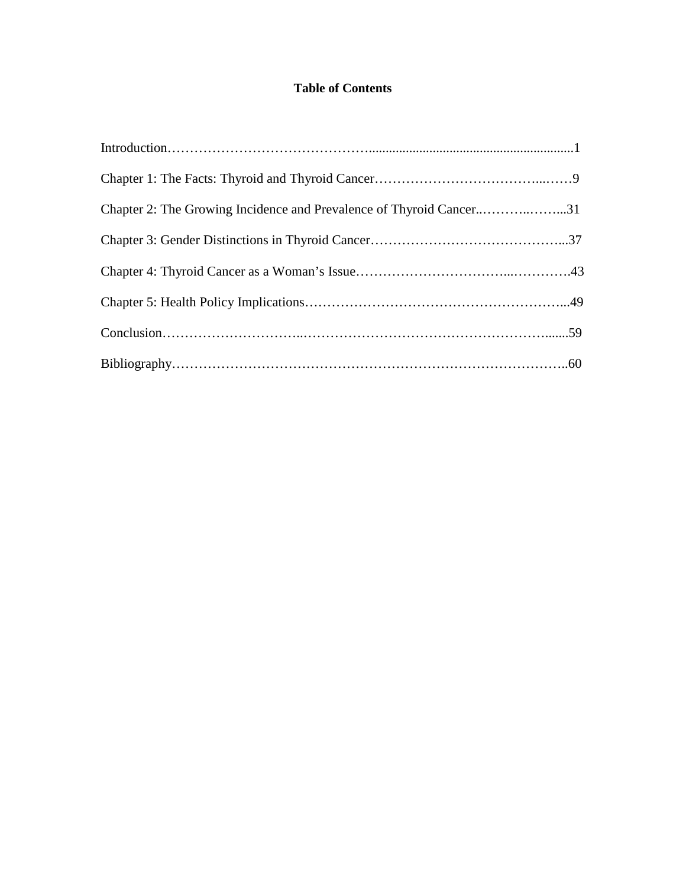### **Table of Contents**

| Chapter 2: The Growing Incidence and Prevalence of Thyroid Cancer31 |  |
|---------------------------------------------------------------------|--|
|                                                                     |  |
|                                                                     |  |
|                                                                     |  |
|                                                                     |  |
|                                                                     |  |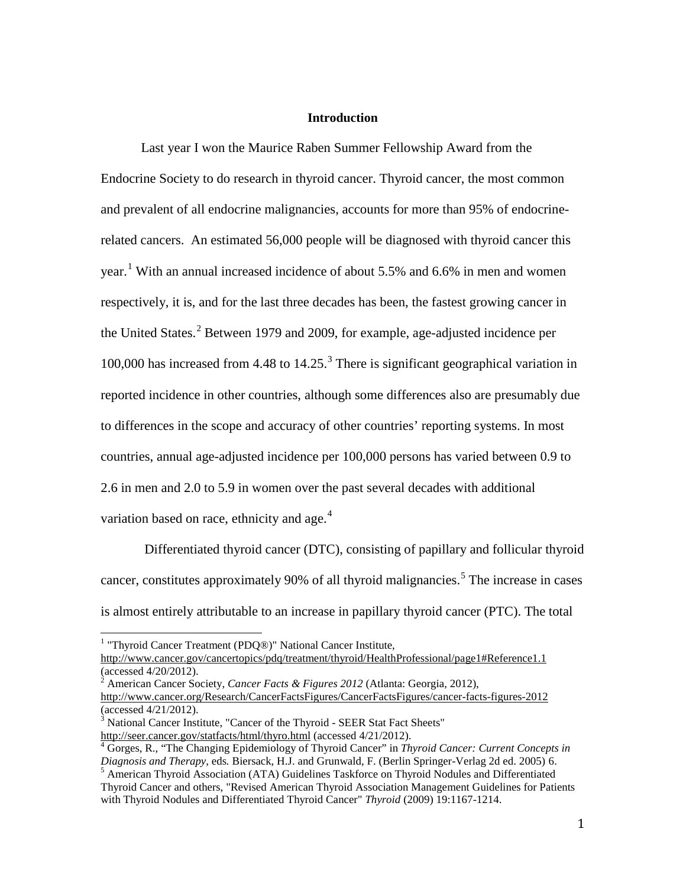#### **Introduction**

Last year I won the Maurice Raben Summer Fellowship Award from the Endocrine Society to do research in thyroid cancer. Thyroid cancer, the most common and prevalent of all endocrine malignancies, accounts for more than 95% of endocrinerelated cancers. An estimated 56,000 people will be diagnosed with thyroid cancer this year.<sup>[1](#page-7-0)</sup> With an annual increased incidence of about 5.5% and 6.6% in men and women respectively, it is, and for the last three decades has been, the fastest growing cancer in the United States.<sup>[2](#page-7-1)</sup> Between 1979 and 2009, for example, age-adjusted incidence per 100,000 has increased from 4.48 to  $14.25<sup>3</sup>$  $14.25<sup>3</sup>$  $14.25<sup>3</sup>$ . There is significant geographical variation in reported incidence in other countries, although some differences also are presumably due to differences in the scope and accuracy of other countries' reporting systems. In most countries, annual age-adjusted incidence per 100,000 persons has varied between 0.9 to 2.6 in men and 2.0 to 5.9 in women over the past several decades with additional variation based on race, ethnicity and age.<sup>[4](#page-7-3)</sup>

Differentiated thyroid cancer (DTC), consisting of papillary and follicular thyroid cancer, constitutes approximately 90% of all thyroid malignancies.<sup>[5](#page-7-4)</sup> The increase in cases is almost entirely attributable to an increase in papillary thyroid cancer (PTC). The total

<span id="page-7-0"></span><sup>&</sup>lt;sup>1</sup> "Thyroid Cancer Treatment (PDQ®)" National Cancer Institute,

<http://www.cancer.gov/cancertopics/pdq/treatment/thyroid/HealthProfessional/page1#Reference1.1> (accessed 4/20/2012).<br><sup>2</sup> American Cancer Society, *Cancer Facts & Figures 2012* (Atlanta: Georgia, 2012),

<span id="page-7-1"></span><http://www.cancer.org/Research/CancerFactsFigures/CancerFactsFigures/cancer-facts-figures-2012> (accessed 4/21/2012).

<span id="page-7-2"></span><sup>&</sup>lt;sup>3</sup> National Cancer Institute, "Cancer of the Thyroid - SEER Stat Fact Sheets"

<span id="page-7-4"></span><span id="page-7-3"></span><http://seer.cancer.gov/statfacts/html/thyro.html> (accessed 4/21/2012). <sup>4</sup> Gorges, R., "The Changing Epidemiology of Thyroid Cancer" in *Thyroid Cancer: Current Concepts in Diagnosis and Therapy,* eds*.* Biersack, H.J. and Grunwald, F. (Berlin Springer-Verlag 2d ed. 2005) 6. <sup>5</sup> American Thyroid Association (ATA) Guidelines Taskforce on Thyroid Nodules and Differentiated Thyroid Cancer and others, "Revised American Thyroid Association Management Guidelines for Patients with Thyroid Nodules and Differentiated Thyroid Cancer" *Thyroid* (2009) 19:1167-1214.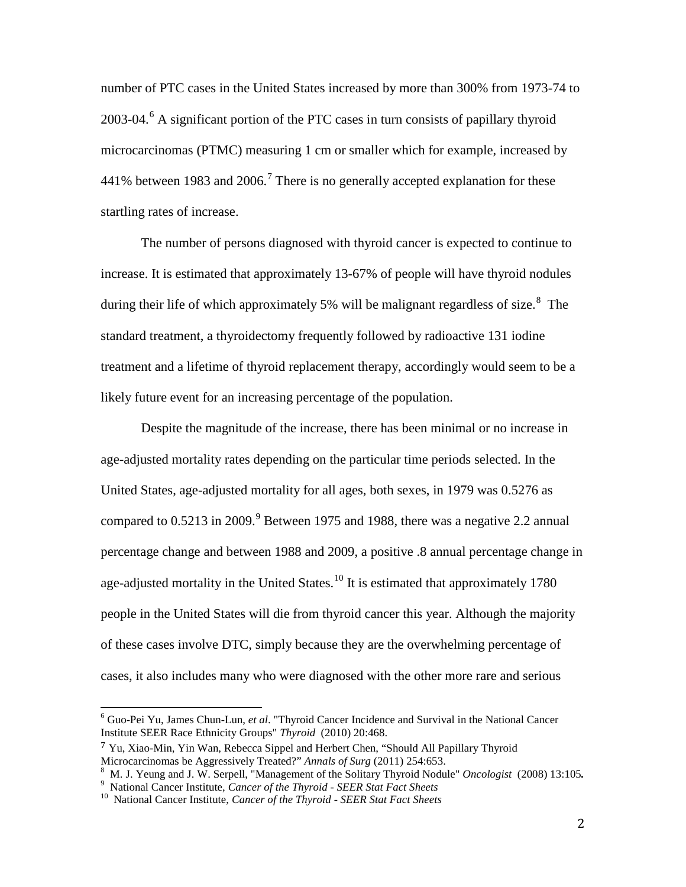number of PTC cases in the United States increased by more than 300% from 1973-74 to 2003-04.<sup>[6](#page-8-0)</sup> A significant portion of the PTC cases in turn consists of papillary thyroid microcarcinomas (PTMC) measuring 1 cm or smaller which for example, increased by 441% between 1983 and 2006.<sup>[7](#page-8-1)</sup> There is no generally accepted explanation for these startling rates of increase.

The number of persons diagnosed with thyroid cancer is expected to continue to increase. It is estimated that approximately 13-67% of people will have thyroid nodules during their life of which approximately 5% will be malignant regardless of size.<sup>[8](#page-8-2)</sup> The standard treatment, a thyroidectomy frequently followed by radioactive 131 iodine treatment and a lifetime of thyroid replacement therapy, accordingly would seem to be a likely future event for an increasing percentage of the population.

Despite the magnitude of the increase, there has been minimal or no increase in age-adjusted mortality rates depending on the particular time periods selected. In the United States, age-adjusted mortality for all ages, both sexes, in 1979 was 0.5276 as compared to  $0.5213$  in  $2009$  $2009$ .<sup>9</sup> Between 1975 and 1988, there was a negative 2.2 annual percentage change and between 1988 and 2009, a positive .8 annual percentage change in age-adjusted mortality in the United States.<sup>[10](#page-8-4)</sup> It is estimated that approximately 1780 people in the United States will die from thyroid cancer this year. Although the majority of these cases involve DTC, simply because they are the overwhelming percentage of cases, it also includes many who were diagnosed with the other more rare and serious

<span id="page-8-0"></span><sup>6</sup> Guo-Pei Yu, James Chun-Lun, *et al*. "Thyroid Cancer Incidence and Survival in the National Cancer Institute SEER Race Ethnicity Groups" *Thyroid* (2010) 20:468.

<span id="page-8-1"></span><sup>&</sup>lt;sup>7</sup> Yu, Xiao-Min, Yin Wan, Rebecca Sippel and Herbert Chen, "Should All Papillary Thyroid Microcarcinomas be Aggressively Treated?" Annals of Surg (2011) 254:653.

<span id="page-8-3"></span><span id="page-8-2"></span><sup>&</sup>lt;sup>8</sup> M. J. Yeung and J. W. Serpell, "Management of the Solitary Thyroid Nodule" Oncologist (2008) 13:105.<br><sup>9</sup> National Cancer Institute, *Cancer of the Thyroid - SEER Stat Fact Sheets*<br><sup>10</sup> National Cancer Institute, *Canc* 

<span id="page-8-4"></span>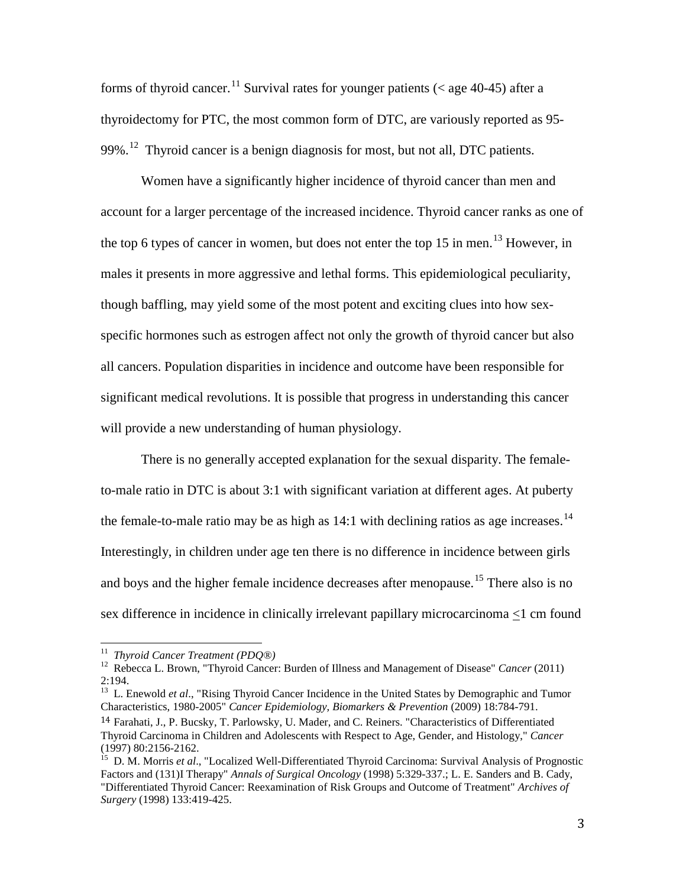forms of thyroid cancer.<sup>[11](#page-9-0)</sup> Survival rates for younger patients ( $\lt$  age 40-45) after a thyroidectomy for PTC, the most common form of DTC, are variously reported as 95- 99%.<sup>12</sup> Thyroid cancer is a benign diagnosis for most, but not all, DTC patients.

Women have a significantly higher incidence of thyroid cancer than men and account for a larger percentage of the increased incidence. Thyroid cancer ranks as one of the top 6 types of cancer in women, but does not enter the top 15 in men.<sup>[13](#page-9-2)</sup> However, in males it presents in more aggressive and lethal forms. This epidemiological peculiarity, though baffling, may yield some of the most potent and exciting clues into how sexspecific hormones such as estrogen affect not only the growth of thyroid cancer but also all cancers. Population disparities in incidence and outcome have been responsible for significant medical revolutions. It is possible that progress in understanding this cancer will provide a new understanding of human physiology.

There is no generally accepted explanation for the sexual disparity. The femaleto-male ratio in DTC is about 3:1 with significant variation at different ages. At puberty the female-to-male ratio may be as high as  $14:1$  $14:1$  with declining ratios as age increases.<sup>14</sup> Interestingly, in children under age ten there is no difference in incidence between girls and boys and the higher female incidence decreases after menopause.<sup>[15](#page-9-4)</sup> There also is no sex difference in incidence in clinically irrelevant papillary microcarcinoma <1 cm found

<span id="page-9-1"></span><span id="page-9-0"></span><sup>&</sup>lt;sup>11</sup> *Thyroid Cancer Treatment (PDQ®)*<br><sup>12</sup> Rebecca L. Brown, "Thyroid Cancer: Burden of Illness and Management of Disease" *Cancer* (2011) 2:194.

<span id="page-9-2"></span><sup>&</sup>lt;sup>13</sup> L. Enewold *et al.*, "Rising Thyroid Cancer Incidence in the United States by Demographic and Tumor Characteristics, 1980-2005" *Cancer Epidemiology, Biomarkers & Prevention* (2009) 18:784-791.

<span id="page-9-3"></span><sup>14</sup> Farahati, J., P. Bucsky, T. Parlowsky, U. Mader, and C. Reiners. "Characteristics of Differentiated Thyroid Carcinoma in Children and Adolescents with Respect to Age, Gender, and Histology," *Cancer*

<span id="page-9-4"></span><sup>&</sup>lt;sup>15</sup> D. M. Morris *et al.*, "Localized Well-Differentiated Thyroid Carcinoma: Survival Analysis of Prognostic Factors and (131)I Therapy" *Annals of Surgical Oncology* (1998) 5:329-337.; L. E. Sanders and B. Cady, "Differentiated Thyroid Cancer: Reexamination of Risk Groups and Outcome of Treatment" *Archives of Surgery* (1998) 133:419-425.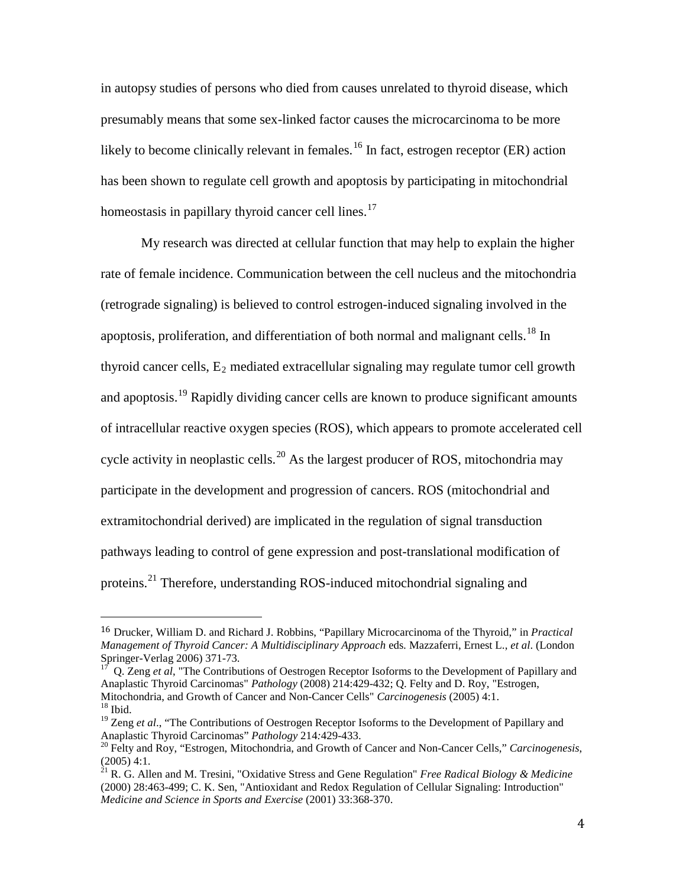in autopsy studies of persons who died from causes unrelated to thyroid disease, which presumably means that some sex-linked factor causes the microcarcinoma to be more likely to become clinically relevant in females.<sup>[16](#page-10-0)</sup> In fact, estrogen receptor (ER) action has been shown to regulate cell growth and apoptosis by participating in mitochondrial homeostasis in papillary thyroid cancer cell lines.<sup>[17](#page-10-1)</sup>

My research was directed at cellular function that may help to explain the higher rate of female incidence. Communication between the cell nucleus and the mitochondria (retrograde signaling) is believed to control estrogen-induced signaling involved in the apoptosis, proliferation, and differentiation of both normal and malignant cells.<sup>[18](#page-10-2)</sup> In thyroid cancer cells,  $E_2$  mediated extracellular signaling may regulate tumor cell growth and apoptosis.<sup>[19](#page-10-3)</sup> Rapidly dividing cancer cells are known to produce significant amounts of intracellular reactive oxygen species (ROS), which appears to promote accelerated cell cycle activity in neoplastic cells.<sup>[20](#page-10-4)</sup> As the largest producer of ROS, mitochondria may participate in the development and progression of cancers. ROS (mitochondrial and extramitochondrial derived) are implicated in the regulation of signal transduction pathways leading to control of gene expression and post-translational modification of proteins.<sup>[21](#page-10-5)</sup> Therefore, understanding ROS-induced mitochondrial signaling and

<span id="page-10-0"></span> <sup>16</sup> Drucker, William D. and Richard J. Robbins, "Papillary Microcarcinoma of the Thyroid," in *Practical Management of Thyroid Cancer: A Multidisciplinary Approach* eds*.* Mazzaferri, Ernest L., *et al*. (London Springer-Verlag 2006) 371-73.<br><sup>17</sup> Q. Zeng *et al*, "The Contributions of Oestrogen Receptor Isoforms to the Development of Papillary and

<span id="page-10-1"></span>Anaplastic Thyroid Carcinomas" *Pathology* (2008) 214:429-432; Q. Felty and D. Roy, "Estrogen, Mitochondria, and Growth of Cancer and Non-Cancer Cells" *Carcinogenesis* (2005) 4:1. <sup>18</sup> Ibid.

<span id="page-10-3"></span><span id="page-10-2"></span><sup>&</sup>lt;sup>19</sup> Zeng *et al.*, "The Contributions of Oestrogen Receptor Isoforms to the Development of Papillary and Anaplastic Thyroid Carcinomas" *Pathology* 214:429-433.<br><sup>20</sup> Felty and Roy, "Estrogen, Mitochondria, and Growth of Cancer and Non-Cancer Cells," *Carcinogenesis*,

<span id="page-10-4"></span><sup>(2005) 4:1.</sup>

<span id="page-10-5"></span><sup>21</sup> R. G. Allen and M. Tresini, "Oxidative Stress and Gene Regulation" *Free Radical Biology & Medicine* (2000) 28:463-499; C. K. Sen, "Antioxidant and Redox Regulation of Cellular Signaling: Introduction" *Medicine and Science in Sports and Exercise* (2001) 33:368-370.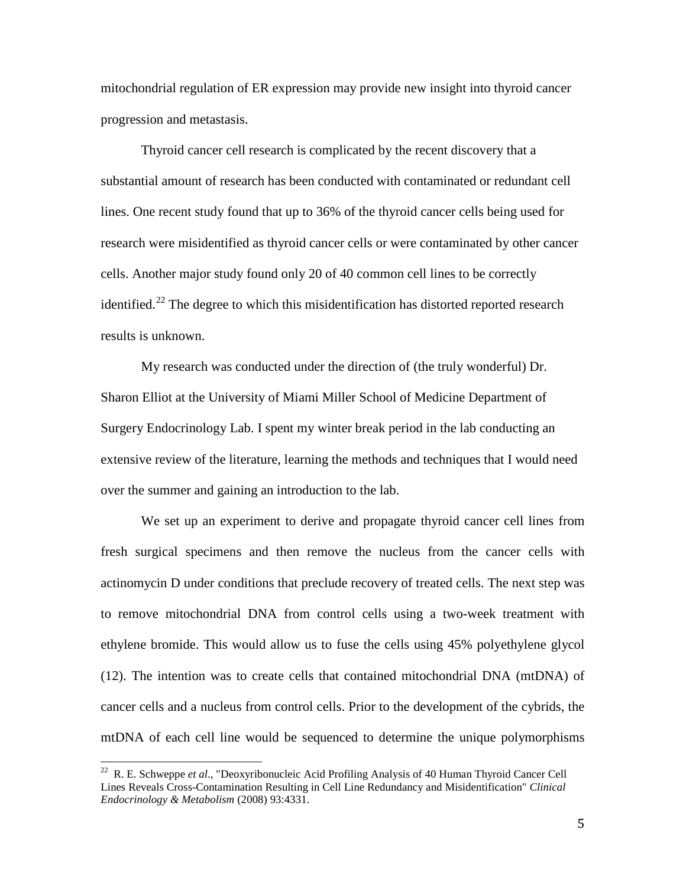mitochondrial regulation of ER expression may provide new insight into thyroid cancer progression and metastasis.

Thyroid cancer cell research is complicated by the recent discovery that a substantial amount of research has been conducted with contaminated or redundant cell lines. One recent study found that up to 36% of the thyroid cancer cells being used for research were misidentified as thyroid cancer cells or were contaminated by other cancer cells. Another major study found only 20 of 40 common cell lines to be correctly identified.<sup>[22](#page-11-0)</sup> The degree to which this misidentification has distorted reported research results is unknown.

My research was conducted under the direction of (the truly wonderful) Dr. Sharon Elliot at the University of Miami Miller School of Medicine Department of Surgery Endocrinology Lab. I spent my winter break period in the lab conducting an extensive review of the literature, learning the methods and techniques that I would need over the summer and gaining an introduction to the lab.

We set up an experiment to derive and propagate thyroid cancer cell lines from fresh surgical specimens and then remove the nucleus from the cancer cells with actinomycin D under conditions that preclude recovery of treated cells. The next step was to remove mitochondrial DNA from control cells using a two-week treatment with ethylene bromide. This would allow us to fuse the cells using 45% polyethylene glycol (12). The intention was to create cells that contained mitochondrial DNA (mtDNA) of cancer cells and a nucleus from control cells. Prior to the development of the cybrids, the mtDNA of each cell line would be sequenced to determine the unique polymorphisms

<span id="page-11-0"></span><sup>22</sup> R. E. Schweppe *et al*., "Deoxyribonucleic Acid Profiling Analysis of 40 Human Thyroid Cancer Cell Lines Reveals Cross-Contamination Resulting in Cell Line Redundancy and Misidentification" *Clinical Endocrinology & Metabolism* (2008) 93:4331.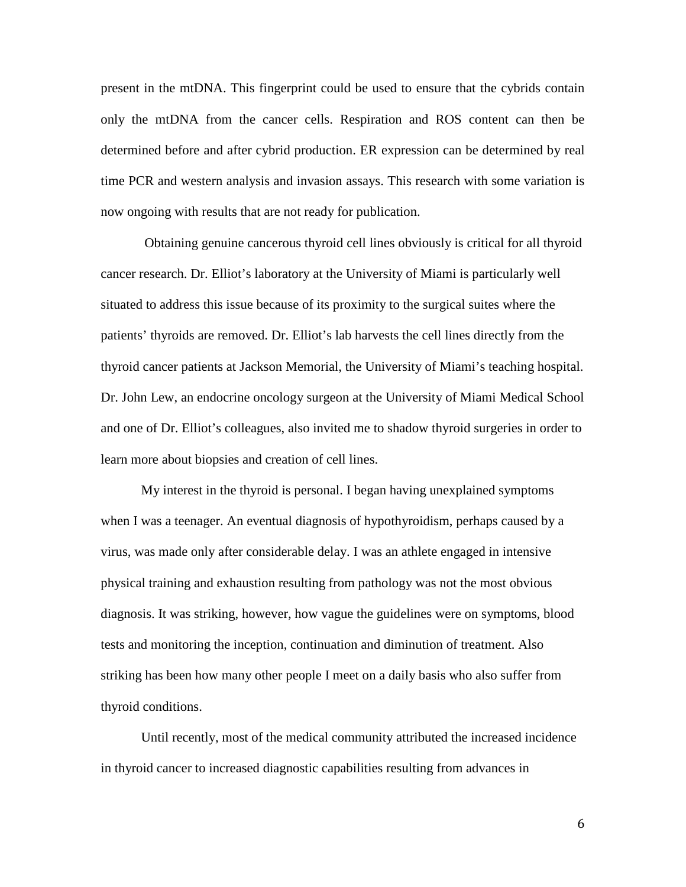present in the mtDNA. This fingerprint could be used to ensure that the cybrids contain only the mtDNA from the cancer cells. Respiration and ROS content can then be determined before and after cybrid production. ER expression can be determined by real time PCR and western analysis and invasion assays. This research with some variation is now ongoing with results that are not ready for publication.

Obtaining genuine cancerous thyroid cell lines obviously is critical for all thyroid cancer research. Dr. Elliot's laboratory at the University of Miami is particularly well situated to address this issue because of its proximity to the surgical suites where the patients' thyroids are removed. Dr. Elliot's lab harvests the cell lines directly from the thyroid cancer patients at Jackson Memorial, the University of Miami's teaching hospital. Dr. John Lew, an endocrine oncology surgeon at the University of Miami Medical School and one of Dr. Elliot's colleagues, also invited me to shadow thyroid surgeries in order to learn more about biopsies and creation of cell lines.

My interest in the thyroid is personal. I began having unexplained symptoms when I was a teenager. An eventual diagnosis of hypothyroidism, perhaps caused by a virus, was made only after considerable delay. I was an athlete engaged in intensive physical training and exhaustion resulting from pathology was not the most obvious diagnosis. It was striking, however, how vague the guidelines were on symptoms, blood tests and monitoring the inception, continuation and diminution of treatment. Also striking has been how many other people I meet on a daily basis who also suffer from thyroid conditions.

Until recently, most of the medical community attributed the increased incidence in thyroid cancer to increased diagnostic capabilities resulting from advances in

6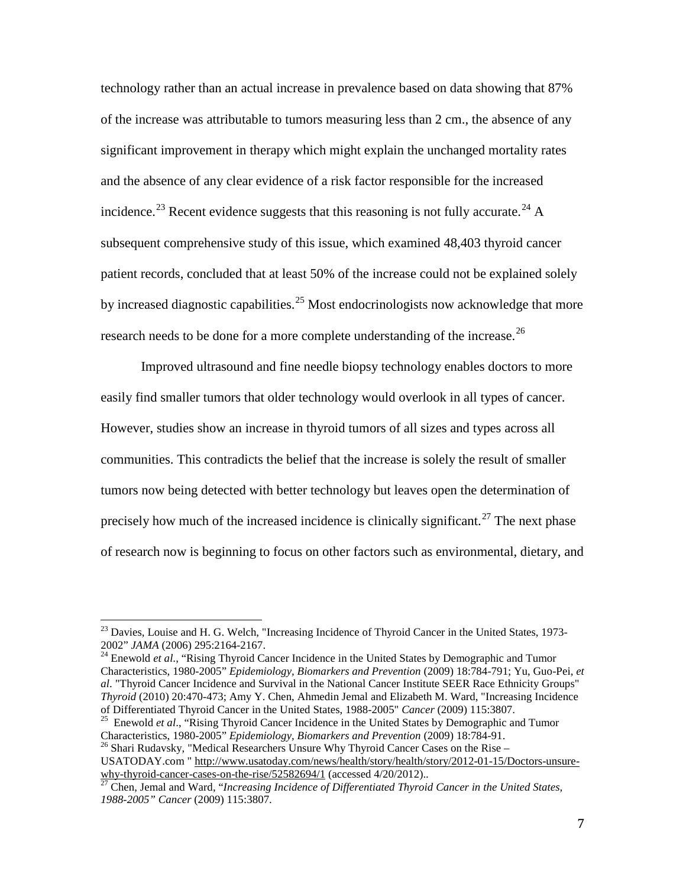technology rather than an actual increase in prevalence based on data showing that 87% of the increase was attributable to tumors measuring less than 2 cm., the absence of any significant improvement in therapy which might explain the unchanged mortality rates and the absence of any clear evidence of a risk factor responsible for the increased incidence.<sup>[23](#page-13-0)</sup> Recent evidence suggests that this reasoning is not fully accurate.<sup>[24](#page-13-1)</sup> A subsequent comprehensive study of this issue, which examined 48,403 thyroid cancer patient records, concluded that at least 50% of the increase could not be explained solely by increased diagnostic capabilities.<sup>[25](#page-13-2)</sup> Most endocrinologists now acknowledge that more research needs to be done for a more complete understanding of the increase.<sup>[26](#page-13-3)</sup>

Improved ultrasound and fine needle biopsy technology enables doctors to more easily find smaller tumors that older technology would overlook in all types of cancer. However, studies show an increase in thyroid tumors of all sizes and types across all communities. This contradicts the belief that the increase is solely the result of smaller tumors now being detected with better technology but leaves open the determination of precisely how much of the increased incidence is clinically significant.<sup>[27](#page-13-4)</sup> The next phase of research now is beginning to focus on other factors such as environmental, dietary, and

<span id="page-13-1"></span>Characteristics, 1980-2005" *Epidemiology, Biomarkers and Prevention* (2009) 18:784-791; Yu, Guo-Pei, *et al*. "Thyroid Cancer Incidence and Survival in the National Cancer Institute SEER Race Ethnicity Groups" *Thyroid* (2010) 20:470-473; Amy Y. Chen, Ahmedin Jemal and Elizabeth M. Ward, "Increasing Incidence of Differentiated Thyroid Cancer in the United States, 1988-2005" Cancer (2009) 115:3807.

<span id="page-13-2"></span><sup>25</sup> Enewold *et al.*, "Rising Thyroid Cancer Incidence in the United States by Demographic and Tumor<br>Characteristics, 1980-2005" *Epidemiology, Biomarkers and Prevention* (2009) 18:784-91.

<span id="page-13-3"></span><sup>26</sup> Shari Rudavsky, "Medical Researchers Unsure Why Thyroid Cancer Cases on the Rise – USATODAY.com " [http://www.usatoday.com/news/health/story/health/story/2012-01-15/Doctors-unsure](http://www.usatoday.com/news/health/story/health/story/2012-01-15/Doctors-unsure-why-thyroid-cancer-cases-on-the-rise/52582694/1)[why-thyroid-cancer-cases-on-the-rise/52582694/1](http://www.usatoday.com/news/health/story/health/story/2012-01-15/Doctors-unsure-why-thyroid-cancer-cases-on-the-rise/52582694/1) (accessed 4/20/2012)..<br><sup>27</sup> Chen, Jemal and Ward, "*Increasing Incidence of Differentiated Thyroid Cancer in the United States*,

<span id="page-13-0"></span><sup>&</sup>lt;sup>23</sup> Davies, Louise and H. G. Welch, "Increasing Incidence of Thyroid Cancer in the United States, 1973-2002" *JAMA* (2006) 295:2164-2167. <sup>24</sup> Enewold *et al*., "Rising Thyroid Cancer Incidence in the United States by Demographic and Tumor

<span id="page-13-4"></span>*<sup>1988-2005&</sup>quot; Cancer* (2009) 115:3807.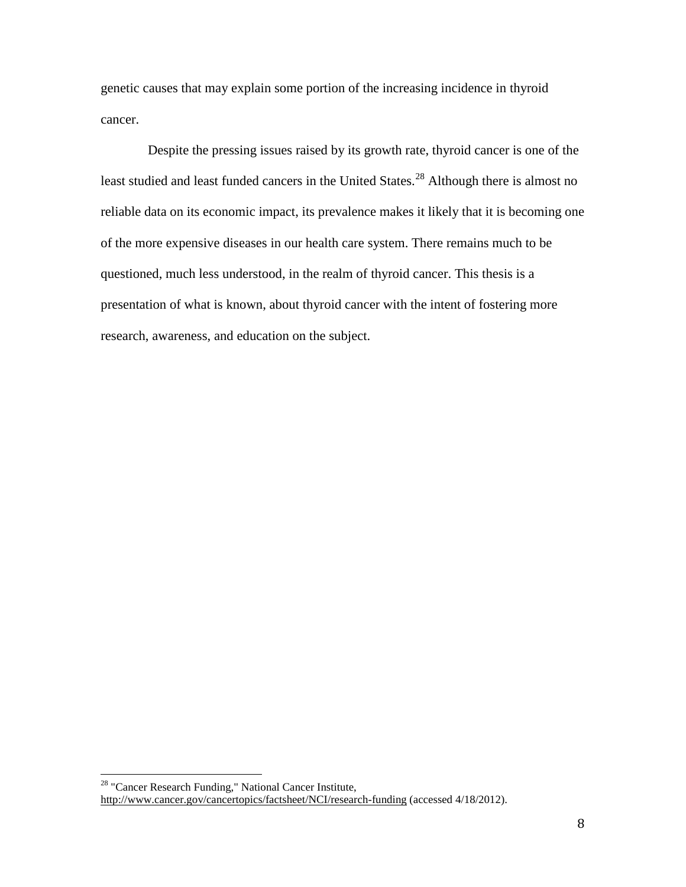genetic causes that may explain some portion of the increasing incidence in thyroid cancer.

 Despite the pressing issues raised by its growth rate, thyroid cancer is one of the least studied and least funded cancers in the United States.<sup>[28](#page-14-0)</sup> Although there is almost no reliable data on its economic impact, its prevalence makes it likely that it is becoming one of the more expensive diseases in our health care system. There remains much to be questioned, much less understood, in the realm of thyroid cancer. This thesis is a presentation of what is known, about thyroid cancer with the intent of fostering more research, awareness, and education on the subject.

<span id="page-14-0"></span><sup>28</sup> "Cancer Research Funding," National Cancer Institute, <http://www.cancer.gov/cancertopics/factsheet/NCI/research-funding> (accessed 4/18/2012).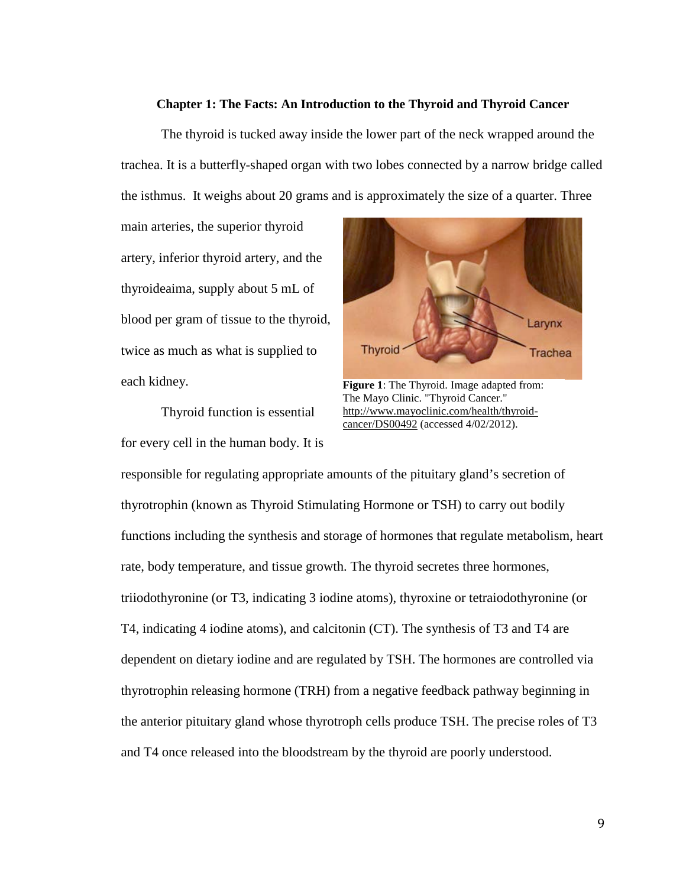#### **Chapter 1: The Facts: An Introduction to the Thyroid and Thyroid Cancer**

The thyroid is tucked away inside the lower part of the neck wrapped around the trachea. It is a butterfly-shaped organ with two lobes connected by a narrow bridge called the isthmus. It weighs about 20 grams and is approximately the size of a quarter. Three

main arteries, the superior thyroid artery, inferior thyroid artery, and the thyroideaima, supply about 5 mL of blood per gram of tissue to the thyroid, twice as much as what is supplied to each kidney.

Thyroid function is essential for every cell in the human body. It is



**Figure 1**: The Thyroid. Image adapted from: The Mayo Clinic. "Thyroid Cancer." [http://www.mayoclinic.com/health/thyroid](http://www.mayoclinic.com/health/thyroid-cancer/DS00492)[cancer/DS00492](http://www.mayoclinic.com/health/thyroid-cancer/DS00492) (accessed 4/02/2012).

responsible for regulating appropriate amounts of the pituitary gland's secretion of thyrotrophin (known as Thyroid Stimulating Hormone or TSH) to carry out bodily functions including the synthesis and storage of hormones that regulate metabolism, heart rate, body temperature, and tissue growth. The thyroid secretes three hormones, triiodothyronine (or T3, indicating 3 iodine atoms), thyroxine or tetraiodothyronine (or T4, indicating 4 iodine atoms), and calcitonin (CT). The synthesis of T3 and T4 are dependent on dietary iodine and are regulated by TSH. The hormones are controlled via thyrotrophin releasing hormone (TRH) from a negative feedback pathway beginning in the anterior pituitary gland whose thyrotroph cells produce TSH. The precise roles of T3 and T4 once released into the bloodstream by the thyroid are poorly understood.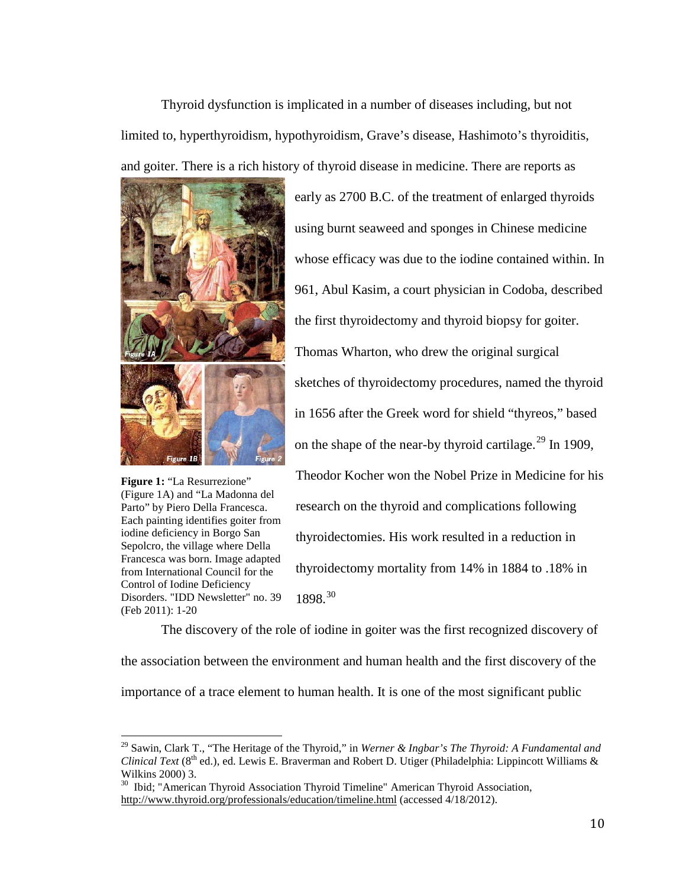Thyroid dysfunction is implicated in a number of diseases including, but not limited to, hyperthyroidism, hypothyroidism, Grave's disease, Hashimoto's thyroiditis, and goiter. There is a rich history of thyroid disease in medicine. There are reports as



**Figure 1:** "La Resurrezione" (Figure 1A) and "La Madonna del Parto" by Piero Della Francesca. Each painting identifies goiter from iodine deficiency in Borgo San Sepolcro, the village where Della Francesca was born. Image adapted from International Council for the Control of Iodine Deficiency Disorders. "IDD Newsletter" no. 39 (Feb 2011): 1-20

early as 2700 B.C. of the treatment of enlarged thyroids using burnt seaweed and sponges in Chinese medicine whose efficacy was due to the iodine contained within. In 961, Abul Kasim, a court physician in Codoba, described the first thyroidectomy and thyroid biopsy for goiter. Thomas Wharton, who drew the original surgical sketches of thyroidectomy procedures, named the thyroid in 1656 after the Greek word for shield "thyreos," based on the shape of the near-by thyroid cartilage.<sup>[29](#page-16-0)</sup> In 1909, Theodor Kocher won the Nobel Prize in Medicine for his research on the thyroid and complications following thyroidectomies. His work resulted in a reduction in thyroidectomy mortality from 14% in 1884 to .18% in 1898.[30](#page-16-1)

The discovery of the role of iodine in goiter was the first recognized discovery of the association between the environment and human health and the first discovery of the importance of a trace element to human health. It is one of the most significant public

<span id="page-16-0"></span><sup>29</sup> Sawin, Clark T., "The Heritage of the Thyroid," in *Werner & Ingbar's The Thyroid: A Fundamental and Clinical Text* (8<sup>th</sup> ed.), ed. Lewis E. Braverman and Robert D. Utiger (Philadelphia: Lippincott Williams & Wilkins 2000) 3.<br><sup>30</sup> Ibid; "American Thyroid Association Thyroid Timeline" American Thyroid Association,

<span id="page-16-1"></span><http://www.thyroid.org/professionals/education/timeline.html> (accessed 4/18/2012).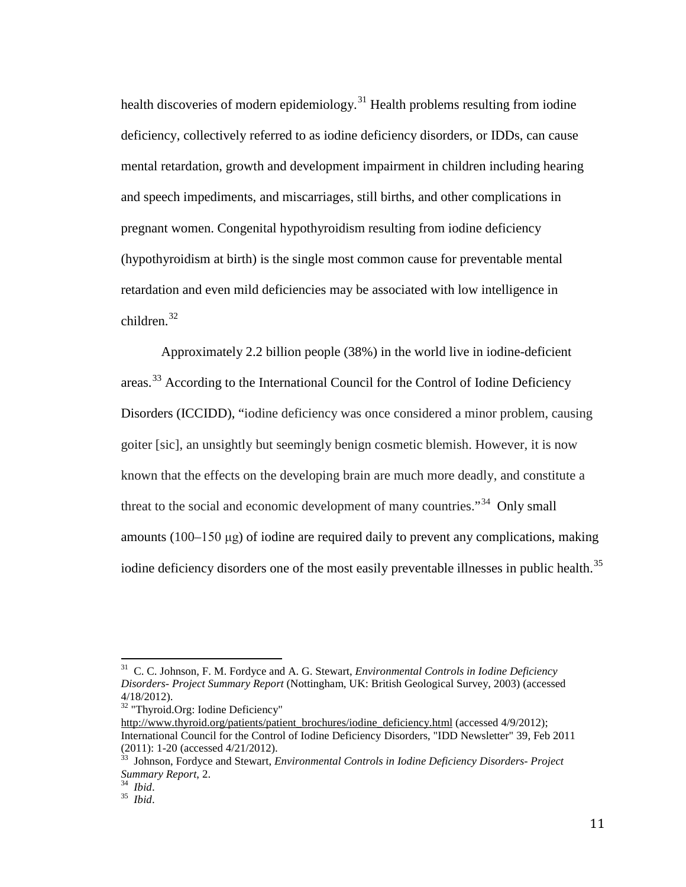health discoveries of modern epidemiology.<sup>[31](#page-17-0)</sup> Health problems resulting from iodine deficiency, collectively referred to as iodine deficiency disorders, or IDDs, can cause mental retardation, growth and development impairment in children including hearing and speech impediments, and miscarriages, still births, and other complications in pregnant women. Congenital hypothyroidism resulting from iodine deficiency (hypothyroidism at birth) is the single most common cause for preventable mental retardation and even mild deficiencies may be associated with low intelligence in children.[32](#page-17-1)

Approximately 2.2 billion people (38%) in the world live in iodine-deficient areas.[33](#page-17-2) According to the International Council for the Control of Iodine Deficiency Disorders (ICCIDD), "iodine deficiency was once considered a minor problem, causing goiter [sic], an unsightly but seemingly benign cosmetic blemish. However, it is now known that the effects on the developing brain are much more deadly, and constitute a threat to the social and economic development of many countries.<sup> $34$ </sup> Only small amounts  $(100-150 \mu g)$  of iodine are required daily to prevent any complications, making iodine deficiency disorders one of the most easily preventable illnesses in public health.<sup>[35](#page-17-4)</sup>

<span id="page-17-0"></span>31 C. C. Johnson, F. M. Fordyce and A. G. Stewart, *Environmental Controls in Iodine Deficiency Disorders- Project Summary Report* (Nottingham, UK: British Geological Survey, 2003) (accessed 4/18/2012).

<span id="page-17-1"></span><sup>&</sup>lt;sup>32</sup> "Thyroid.Org: Iodine Deficiency"

[http://www.thyroid.org/patients/patient\\_brochures/iodine\\_deficiency.html](http://www.thyroid.org/patients/patient_brochures/iodine_deficiency.html) (accessed 4/9/2012); International Council for the Control of Iodine Deficiency Disorders, "IDD Newsletter" 39, Feb 2011 (2011): 1-20 (accessed 4/21/2012).

<span id="page-17-2"></span><sup>(2011): 1-20 (</sup>accessed 4/21/2012). <sup>33</sup> Johnson, Fordyce and Stewart, *Environmental Controls in Iodine Deficiency Disorders- Project Summary Report*, 2. 34 *Ibid*. <sup>35</sup> *Ibid*.

<span id="page-17-4"></span><span id="page-17-3"></span>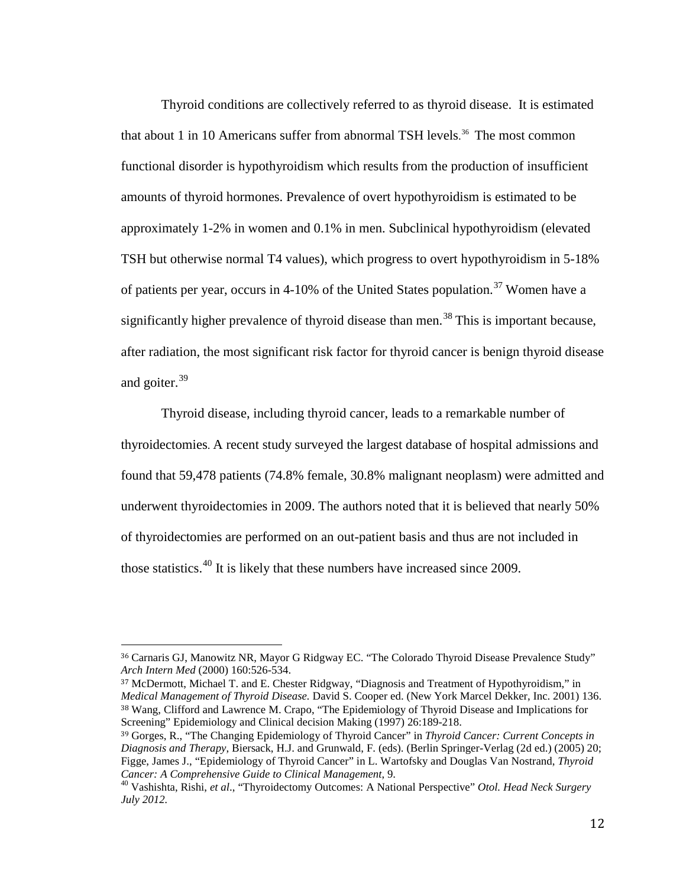Thyroid conditions are collectively referred to as thyroid disease. It is estimated that about 1 in 10 Americans suffer from abnormal TSH levels. [36](#page-18-0) The most common functional disorder is hypothyroidism which results from the production of insufficient amounts of thyroid hormones. Prevalence of overt hypothyroidism is estimated to be approximately 1-2% in women and 0.1% in men. Subclinical hypothyroidism (elevated TSH but otherwise normal T4 values), which progress to overt hypothyroidism in 5-18% of patients per year, occurs in 4-10% of the United States population.<sup>[37](#page-18-1)</sup> Women have a significantly higher prevalence of thyroid disease than men.<sup>[38](#page-18-2)</sup> This is important because, after radiation, the most significant risk factor for thyroid cancer is benign thyroid disease and goiter.<sup>[39](#page-18-3)</sup>

Thyroid disease, including thyroid cancer, leads to a remarkable number of thyroidectomies. A recent study surveyed the largest database of hospital admissions and found that 59,478 patients (74.8% female, 30.8% malignant neoplasm) were admitted and underwent thyroidectomies in 2009. The authors noted that it is believed that nearly 50% of thyroidectomies are performed on an out-patient basis and thus are not included in those statistics.<sup>[40](#page-18-4)</sup> It is likely that these numbers have increased since 2009.

<span id="page-18-2"></span><span id="page-18-1"></span><sup>37</sup> McDermott, Michael T. and E. Chester Ridgway, "Diagnosis and Treatment of Hypothyroidism," in *Medical Management of Thyroid Disease.* David S. Cooper ed. (New York Marcel Dekker, Inc. 2001) 136. <sup>38</sup> Wang, Clifford and Lawrence M. Crapo, "The Epidemiology of Thyroid Disease and Implications for Screening" Epidemiology and Clinical decision Making (1997) 26:189-218.

<span id="page-18-0"></span> <sup>36</sup> Carnaris GJ, Manowitz NR, Mayor G Ridgway EC. "The Colorado Thyroid Disease Prevalence Study" *Arch Intern Med* (2000) 160:526-534.

<span id="page-18-3"></span><sup>39</sup> Gorges, R., "The Changing Epidemiology of Thyroid Cancer" in *Thyroid Cancer: Current Concepts in Diagnosis and Therapy*, Biersack, H.J. and Grunwald, F. (eds). (Berlin Springer-Verlag (2d ed.) (2005) 20; Figge, James J., "Epidemiology of Thyroid Cancer" in L. Wartofsky and Douglas Van Nostrand, *Thyroid* 

<span id="page-18-4"></span>*Cancer: A Comprehensive Guide to Clinical Management*, 9. <sup>40</sup> Vashishta, Rishi, *et al*., "Thyroidectomy Outcomes: A National Perspective" *Otol. Head Neck Surgery July 2012.*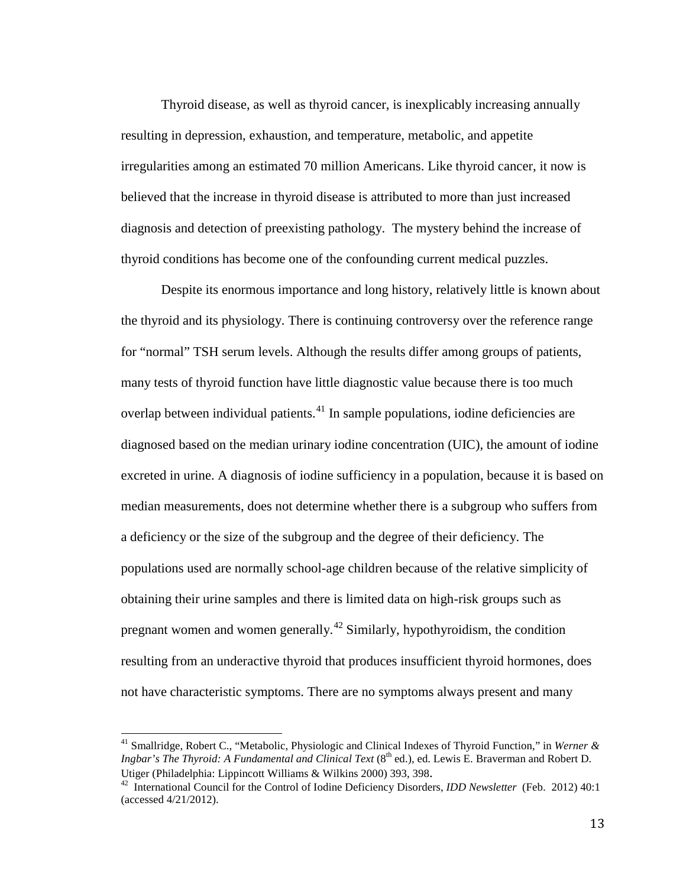Thyroid disease, as well as thyroid cancer, is inexplicably increasing annually resulting in depression, exhaustion, and temperature, metabolic, and appetite irregularities among an estimated 70 million Americans. Like thyroid cancer, it now is believed that the increase in thyroid disease is attributed to more than just increased diagnosis and detection of preexisting pathology. The mystery behind the increase of thyroid conditions has become one of the confounding current medical puzzles.

Despite its enormous importance and long history, relatively little is known about the thyroid and its physiology. There is continuing controversy over the reference range for "normal" TSH serum levels. Although the results differ among groups of patients, many tests of thyroid function have little diagnostic value because there is too much overlap between individual patients.<sup>[41](#page-19-0)</sup> In sample populations, iodine deficiencies are diagnosed based on the median urinary iodine concentration (UIC), the amount of iodine excreted in urine. A diagnosis of iodine sufficiency in a population, because it is based on median measurements, does not determine whether there is a subgroup who suffers from a deficiency or the size of the subgroup and the degree of their deficiency. The populations used are normally school-age children because of the relative simplicity of obtaining their urine samples and there is limited data on high-risk groups such as pregnant women and women generally.<sup>[42](#page-19-1)</sup> Similarly, hypothyroidism, the condition resulting from an underactive thyroid that produces insufficient thyroid hormones, does not have characteristic symptoms. There are no symptoms always present and many

<span id="page-19-0"></span><sup>41</sup> Smallridge, Robert C., "Metabolic, Physiologic and Clinical Indexes of Thyroid Function," in *Werner & Ingbar's The Thyroid: A Fundamental and Clinical Text* (8<sup>th</sup> ed.), ed. Lewis E. Braverman and Robert D. Utiger (Philadelphia: Lippincott Williams & Wilkins 2000) 393, 398. <sup>42</sup> International Council for the Control of Iodine Deficiency Disorders, *IDD Newsletter* (Feb. 2012) 40:1

<span id="page-19-1"></span><sup>(</sup>accessed 4/21/2012).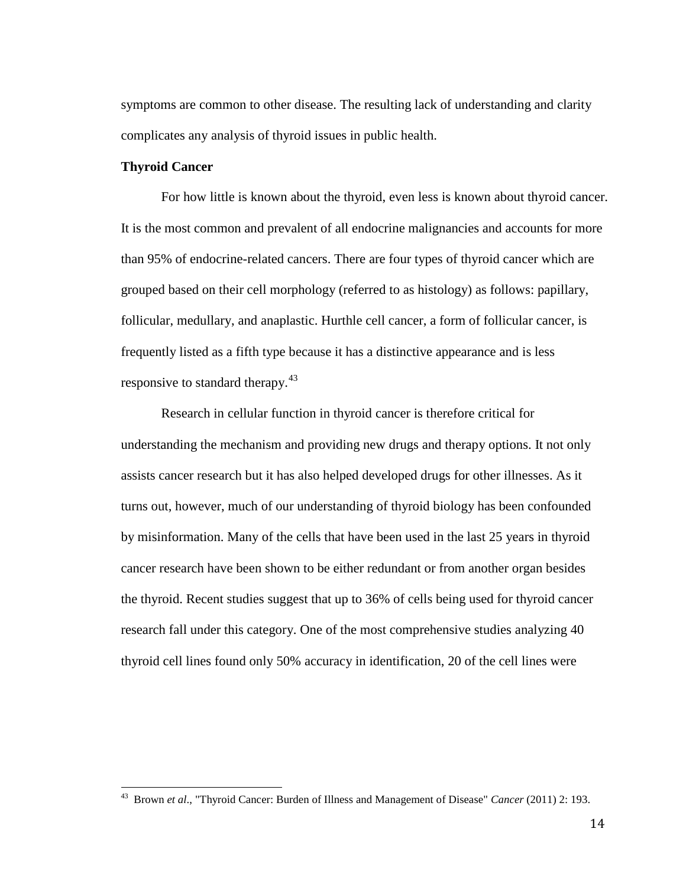symptoms are common to other disease. The resulting lack of understanding and clarity complicates any analysis of thyroid issues in public health.

#### **Thyroid Cancer**

For how little is known about the thyroid, even less is known about thyroid cancer. It is the most common and prevalent of all endocrine malignancies and accounts for more than 95% of endocrine-related cancers. There are four types of thyroid cancer which are grouped based on their cell morphology (referred to as histology) as follows: papillary, follicular, medullary, and anaplastic. Hurthle cell cancer, a form of follicular cancer, is frequently listed as a fifth type because it has a distinctive appearance and is less responsive to standard therapy.<sup>[43](#page-20-0)</sup>

Research in cellular function in thyroid cancer is therefore critical for understanding the mechanism and providing new drugs and therapy options. It not only assists cancer research but it has also helped developed drugs for other illnesses. As it turns out, however, much of our understanding of thyroid biology has been confounded by misinformation. Many of the cells that have been used in the last 25 years in thyroid cancer research have been shown to be either redundant or from another organ besides the thyroid. Recent studies suggest that up to 36% of cells being used for thyroid cancer research fall under this category. One of the most comprehensive studies analyzing 40 thyroid cell lines found only 50% accuracy in identification, 20 of the cell lines were

<span id="page-20-0"></span><sup>43</sup> Brown *et al*., "Thyroid Cancer: Burden of Illness and Management of Disease" *Cancer* (2011) 2: 193.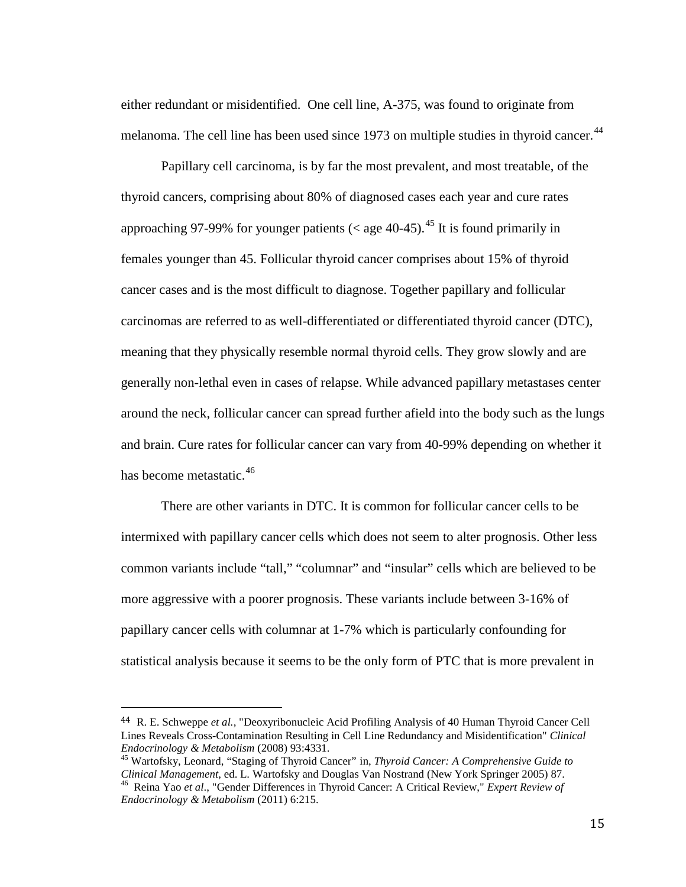either redundant or misidentified. One cell line, A-375, was found to originate from melanoma. The cell line has been used since 1973 on multiple studies in thyroid cancer.<sup>[44](#page-21-0)</sup>

Papillary cell carcinoma, is by far the most prevalent, and most treatable, of the thyroid cancers, comprising about 80% of diagnosed cases each year and cure rates approaching 97-99% for younger patients ( $\lt$  age 40-[45](#page-21-1)).<sup>45</sup> It is found primarily in females younger than 45. Follicular thyroid cancer comprises about 15% of thyroid cancer cases and is the most difficult to diagnose. Together papillary and follicular carcinomas are referred to as well-differentiated or differentiated thyroid cancer (DTC), meaning that they physically resemble normal thyroid cells. They grow slowly and are generally non-lethal even in cases of relapse. While advanced papillary metastases center around the neck, follicular cancer can spread further afield into the body such as the lungs and brain. Cure rates for follicular cancer can vary from 40-99% depending on whether it has become metastatic.<sup>[46](#page-21-2)</sup>

There are other variants in DTC. It is common for follicular cancer cells to be intermixed with papillary cancer cells which does not seem to alter prognosis. Other less common variants include "tall," "columnar" and "insular" cells which are believed to be more aggressive with a poorer prognosis. These variants include between 3-16% of papillary cancer cells with columnar at 1-7% which is particularly confounding for statistical analysis because it seems to be the only form of PTC that is more prevalent in

<span id="page-21-0"></span> <sup>44</sup> R. E. Schweppe *et al.,* "Deoxyribonucleic Acid Profiling Analysis of 40 Human Thyroid Cancer Cell Lines Reveals Cross-Contamination Resulting in Cell Line Redundancy and Misidentification" *Clinical* 

<span id="page-21-1"></span><sup>&</sup>lt;sup>45</sup> Wartofsky, Leonard, "Staging of Thyroid Cancer" in, *Thyroid Cancer: A Comprehensive Guide to Clinical Management*, ed. L. Wartofsky and Douglas Van Nostrand (New York Springer 2005) 87. <sup>46</sup> Reina Yao *et al.*, "Gender Differences in Thyroid Cancer: A Critical Review," *Expert Review of* 

<span id="page-21-2"></span>*Endocrinology & Metabolism* (2011) 6:215.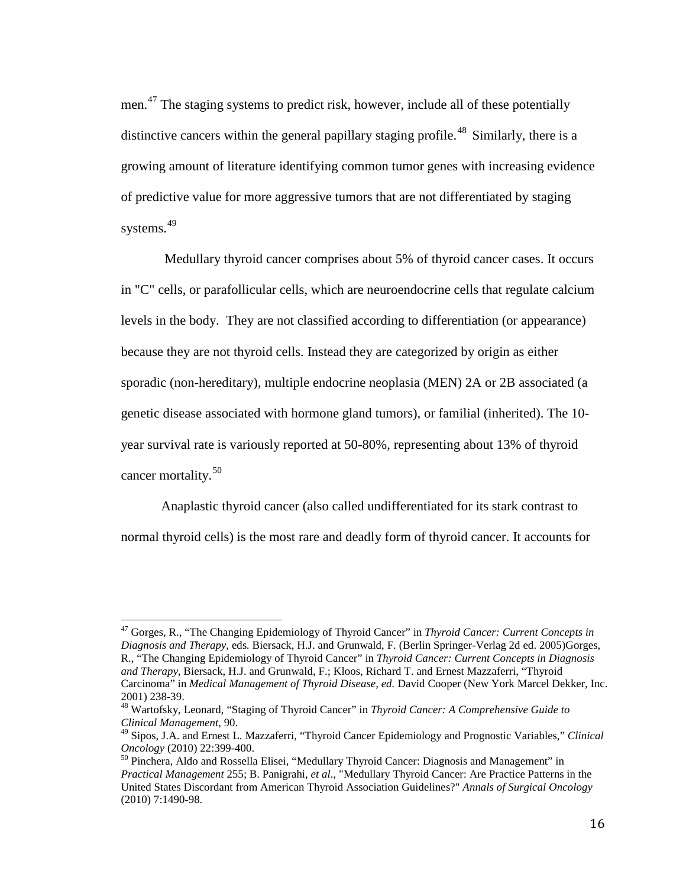men.<sup>[47](#page-22-0)</sup> The staging systems to predict risk, however, include all of these potentially distinctive cancers within the general papillary staging profile.<sup>48</sup> Similarly, there is a growing amount of literature identifying common tumor genes with increasing evidence of predictive value for more aggressive tumors that are not differentiated by staging systems.<sup>[49](#page-22-2)</sup>

Medullary thyroid cancer comprises about 5% of thyroid cancer cases. It occurs in "C" cells, or parafollicular cells, which are neuroendocrine cells that regulate calcium levels in the body. They are not classified according to differentiation (or appearance) because they are not thyroid cells. Instead they are categorized by origin as either sporadic (non-hereditary), multiple endocrine neoplasia (MEN) 2A or 2B associated (a genetic disease associated with hormone gland tumors), or familial (inherited). The 10 year survival rate is variously reported at 50-80%, representing about 13% of thyroid cancer mortality. [50](#page-22-3)

Anaplastic thyroid cancer (also called undifferentiated for its stark contrast to normal thyroid cells) is the most rare and deadly form of thyroid cancer. It accounts for

<span id="page-22-0"></span><sup>47</sup> Gorges, R., "The Changing Epidemiology of Thyroid Cancer" in *Thyroid Cancer: Current Concepts in Diagnosis and Therapy,* eds*.* Biersack, H.J. and Grunwald, F. (Berlin Springer-Verlag 2d ed. 2005)Gorges, R., "The Changing Epidemiology of Thyroid Cancer" in *Thyroid Cancer: Current Concepts in Diagnosis and Therapy*, Biersack, H.J. and Grunwald, F.; Kloos, Richard T. and Ernest Mazzaferri, "Thyroid Carcinoma" in *Medical Management of Thyroid Disease, ed.* David Cooper (New York Marcel Dekker, Inc.

<span id="page-22-1"></span><sup>2001) 238-39.</sup> <sup>48</sup> Wartofsky, Leonard, "Staging of Thyroid Cancer" in *Thyroid Cancer: A Comprehensive Guide to Clinical Management*, 90.

<span id="page-22-2"></span><sup>49</sup> Sipos, J.A. and Ernest L. Mazzaferri, "Thyroid Cancer Epidemiology and Prognostic Variables," *Clinical Oncology* (2010) 22:399-400.<br><sup>50</sup> Pinchera, Aldo and Rossella Elisei, "Medullary Thyroid Cancer: Diagnosis and Management" in

<span id="page-22-3"></span>*Practical Management* 255; B. Panigrahi, *et al*., "Medullary Thyroid Cancer: Are Practice Patterns in the United States Discordant from American Thyroid Association Guidelines?" *Annals of Surgical Oncology* (2010) 7:1490-98.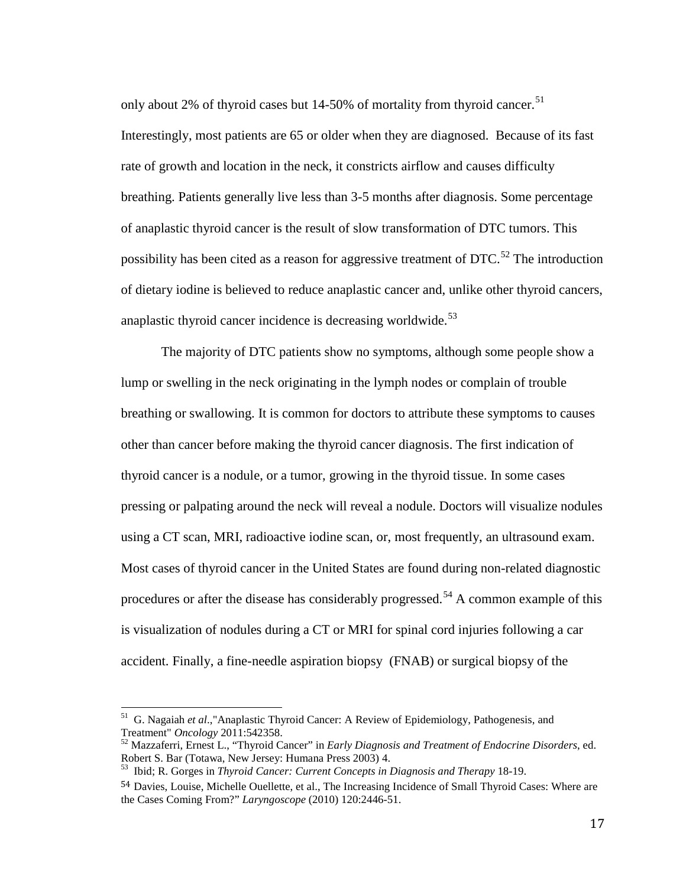only about 2% of thyroid cases but 14-50% of mortality from thyroid cancer.<sup>[51](#page-23-0)</sup> Interestingly, most patients are 65 or older when they are diagnosed. Because of its fast rate of growth and location in the neck, it constricts airflow and causes difficulty breathing. Patients generally live less than 3-5 months after diagnosis. Some percentage of anaplastic thyroid cancer is the result of slow transformation of DTC tumors. This possibility has been cited as a reason for aggressive treatment of  $DTC$ <sup>[52](#page-23-1)</sup>. The introduction of dietary iodine is believed to reduce anaplastic cancer and, unlike other thyroid cancers, anaplastic thyroid cancer incidence is decreasing worldwide.<sup>[53](#page-23-2)</sup>

The majority of DTC patients show no symptoms, although some people show a lump or swelling in the neck originating in the lymph nodes or complain of trouble breathing or swallowing. It is common for doctors to attribute these symptoms to causes other than cancer before making the thyroid cancer diagnosis. The first indication of thyroid cancer is a nodule, or a tumor, growing in the thyroid tissue. In some cases pressing or palpating around the neck will reveal a nodule. Doctors will visualize nodules using a CT scan, MRI, radioactive iodine scan, or, most frequently, an ultrasound exam. Most cases of thyroid cancer in the United States are found during non-related diagnostic procedures or after the disease has considerably progressed.<sup>[54](#page-23-3)</sup> A common example of this is visualization of nodules during a CT or MRI for spinal cord injuries following a car accident. Finally, a fine-needle aspiration biopsy (FNAB) or surgical biopsy of the

<span id="page-23-0"></span><sup>&</sup>lt;sup>51</sup> G. Nagaiah *et al.*,"Anaplastic Thyroid Cancer: A Review of Epidemiology, Pathogenesis, and Treatment" *Oncology* 2011:542358.

<span id="page-23-1"></span><sup>&</sup>lt;sup>52</sup> Mazzaferri, Ernest L., "Thyroid Cancer" in *Early Diagnosis and Treatment of Endocrine Disorders*, ed.<br>Robert S. Bar (Totawa, New Jersey: Humana Press 2003) 4.

<span id="page-23-2"></span><sup>&</sup>lt;sup>53</sup> Ibid; R. Gorges in *Thyroid Cancer: Current Concepts in Diagnosis and Therapy* 18-19.

<span id="page-23-3"></span><sup>54</sup> Davies, Louise, Michelle Ouellette, et al., The Increasing Incidence of Small Thyroid Cases: Where are the Cases Coming From?" *Laryngoscope* (2010) 120:2446-51.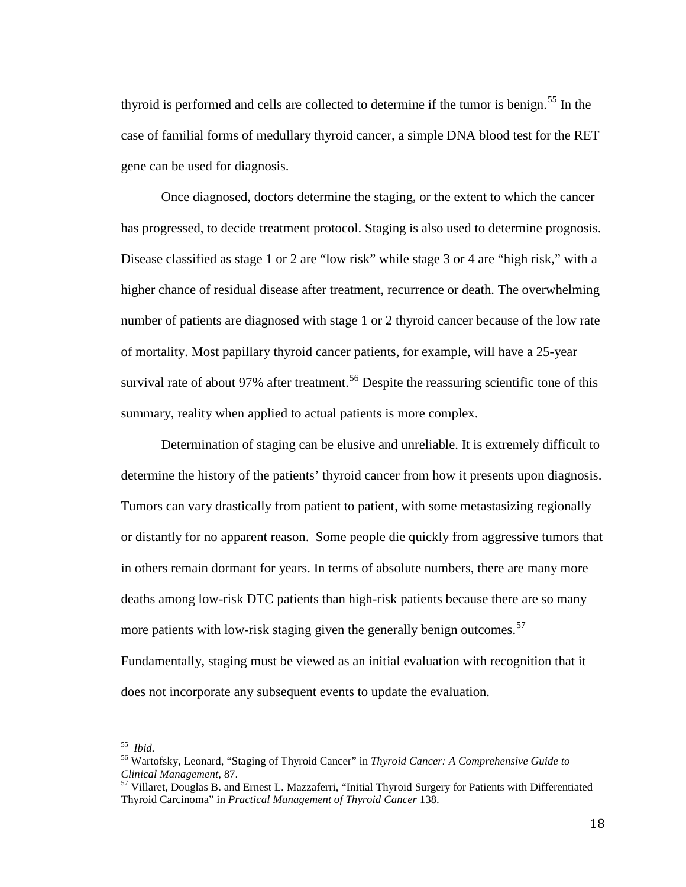thyroid is performed and cells are collected to determine if the tumor is benign. [55](#page-24-0) In the case of familial forms of medullary thyroid cancer, a simple DNA blood test for the RET gene can be used for diagnosis.

Once diagnosed, doctors determine the staging, or the extent to which the cancer has progressed, to decide treatment protocol. Staging is also used to determine prognosis. Disease classified as stage 1 or 2 are "low risk" while stage 3 or 4 are "high risk," with a higher chance of residual disease after treatment, recurrence or death. The overwhelming number of patients are diagnosed with stage 1 or 2 thyroid cancer because of the low rate of mortality. Most papillary thyroid cancer patients, for example, will have a 25-year survival rate of about 97% after treatment.<sup>[56](#page-24-1)</sup> Despite the reassuring scientific tone of this summary, reality when applied to actual patients is more complex.

Determination of staging can be elusive and unreliable. It is extremely difficult to determine the history of the patients' thyroid cancer from how it presents upon diagnosis. Tumors can vary drastically from patient to patient, with some metastasizing regionally or distantly for no apparent reason. Some people die quickly from aggressive tumors that in others remain dormant for years. In terms of absolute numbers, there are many more deaths among low-risk DTC patients than high-risk patients because there are so many more patients with low-risk staging given the generally benign outcomes.<sup>[57](#page-24-2)</sup> Fundamentally, staging must be viewed as an initial evaluation with recognition that it does not incorporate any subsequent events to update the evaluation.

<span id="page-24-1"></span><span id="page-24-0"></span><sup>55</sup> *Ibid.* <sup>56</sup> Wartofsky, Leonard, "Staging of Thyroid Cancer" in *Thyroid Cancer: A Comprehensive Guide to* 

<span id="page-24-2"></span><sup>&</sup>lt;sup>57</sup> Villaret, Douglas B. and Ernest L. Mazzaferri, "Initial Thyroid Surgery for Patients with Differentiated Thyroid Carcinoma" in *Practical Management of Thyroid Cancer* 138.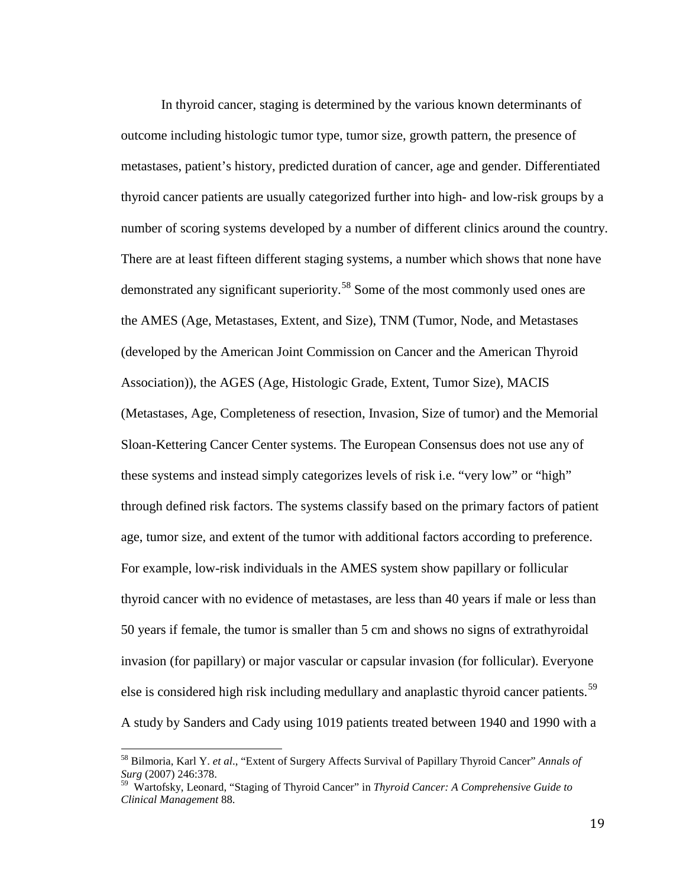In thyroid cancer, staging is determined by the various known determinants of outcome including histologic tumor type, tumor size, growth pattern, the presence of metastases, patient's history, predicted duration of cancer, age and gender. Differentiated thyroid cancer patients are usually categorized further into high- and low-risk groups by a number of scoring systems developed by a number of different clinics around the country. There are at least fifteen different staging systems, a number which shows that none have demonstrated any significant superiority.[58](#page-25-0) Some of the most commonly used ones are the AMES (Age, Metastases, Extent, and Size), TNM (Tumor, Node, and Metastases (developed by the American Joint Commission on Cancer and the American Thyroid Association)), the AGES (Age, Histologic Grade, Extent, Tumor Size), MACIS (Metastases, Age, Completeness of resection, Invasion, Size of tumor) and the Memorial Sloan-Kettering Cancer Center systems. The European Consensus does not use any of these systems and instead simply categorizes levels of risk i.e. "very low" or "high" through defined risk factors. The systems classify based on the primary factors of patient age, tumor size, and extent of the tumor with additional factors according to preference. For example, low-risk individuals in the AMES system show papillary or follicular thyroid cancer with no evidence of metastases, are less than 40 years if male or less than 50 years if female, the tumor is smaller than 5 cm and shows no signs of extrathyroidal invasion (for papillary) or major vascular or capsular invasion (for follicular). Everyone else is considered high risk including medullary and anaplastic thyroid cancer patients.<sup>[59](#page-25-1)</sup> A study by Sanders and Cady using 1019 patients treated between 1940 and 1990 with a

<span id="page-25-0"></span><sup>58</sup> Bilmoria, Karl Y. *et al*., "Extent of Surgery Affects Survival of Papillary Thyroid Cancer" *Annals of Surg* (2007) 246:378.

<span id="page-25-1"></span><sup>59</sup> Wartofsky, Leonard, "Staging of Thyroid Cancer" in *Thyroid Cancer: A Comprehensive Guide to Clinical Management* 88.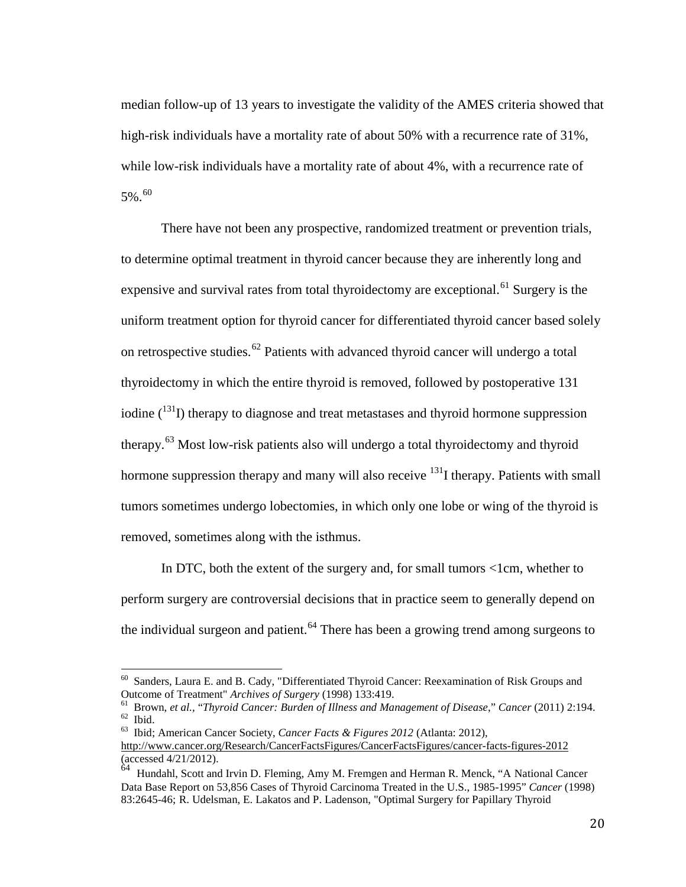median follow-up of 13 years to investigate the validity of the AMES criteria showed that high-risk individuals have a mortality rate of about 50% with a recurrence rate of 31%, while low-risk individuals have a mortality rate of about 4%, with a recurrence rate of  $5\%$ .<sup>[60](#page-26-0)</sup>

There have not been any prospective, randomized treatment or prevention trials, to determine optimal treatment in thyroid cancer because they are inherently long and expensive and survival rates from total thyroidectomy are exceptional.<sup>[61](#page-26-1)</sup> Surgery is the uniform treatment option for thyroid cancer for differentiated thyroid cancer based solely on retrospective studies.<sup>[62](#page-26-2)</sup> Patients with advanced thyroid cancer will undergo a total thyroidectomy in which the entire thyroid is removed, followed by postoperative 131 iodine  $\binom{131}{1}$  therapy to diagnose and treat metastases and thyroid hormone suppression therapy.<sup>[63](#page-26-3)</sup> Most low-risk patients also will undergo a total thyroidectomy and thyroid hormone suppression therapy and many will also receive  $^{131}$  therapy. Patients with small tumors sometimes undergo lobectomies, in which only one lobe or wing of the thyroid is removed, sometimes along with the isthmus.

In DTC, both the extent of the surgery and, for small tumors <1cm, whether to perform surgery are controversial decisions that in practice seem to generally depend on the individual surgeon and patient.<sup>[64](#page-26-4)</sup> There has been a growing trend among surgeons to

Sanders, Laura E. and B. Cady, "Differentiated Thyroid Cancer: Reexamination of Risk Groups and

<span id="page-26-1"></span><span id="page-26-0"></span>Outcome of Treatment" Archives of Surgery (1998) 133:419.<br>
<sup>61</sup> Brown, *et al.*, "Thyroid Cancer: Burden of Illness and Management of Disease," Cancer (2011) 2:194.<br>
<sup>62</sup> Ibid.<br>
<sup>63</sup> Ibid: American Cancer Society, *Cancer* 

<span id="page-26-3"></span><span id="page-26-2"></span><http://www.cancer.org/Research/CancerFactsFigures/CancerFactsFigures/cancer-facts-figures-2012> (accessed 4/21/2012).

<span id="page-26-4"></span><sup>64</sup> Hundahl, Scott and Irvin D. Fleming, Amy M. Fremgen and Herman R. Menck, "A National Cancer Data Base Report on 53,856 Cases of Thyroid Carcinoma Treated in the U.S., 1985-1995" *Cancer* (1998) 83:2645-46; R. Udelsman, E. Lakatos and P. Ladenson, "Optimal Surgery for Papillary Thyroid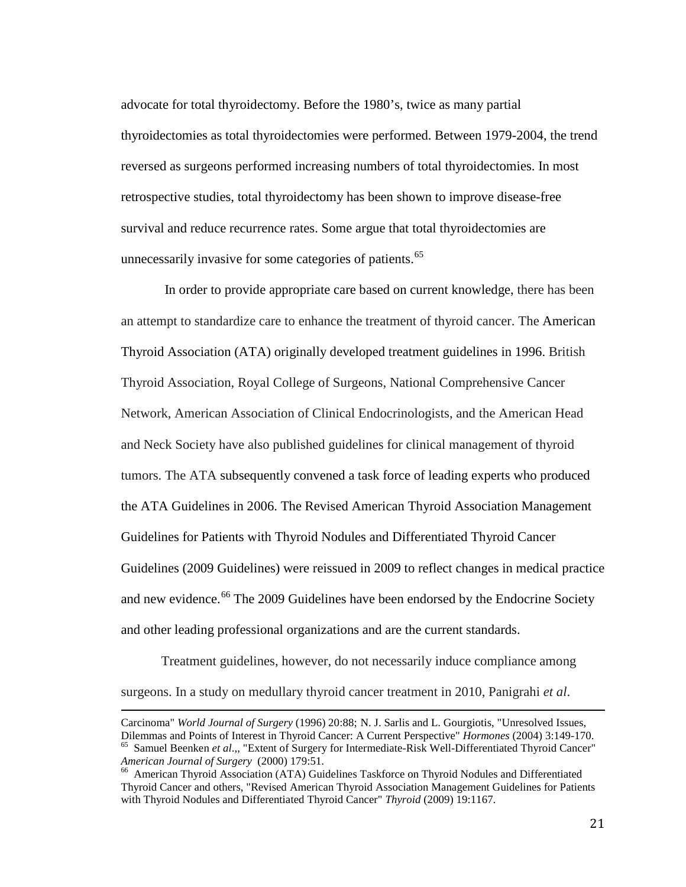advocate for total thyroidectomy. Before the 1980's, twice as many partial thyroidectomies as total thyroidectomies were performed. Between 1979-2004, the trend reversed as surgeons performed increasing numbers of total thyroidectomies. In most retrospective studies, total thyroidectomy has been shown to improve disease-free survival and reduce recurrence rates. Some argue that total thyroidectomies are unnecessarily invasive for some categories of patients.<sup>[65](#page-27-0)</sup>

In order to provide appropriate care based on current knowledge, there has been an attempt to standardize care to enhance the treatment of thyroid cancer. The American Thyroid Association (ATA) originally developed treatment guidelines in 1996. British Thyroid Association, Royal College of Surgeons, National Comprehensive Cancer Network, American Association of Clinical Endocrinologists, and the American Head and Neck Society have also published guidelines for clinical management of thyroid tumors. The ATA subsequently convened a task force of leading experts who produced the ATA Guidelines in 2006. The Revised American Thyroid Association Management Guidelines for Patients with Thyroid Nodules and Differentiated Thyroid Cancer Guidelines (2009 Guidelines) were reissued in 2009 to reflect changes in medical practice and new evidence.<sup>[66](#page-27-1)</sup> The 2009 Guidelines have been endorsed by the Endocrine Society and other leading professional organizations and are the current standards.

Treatment guidelines, however, do not necessarily induce compliance among surgeons. In a study on medullary thyroid cancer treatment in 2010, Panigrahi *et al*.

<span id="page-27-0"></span>Carcinoma" *World Journal of Surgery* (1996) 20:88; N. J. Sarlis and L. Gourgiotis, "Unresolved Issues, Dilemmas and Points of Interest in Thyroid Cancer: A Current Perspective" *Hormones* (2004) 3:149-170. <sup>65</sup> Samuel Beenken *et al*.,, "Extent of Surgery for Intermediate-Risk Well-Differentiated Thyroid Cancer" *American Journal of Surgery* (2000) 179:51.<br><sup>66</sup> American Thyroid Association (ATA) Guidelines Taskforce on Thyroid Nodules and Differentiated

<span id="page-27-1"></span>Thyroid Cancer and others, "Revised American Thyroid Association Management Guidelines for Patients with Thyroid Nodules and Differentiated Thyroid Cancer" *Thyroid* (2009) 19:1167.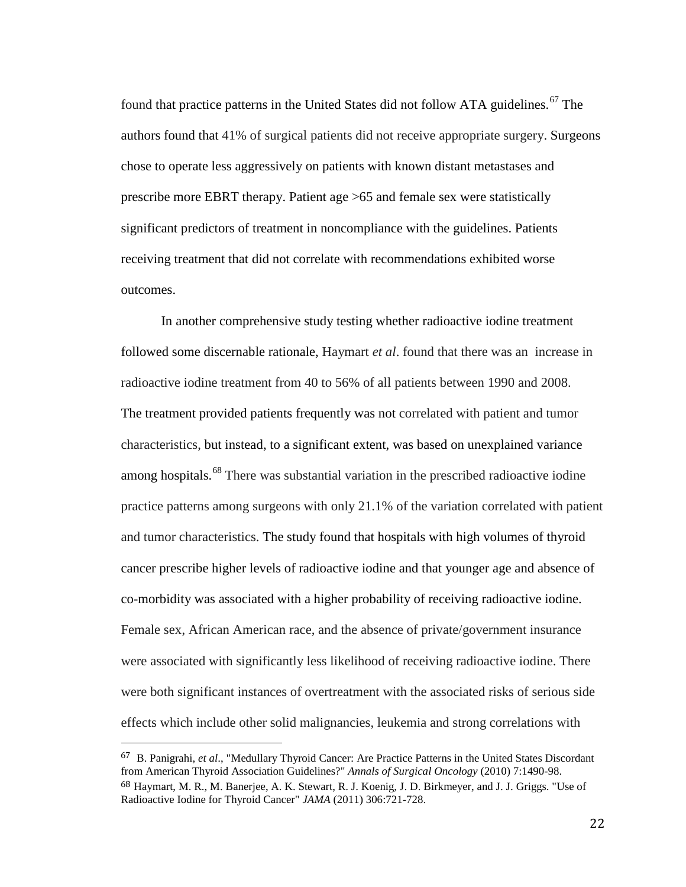found that practice patterns in the United States did not follow ATA guidelines.<sup>[67](#page-28-0)</sup> The authors found that 41% of surgical patients did not receive appropriate surgery. Surgeons chose to operate less aggressively on patients with known distant metastases and prescribe more EBRT therapy. Patient age >65 and female sex were statistically significant predictors of treatment in noncompliance with the guidelines. Patients receiving treatment that did not correlate with recommendations exhibited worse outcomes.

In another comprehensive study testing whether radioactive iodine treatment followed some discernable rationale, Haymart *et al*. found that there was an increase in radioactive iodine treatment from 40 to 56% of all patients between 1990 and 2008. The treatment provided patients frequently was not correlated with patient and tumor characteristics, but instead, to a significant extent, was based on unexplained variance among hospitals.<sup>[68](#page-28-1)</sup> There was substantial variation in the prescribed radioactive iodine practice patterns among surgeons with only 21.1% of the variation correlated with patient and tumor characteristics. The study found that hospitals with high volumes of thyroid cancer prescribe higher levels of radioactive iodine and that younger age and absence of co-morbidity was associated with a higher probability of receiving radioactive iodine. Female sex, African American race, and the absence of private/government insurance were associated with significantly less likelihood of receiving radioactive iodine. There were both significant instances of overtreatment with the associated risks of serious side effects which include other solid malignancies, leukemia and strong correlations with

<span id="page-28-1"></span><span id="page-28-0"></span> <sup>67</sup> B. Panigrahi, *et al*., "Medullary Thyroid Cancer: Are Practice Patterns in the United States Discordant from American Thyroid Association Guidelines?" *Annals of Surgical Oncology* (2010) 7:1490-98. 68 Haymart, M. R., M. Banerjee, A. K. Stewart, R. J. Koenig, J. D. Birkmeyer, and J. J. Griggs. "Use of Radioactive Iodine for Thyroid Cancer" *JAMA* (2011) 306:721-728.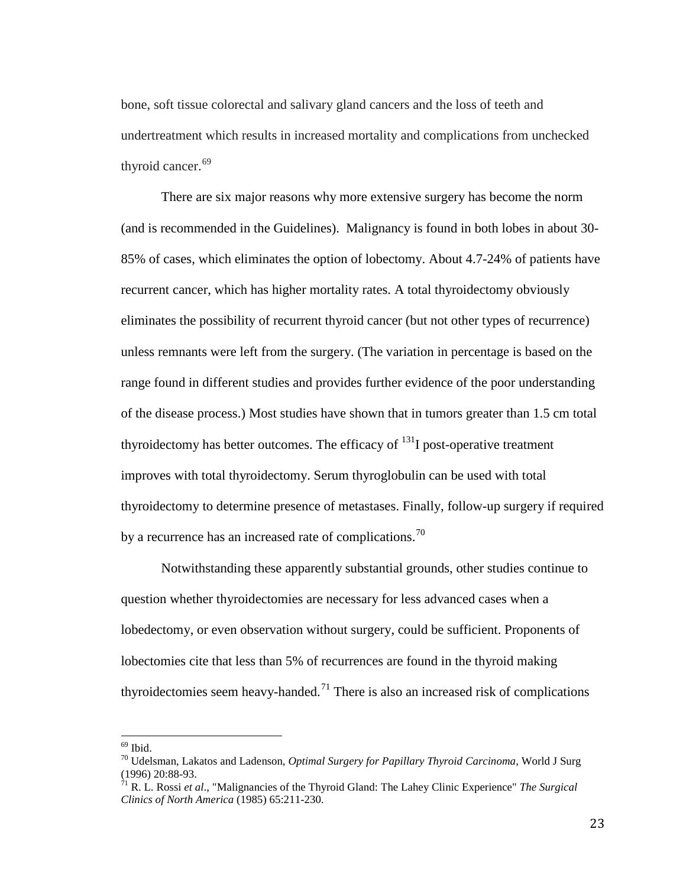bone, soft tissue colorectal and salivary gland cancers and the loss of teeth and undertreatment which results in increased mortality and complications from unchecked thyroid cancer.<sup>[69](#page-29-0)</sup>

There are six major reasons why more extensive surgery has become the norm (and is recommended in the Guidelines). Malignancy is found in both lobes in about 30- 85% of cases, which eliminates the option of lobectomy. About 4.7-24% of patients have recurrent cancer, which has higher mortality rates. A total thyroidectomy obviously eliminates the possibility of recurrent thyroid cancer (but not other types of recurrence) unless remnants were left from the surgery. (The variation in percentage is based on the range found in different studies and provides further evidence of the poor understanding of the disease process.) Most studies have shown that in tumors greater than 1.5 cm total thyroidectomy has better outcomes. The efficacy of  $^{131}I$  post-operative treatment improves with total thyroidectomy. Serum thyroglobulin can be used with total thyroidectomy to determine presence of metastases. Finally, follow-up surgery if required by a recurrence has an increased rate of complications.<sup>[70](#page-29-1)</sup>

Notwithstanding these apparently substantial grounds, other studies continue to question whether thyroidectomies are necessary for less advanced cases when a lobedectomy, or even observation without surgery, could be sufficient. Proponents of lobectomies cite that less than 5% of recurrences are found in the thyroid making thyroidectomies seem heavy-handed.<sup>[71](#page-29-2)</sup> There is also an increased risk of complications

<span id="page-29-1"></span><span id="page-29-0"></span><sup>69</sup> Ibid. <sup>70</sup> Udelsman, Lakatos and Ladenson, *Optimal Surgery for Papillary Thyroid Carcinoma*, World J Surg (1996) 20:88-93. <sup>71</sup> R. L. Rossi *et al*., "Malignancies of the Thyroid Gland: The Lahey Clinic Experience" *The Surgical* 

<span id="page-29-2"></span>*Clinics of North America* (1985) 65:211-230.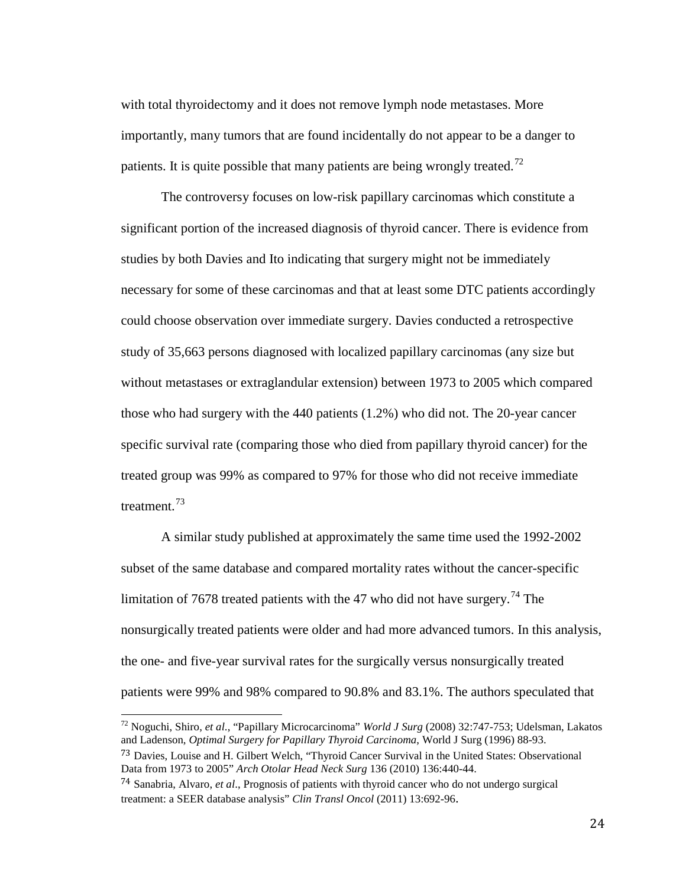with total thyroidectomy and it does not remove lymph node metastases. More importantly, many tumors that are found incidentally do not appear to be a danger to patients. It is quite possible that many patients are being wrongly treated.<sup>[72](#page-30-0)</sup>

The controversy focuses on low-risk papillary carcinomas which constitute a significant portion of the increased diagnosis of thyroid cancer. There is evidence from studies by both Davies and Ito indicating that surgery might not be immediately necessary for some of these carcinomas and that at least some DTC patients accordingly could choose observation over immediate surgery. Davies conducted a retrospective study of 35,663 persons diagnosed with localized papillary carcinomas (any size but without metastases or extraglandular extension) between 1973 to 2005 which compared those who had surgery with the 440 patients (1.2%) who did not. The 20-year cancer specific survival rate (comparing those who died from papillary thyroid cancer) for the treated group was 99% as compared to 97% for those who did not receive immediate treatment.<sup>[73](#page-30-1)</sup>

A similar study published at approximately the same time used the 1992-2002 subset of the same database and compared mortality rates without the cancer-specific limitation of 7678 treated patients with the 47 who did not have surgery.<sup>[74](#page-30-2)</sup> The nonsurgically treated patients were older and had more advanced tumors. In this analysis, the one- and five-year survival rates for the surgically versus nonsurgically treated patients were 99% and 98% compared to 90.8% and 83.1%. The authors speculated that

<span id="page-30-0"></span> <sup>72</sup> Noguchi, Shiro, *et al*., "Papillary Microcarcinoma" *World J Surg* (2008) 32:747-753; Udelsman, Lakatos and Ladenson, *Optimal Surgery for Papillary Thyroid Carcinoma*, World J Surg (1996) 88-93.

<span id="page-30-1"></span><sup>&</sup>lt;sup>73</sup> Davies, Louise and H. Gilbert Welch, "Thyroid Cancer Survival in the United States: Observational Data from 1973 to 2005" *Arch Otolar Head Neck Surg* 136 (2010) 136:440-44.

<span id="page-30-2"></span><sup>74</sup> Sanabria, Alvaro, *et al*., Prognosis of patients with thyroid cancer who do not undergo surgical treatment: a SEER database analysis" *Clin Transl Oncol* (2011) 13:692-96.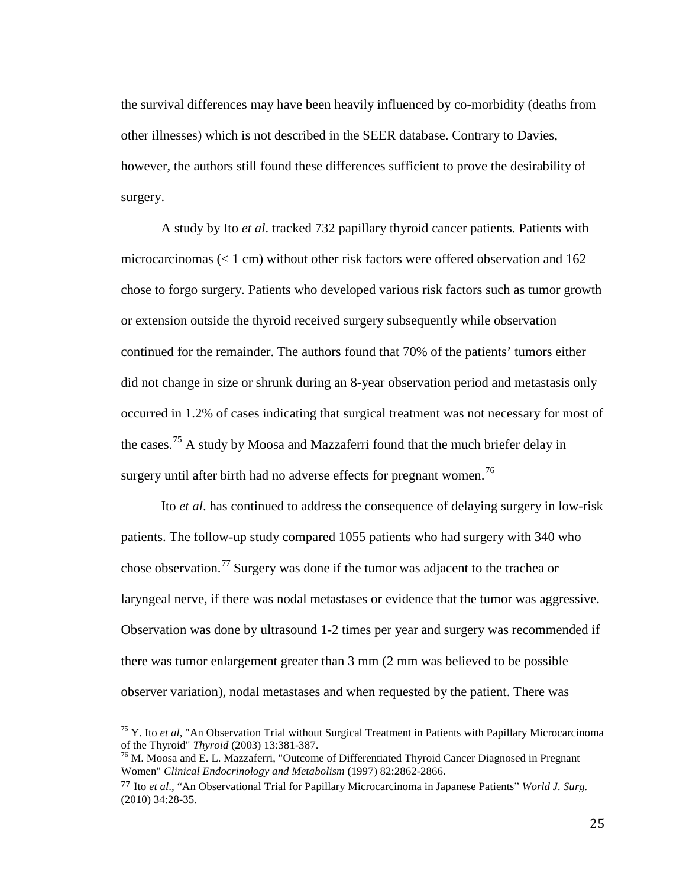the survival differences may have been heavily influenced by co-morbidity (deaths from other illnesses) which is not described in the SEER database. Contrary to Davies, however, the authors still found these differences sufficient to prove the desirability of surgery.

A study by Ito *et al*. tracked 732 papillary thyroid cancer patients. Patients with microcarcinomas  $\ll 1$  cm) without other risk factors were offered observation and 162 chose to forgo surgery. Patients who developed various risk factors such as tumor growth or extension outside the thyroid received surgery subsequently while observation continued for the remainder. The authors found that 70% of the patients' tumors either did not change in size or shrunk during an 8-year observation period and metastasis only occurred in 1.2% of cases indicating that surgical treatment was not necessary for most of the cases.[75](#page-31-0) A study by Moosa and Mazzaferri found that the much briefer delay in surgery until after birth had no adverse effects for pregnant women.<sup>[76](#page-31-1)</sup>

Ito *et al*. has continued to address the consequence of delaying surgery in low-risk patients. The follow-up study compared 1055 patients who had surgery with 340 who chose observation.<sup>[77](#page-31-2)</sup> Surgery was done if the tumor was adjacent to the trachea or laryngeal nerve, if there was nodal metastases or evidence that the tumor was aggressive. Observation was done by ultrasound 1-2 times per year and surgery was recommended if there was tumor enlargement greater than 3 mm (2 mm was believed to be possible observer variation), nodal metastases and when requested by the patient. There was

<span id="page-31-0"></span><sup>&</sup>lt;sup>75</sup> Y. Ito *et al*, "An Observation Trial without Surgical Treatment in Patients with Papillary Microcarcinoma of the Thyroid" *Thyroid* (2003) 13:381-387.

<span id="page-31-1"></span><sup>&</sup>lt;sup>76</sup> M. Moosa and E. L. Mazzaferri, "Outcome of Differentiated Thyroid Cancer Diagnosed in Pregnant Women" *Clinical Endocrinology and Metabolism* (1997) 82:2862-2866.

<span id="page-31-2"></span><sup>77</sup> Ito *et al*., "An Observational Trial for Papillary Microcarcinoma in Japanese Patients" *World J. Surg.* (2010) 34:28-35.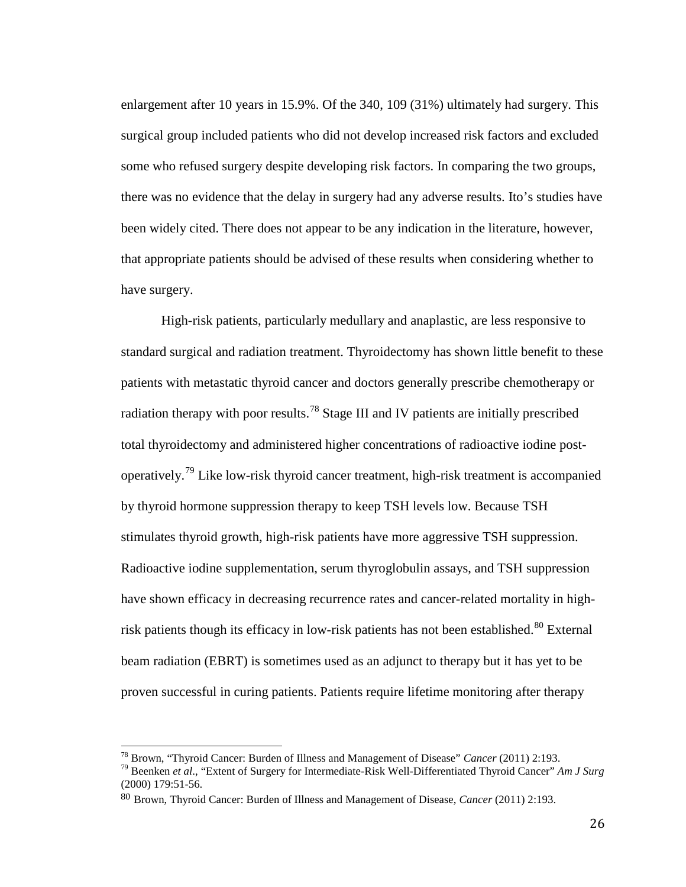enlargement after 10 years in 15.9%. Of the 340, 109 (31%) ultimately had surgery. This surgical group included patients who did not develop increased risk factors and excluded some who refused surgery despite developing risk factors. In comparing the two groups, there was no evidence that the delay in surgery had any adverse results. Ito's studies have been widely cited. There does not appear to be any indication in the literature, however, that appropriate patients should be advised of these results when considering whether to have surgery.

High-risk patients, particularly medullary and anaplastic, are less responsive to standard surgical and radiation treatment. Thyroidectomy has shown little benefit to these patients with metastatic thyroid cancer and doctors generally prescribe chemotherapy or radiation therapy with poor results.<sup>[78](#page-32-0)</sup> Stage III and IV patients are initially prescribed total thyroidectomy and administered higher concentrations of radioactive iodine postoperatively.[79](#page-32-1) Like low-risk thyroid cancer treatment, high-risk treatment is accompanied by thyroid hormone suppression therapy to keep TSH levels low. Because TSH stimulates thyroid growth, high-risk patients have more aggressive TSH suppression. Radioactive iodine supplementation, serum thyroglobulin assays, and TSH suppression have shown efficacy in decreasing recurrence rates and cancer-related mortality in high-risk patients though its efficacy in low-risk patients has not been established.<sup>[80](#page-32-2)</sup> External beam radiation (EBRT) is sometimes used as an adjunct to therapy but it has yet to be proven successful in curing patients. Patients require lifetime monitoring after therapy

<span id="page-32-0"></span><sup>78</sup> Brown, "Thyroid Cancer: Burden of Illness and Management of Disease" *Cancer* (2011) 2:193. <sup>79</sup> Beenken *et al*., "Extent of Surgery for Intermediate-Risk Well-Differentiated Thyroid Cancer" *Am J Surg*

<span id="page-32-1"></span><sup>(2000) 179:51-56.</sup>

<span id="page-32-2"></span><sup>80</sup> Brown, Thyroid Cancer: Burden of Illness and Management of Disease, *Cancer* (2011) 2:193.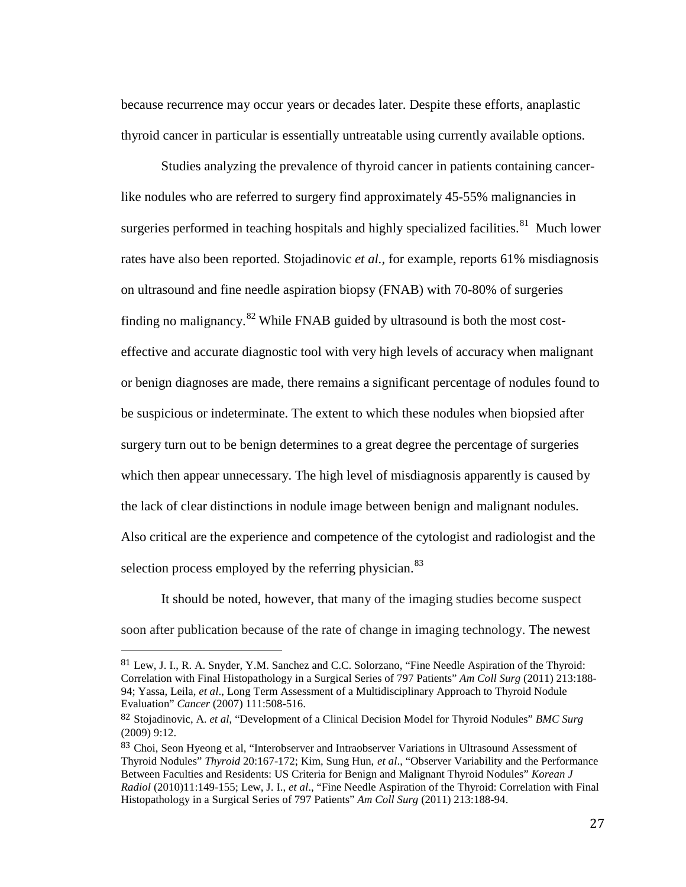because recurrence may occur years or decades later. Despite these efforts, anaplastic thyroid cancer in particular is essentially untreatable using currently available options.

Studies analyzing the prevalence of thyroid cancer in patients containing cancerlike nodules who are referred to surgery find approximately 45-55% malignancies in surgeries performed in teaching hospitals and highly specialized facilities.<sup>[81](#page-33-0)</sup> Much lower rates have also been reported. Stojadinovic *et al.,* for example, reports 61% misdiagnosis on ultrasound and fine needle aspiration biopsy (FNAB) with 70-80% of surgeries finding no malignancy. $82$  While FNAB guided by ultrasound is both the most costeffective and accurate diagnostic tool with very high levels of accuracy when malignant or benign diagnoses are made, there remains a significant percentage of nodules found to be suspicious or indeterminate. The extent to which these nodules when biopsied after surgery turn out to be benign determines to a great degree the percentage of surgeries which then appear unnecessary. The high level of misdiagnosis apparently is caused by the lack of clear distinctions in nodule image between benign and malignant nodules. Also critical are the experience and competence of the cytologist and radiologist and the selection process employed by the referring physician.<sup>[83](#page-33-2)</sup>

It should be noted, however, that many of the imaging studies become suspect soon after publication because of the rate of change in imaging technology. The newest

<span id="page-33-0"></span> <sup>81</sup> Lew, J. I., R. A. Snyder, Y.M. Sanchez and C.C. Solorzano, "Fine Needle Aspiration of the Thyroid: Correlation with Final Histopathology in a Surgical Series of 797 Patients" *Am Coll Surg* (2011) 213:188- 94; Yassa, Leila, *et al*., Long Term Assessment of a Multidisciplinary Approach to Thyroid Nodule Evaluation" *Cancer* (2007) 111:508-516.

<span id="page-33-1"></span><sup>82</sup> Stojadinovic, A. *et al*, "Development of a Clinical Decision Model for Thyroid Nodules" *BMC Surg* (2009) 9:12.

<span id="page-33-2"></span><sup>83</sup> Choi, Seon Hyeong et al, "Interobserver and Intraobserver Variations in Ultrasound Assessment of Thyroid Nodules" *Thyroid* 20:167-172; Kim, Sung Hun, *et al*., "Observer Variability and the Performance Between Faculties and Residents: US Criteria for Benign and Malignant Thyroid Nodules" *Korean J Radiol* (2010)11:149-155; Lew, J. I., *et al*., "Fine Needle Aspiration of the Thyroid: Correlation with Final Histopathology in a Surgical Series of 797 Patients" *Am Coll Surg* (2011) 213:188-94.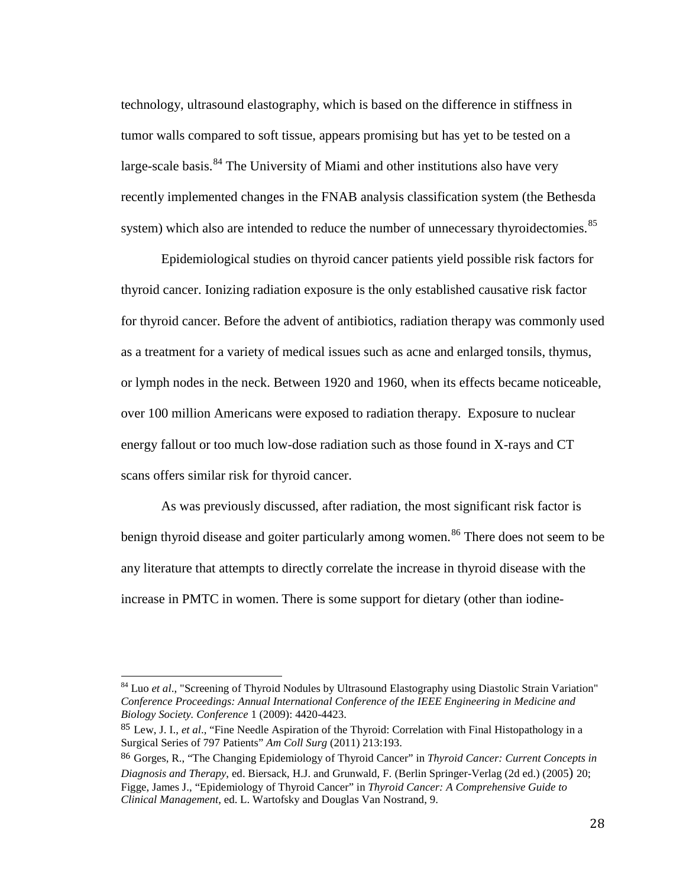technology, ultrasound elastography, which is based on the difference in stiffness in tumor walls compared to soft tissue, appears promising but has yet to be tested on a large-scale basis. $84$  The University of Miami and other institutions also have very recently implemented changes in the FNAB analysis classification system (the Bethesda system) which also are intended to reduce the number of unnecessary thyroidectomies.<sup>[85](#page-34-1)</sup>

Epidemiological studies on thyroid cancer patients yield possible risk factors for thyroid cancer. Ionizing radiation exposure is the only established causative risk factor for thyroid cancer. Before the advent of antibiotics, radiation therapy was commonly used as a treatment for a variety of medical issues such as acne and enlarged tonsils, thymus, or lymph nodes in the neck. Between 1920 and 1960, when its effects became noticeable, over 100 million Americans were exposed to radiation therapy. Exposure to nuclear energy fallout or too much low-dose radiation such as those found in X-rays and CT scans offers similar risk for thyroid cancer.

As was previously discussed, after radiation, the most significant risk factor is benign thyroid disease and goiter particularly among women.<sup>[86](#page-34-2)</sup> There does not seem to be any literature that attempts to directly correlate the increase in thyroid disease with the increase in PMTC in women. There is some support for dietary (other than iodine-

<span id="page-34-0"></span><sup>&</sup>lt;sup>84</sup> Luo *et al.*, "Screening of Thyroid Nodules by Ultrasound Elastography using Diastolic Strain Variation" *Conference Proceedings: Annual International Conference of the IEEE Engineering in Medicine and Biology Society. Conference* 1 (2009): 4420-4423.

<span id="page-34-1"></span><sup>85</sup> Lew, J. I., *et al*., "Fine Needle Aspiration of the Thyroid: Correlation with Final Histopathology in a Surgical Series of 797 Patients" *Am Coll Surg* (2011) 213:193.

<span id="page-34-2"></span><sup>86</sup> Gorges, R., "The Changing Epidemiology of Thyroid Cancer" in *Thyroid Cancer: Current Concepts in Diagnosis and Therapy*, ed. Biersack, H.J. and Grunwald, F. (Berlin Springer-Verlag (2d ed.) (2005) 20; Figge, James J., "Epidemiology of Thyroid Cancer" in *Thyroid Cancer: A Comprehensive Guide to Clinical Management*, ed. L. Wartofsky and Douglas Van Nostrand, 9.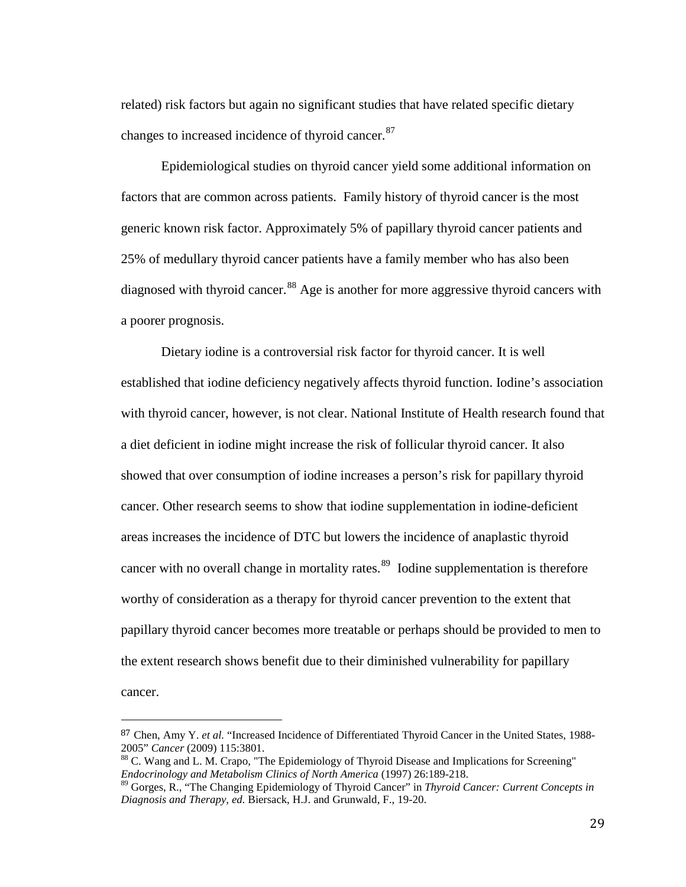related) risk factors but again no significant studies that have related specific dietary changes to increased incidence of thyroid cancer.<sup>87</sup>

Epidemiological studies on thyroid cancer yield some additional information on factors that are common across patients. Family history of thyroid cancer is the most generic known risk factor. Approximately 5% of papillary thyroid cancer patients and 25% of medullary thyroid cancer patients have a family member who has also been diagnosed with thyroid cancer.<sup>[88](#page-35-1)</sup> Age is another for more aggressive thyroid cancers with a poorer prognosis.

Dietary iodine is a controversial risk factor for thyroid cancer. It is well established that iodine deficiency negatively affects thyroid function. Iodine's association with thyroid cancer, however, is not clear. National Institute of Health research found that a diet deficient in iodine might increase the risk of follicular thyroid cancer. It also showed that over consumption of iodine increases a person's risk for papillary thyroid cancer. Other research seems to show that iodine supplementation in iodine-deficient areas increases the incidence of DTC but lowers the incidence of anaplastic thyroid cancer with no overall change in mortality rates.<sup>89</sup> Iodine supplementation is therefore worthy of consideration as a therapy for thyroid cancer prevention to the extent that papillary thyroid cancer becomes more treatable or perhaps should be provided to men to the extent research shows benefit due to their diminished vulnerability for papillary cancer.

<span id="page-35-0"></span> <sup>87</sup> Chen, Amy Y. *et al.* "Increased Incidence of Differentiated Thyroid Cancer in the United States, 1988- 2005" *Cancer* (2009) 115:3801.<br><sup>88</sup> C. Wang and L. M. Crapo, "The Epidemiology of Thyroid Disease and Implications for Screening"

<span id="page-35-1"></span>*Endocrinology and Metabolism Clinics of North America* (1997) 26:189-218.

<span id="page-35-2"></span><sup>89</sup> Gorges, R., "The Changing Epidemiology of Thyroid Cancer" in *Thyroid Cancer: Current Concepts in Diagnosis and Therapy, ed.* Biersack, H.J. and Grunwald, F., 19-20.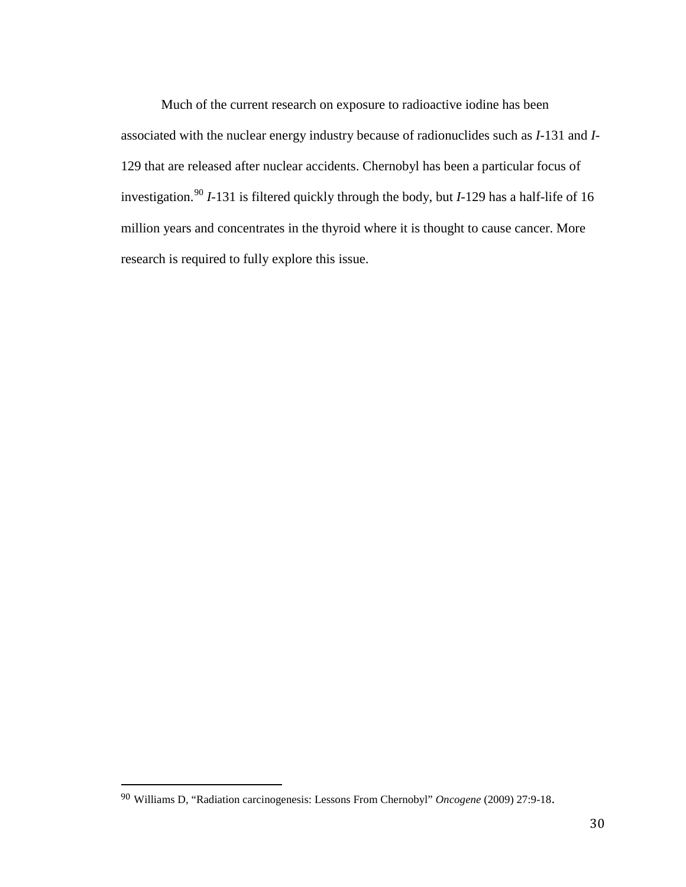Much of the current research on exposure to radioactive iodine has been associated with the nuclear energy industry because of radionuclides such as *I*-131 and *I*-129 that are released after nuclear accidents. Chernobyl has been a particular focus of investigation.[90](#page-36-0) *I*-131 is filtered quickly through the body, but *I*-129 has a half-life of 16 million years and concentrates in the thyroid where it is thought to cause cancer. More research is required to fully explore this issue.

<span id="page-36-0"></span> <sup>90</sup> Williams D, "Radiation carcinogenesis: Lessons From Chernobyl" *Oncogene* (2009) 27:9-18.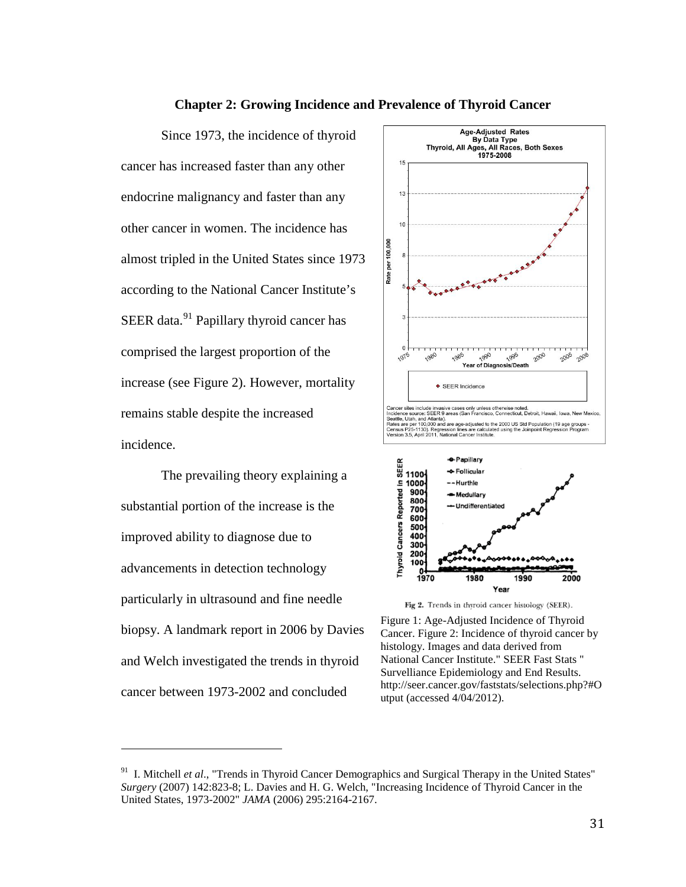

# The prevailing theory explaining a substantial portion of the increase is the improved ability to diagnose due to advancements in detection technology particularly in ultrasound and fine needle biopsy. A landmark report in 2006 by Davies and Welch investigated the trends in thyroid cancer between 1973-2002 and concluded

i<br>I



Fig 2. Trends in thyroid cancer histology (SEER).

Figure 1: Age-Adjusted Incidence of Thyroid Cancer. Figure 2: Incidence of thyroid cancer by histology. Images and data derived from National Cancer Institute." SEER Fast Stats " Survelliance Epidemiology and End Results. http://seer.cancer.gov/faststats/selections.php?#O utput (accessed 4/04/2012).

<span id="page-37-0"></span><sup>&</sup>lt;sup>91</sup> I. Mitchell *et al.*, "Trends in Thyroid Cancer Demographics and Surgical Therapy in the United States" *Surgery* (2007) 142:823-8; L. Davies and H. G. Welch, "Increasing Incidence of Thyroid Cancer in the United States, 1973-2002" *JAMA* (2006) 295:2164-2167.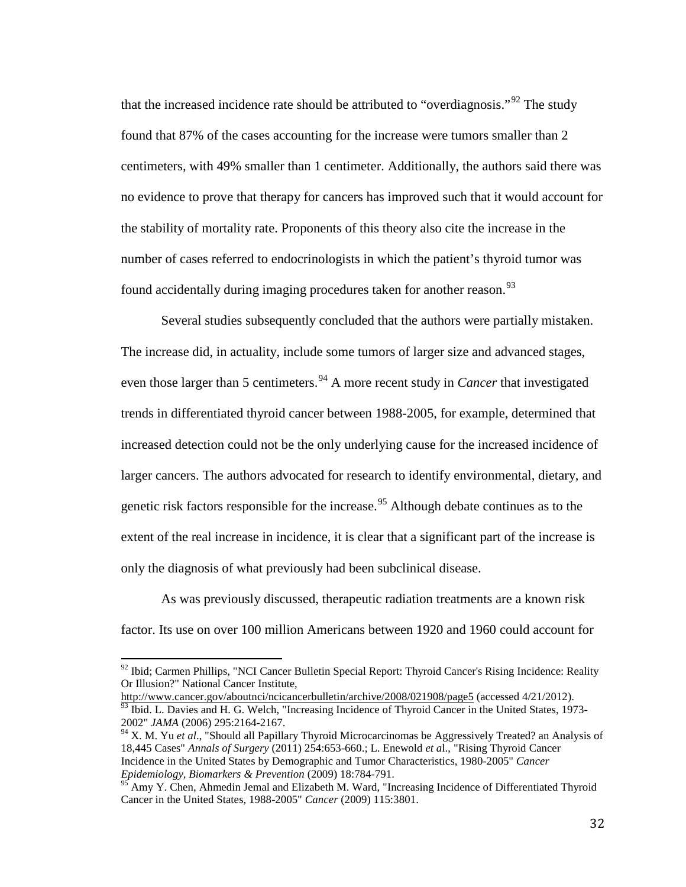that the increased incidence rate should be attributed to "overdiagnosis."<sup>[92](#page-38-0)</sup> The study found that 87% of the cases accounting for the increase were tumors smaller than 2 centimeters, with 49% smaller than 1 centimeter. Additionally, the authors said there was no evidence to prove that therapy for cancers has improved such that it would account for the stability of mortality rate. Proponents of this theory also cite the increase in the number of cases referred to endocrinologists in which the patient's thyroid tumor was found accidentally during imaging procedures taken for another reason.<sup>[93](#page-38-1)</sup>

Several studies subsequently concluded that the authors were partially mistaken. The increase did, in actuality, include some tumors of larger size and advanced stages, even those larger than 5 centimeters.<sup>[94](#page-38-2)</sup> A more recent study in *Cancer* that investigated trends in differentiated thyroid cancer between 1988-2005, for example, determined that increased detection could not be the only underlying cause for the increased incidence of larger cancers. The authors advocated for research to identify environmental, dietary, and genetic risk factors responsible for the increase.<sup>[95](#page-38-3)</sup> Although debate continues as to the extent of the real increase in incidence, it is clear that a significant part of the increase is only the diagnosis of what previously had been subclinical disease.

As was previously discussed, therapeutic radiation treatments are a known risk factor. Its use on over 100 million Americans between 1920 and 1960 could account for

<span id="page-38-1"></span> $\frac{93}{93}$  Ibid. L. Davies and H. G. Welch, "Increasing Incidence of Thyroid Cancer in the United States, 1973-2002" *JAMA* (2006) 295:2164-2167.

<span id="page-38-0"></span> $92$  Ibid; Carmen Phillips, "NCI Cancer Bulletin Special Report: Thyroid Cancer's Rising Incidence: Reality Or Illusion?" National Cancer Institute,<br>http://www.cancer.gov/aboutnci/ncicancerbulletin/archive/2008/021908/page5 (accessed 4/21/2012).

<span id="page-38-2"></span><sup>94</sup> X. M. Yu *et al*., "Should all Papillary Thyroid Microcarcinomas be Aggressively Treated? an Analysis of 18,445 Cases" *Annals of Surgery* (2011) 254:653-660.; L. Enewold *et a*l., "Rising Thyroid Cancer Incidence in the United States by Demographic and Tumor Characteristics, 1980-2005" *Cancer Epidemiology, Biomarkers & Prevention* (2009) 18:784-791.

<span id="page-38-3"></span><sup>&</sup>lt;sup>95</sup> Amy Y. Chen, Ahmedin Jemal and Elizabeth M. Ward, "Increasing Incidence of Differentiated Thyroid Cancer in the United States, 1988-2005" *Cancer* (2009) 115:3801.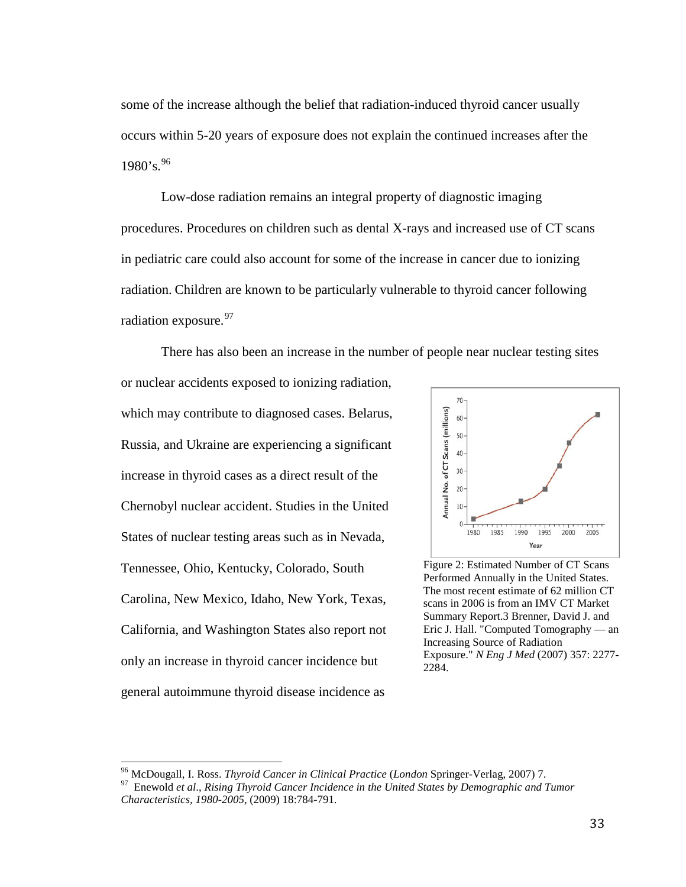some of the increase although the belief that radiation-induced thyroid cancer usually occurs within 5-20 years of exposure does not explain the continued increases after the 1980's. [96](#page-39-0)

Low-dose radiation remains an integral property of diagnostic imaging procedures. Procedures on children such as dental X-rays and increased use of CT scans in pediatric care could also account for some of the increase in cancer due to ionizing radiation. Children are known to be particularly vulnerable to thyroid cancer following radiation exposure.<sup>[97](#page-39-1)</sup>

There has also been an increase in the number of people near nuclear testing sites or nuclear accidents exposed to ionizing radiation, which may contribute to diagnosed cases. Belarus, Russia, and Ukraine are experiencing a significant increase in thyroid cases as a direct result of the Chernobyl nuclear accident. Studies in the United States of nuclear testing areas such as in Nevada, Tennessee, Ohio, Kentucky, Colorado, South Carolina, New Mexico, Idaho, New York, Texas, California, and Washington States also report not only an increase in thyroid cancer incidence but general autoimmune thyroid disease incidence as



Figure 2: Estimated Number of CT Scans Performed Annually in the United States. The most recent estimate of 62 million CT scans in 2006 is from an IMV CT Market Summary Report.3 Brenner, David J. and Eric J. Hall. "Computed Tomography — an Increasing Source of Radiation Exposure." *N Eng J Med* (2007) 357: 2277- 2284.

<span id="page-39-1"></span><span id="page-39-0"></span>

<sup>&</sup>lt;sup>96</sup> McDougall, I. Ross. *Thyroid Cancer in Clinical Practice* (*London Springer-Verlag, 2007*) 7.<br><sup>97</sup> Enewold *et al., Rising Thyroid Cancer Incidence in the United States by Demographic and Tumor Characteristics, 1980-2005*, (2009) 18:784-791.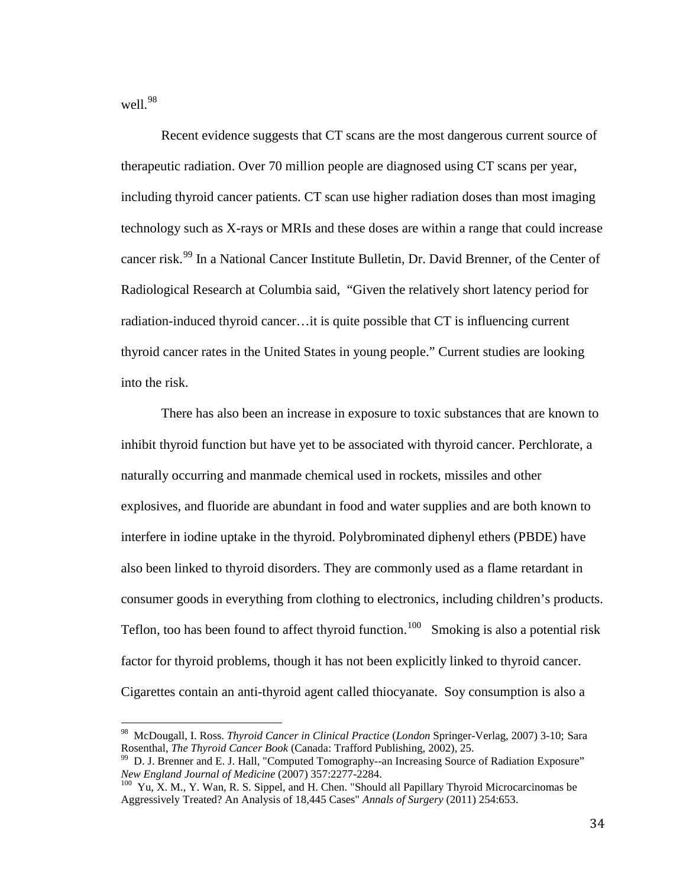well.<sup>[98](#page-40-0)</sup>

Recent evidence suggests that CT scans are the most dangerous current source of therapeutic radiation. Over 70 million people are diagnosed using CT scans per year, including thyroid cancer patients. CT scan use higher radiation doses than most imaging technology such as X-rays or MRIs and these doses are within a range that could increase cancer risk.<sup>[99](#page-40-1)</sup> In a National Cancer Institute Bulletin, Dr. David Brenner, of the Center of Radiological Research at Columbia said, "Given the relatively short latency period for radiation-induced thyroid cancer…it is quite possible that CT is influencing current thyroid cancer rates in the United States in young people." Current studies are looking into the risk.

There has also been an increase in exposure to toxic substances that are known to inhibit thyroid function but have yet to be associated with thyroid cancer. Perchlorate, a naturally occurring and manmade chemical used in rockets, missiles and other explosives, and fluoride are abundant in food and water supplies and are both known to interfere in iodine uptake in the thyroid. Polybrominated diphenyl ethers (PBDE) have also been linked to thyroid disorders. They are commonly used as a flame retardant in consumer goods in everything from clothing to electronics, including children's products. Teflon, too has been found to affect thyroid function.<sup>[100](#page-40-2)</sup> Smoking is also a potential risk factor for thyroid problems, though it has not been explicitly linked to thyroid cancer. Cigarettes contain an anti-thyroid agent called thiocyanate. Soy consumption is also a

<span id="page-40-0"></span><sup>&</sup>lt;sup>98</sup> McDougall, I. Ross. *Thyroid Cancer in Clinical Practice* (*London Springer-Verlag, 2007*) 3-10; Sara Rosenthal, *The Thyroid Cancer Book* (Canada: Trafford Publishing, 2002), 25.

<span id="page-40-1"></span><sup>&</sup>lt;sup>99</sup> D. J. Brenner and E. J. Hall, "Computed Tomography--an Increasing Source of Radiation Exposure"<br>New England Journal of Medicine (2007) 357:2277-2284.

<span id="page-40-2"></span><sup>&</sup>lt;sup>100</sup> Yu, X. M., Y. Wan, R. S. Sippel, and H. Chen. "Should all Papillary Thyroid Microcarcinomas be Aggressively Treated? An Analysis of 18,445 Cases" *Annals of Surgery* (2011) 254:653.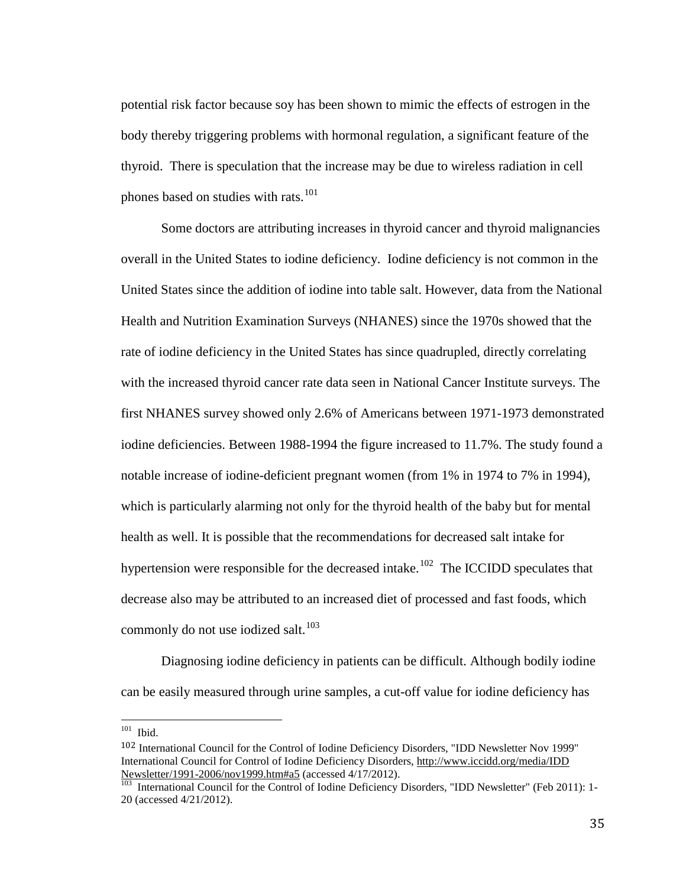potential risk factor because soy has been shown to mimic the effects of estrogen in the body thereby triggering problems with hormonal regulation, a significant feature of the thyroid. There is speculation that the increase may be due to wireless radiation in cell phones based on studies with rats.<sup>[101](#page-41-0)</sup>

 Some doctors are attributing increases in thyroid cancer and thyroid malignancies overall in the United States to iodine deficiency. Iodine deficiency is not common in the United States since the addition of iodine into table salt. However, data from the National Health and Nutrition Examination Surveys (NHANES) since the 1970s showed that the rate of iodine deficiency in the United States has since quadrupled, directly correlating with the increased thyroid cancer rate data seen in National Cancer Institute surveys. The first NHANES survey showed only 2.6% of Americans between 1971-1973 demonstrated iodine deficiencies. Between 1988-1994 the figure increased to 11.7%. The study found a notable increase of iodine-deficient pregnant women (from 1% in 1974 to 7% in 1994), which is particularly alarming not only for the thyroid health of the baby but for mental health as well. It is possible that the recommendations for decreased salt intake for hypertension were responsible for the decreased intake.<sup>[102](#page-41-1)</sup> The ICCIDD speculates that decrease also may be attributed to an increased diet of processed and fast foods, which commonly do not use iodized salt. $103$ 

Diagnosing iodine deficiency in patients can be difficult. Although bodily iodine can be easily measured through urine samples, a cut-off value for iodine deficiency has

<span id="page-41-0"></span> $101$  Ibid.

<span id="page-41-1"></span><sup>102</sup> International Council for the Control of Iodine Deficiency Disorders, "IDD Newsletter Nov 1999" International Council for Control of Iodine Deficiency Disorders, [http://www.iccidd.org/media/IDD](http://www.iccidd.org/media/IDD%20Newsletter/1991-2006/nov1999.htm#a5)  [Newsletter/1991-2006/nov1999.htm#a5](http://www.iccidd.org/media/IDD%20Newsletter/1991-2006/nov1999.htm#a5) (accessed 4/17/2012).<br><sup>103</sup> International Council for the Control of Iodine Deficiency Disorders, "IDD Newsletter" (Feb 2011): 1-

<span id="page-41-2"></span><sup>20 (</sup>accessed 4/21/2012).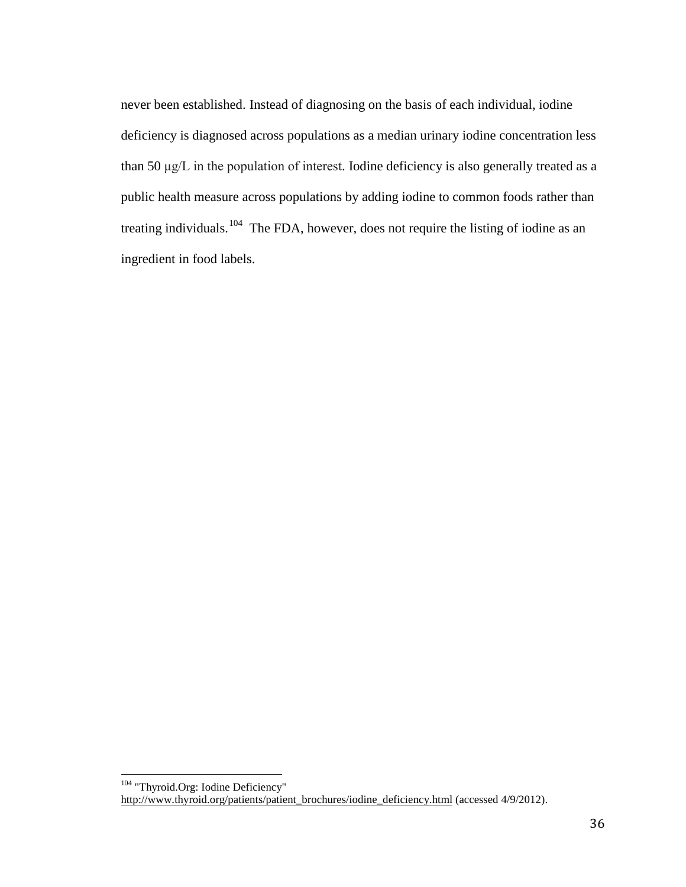never been established. Instead of diagnosing on the basis of each individual, iodine deficiency is diagnosed across populations as a median urinary iodine concentration less than 50 μg/L in the population of interest. Iodine deficiency is also generally treated as a public health measure across populations by adding iodine to common foods rather than treating individuals.<sup>[104](#page-42-0)</sup> The FDA, however, does not require the listing of iodine as an ingredient in food labels.

<span id="page-42-0"></span><sup>&</sup>lt;sup>104</sup> "Thyroid.Org: Iodine Deficiency" [http://www.thyroid.org/patients/patient\\_brochures/iodine\\_deficiency.html](http://www.thyroid.org/patients/patient_brochures/iodine_deficiency.html) (accessed 4/9/2012).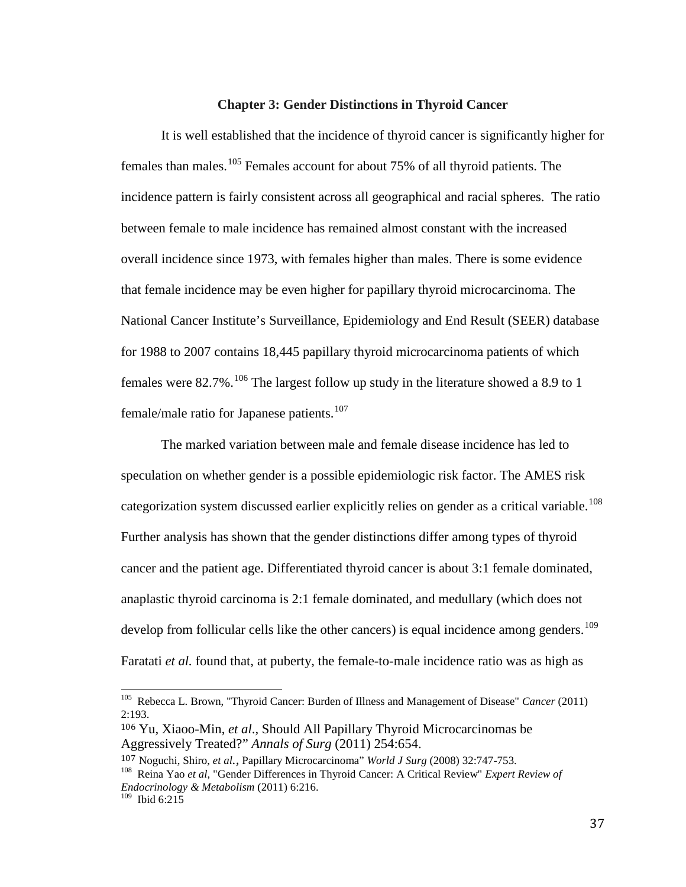#### **Chapter 3: Gender Distinctions in Thyroid Cancer**

It is well established that the incidence of thyroid cancer is significantly higher for females than males.<sup>[105](#page-43-0)</sup> Females account for about 75% of all thyroid patients. The incidence pattern is fairly consistent across all geographical and racial spheres. The ratio between female to male incidence has remained almost constant with the increased overall incidence since 1973, with females higher than males. There is some evidence that female incidence may be even higher for papillary thyroid microcarcinoma. The National Cancer Institute's Surveillance, Epidemiology and End Result (SEER) database for 1988 to 2007 contains 18,445 papillary thyroid microcarcinoma patients of which females were  $82.7\%$ .<sup>[106](#page-43-1)</sup> The largest follow up study in the literature showed a 8.9 to 1 female/male ratio for Japanese patients.<sup>[107](#page-43-2)</sup>

The marked variation between male and female disease incidence has led to speculation on whether gender is a possible epidemiologic risk factor. The AMES risk categorization system discussed earlier explicitly relies on gender as a critical variable.<sup>[108](#page-43-3)</sup> Further analysis has shown that the gender distinctions differ among types of thyroid cancer and the patient age. Differentiated thyroid cancer is about 3:1 female dominated, anaplastic thyroid carcinoma is 2:1 female dominated, and medullary (which does not develop from follicular cells like the other cancers) is equal incidence among genders.<sup>[109](#page-43-4)</sup> Faratati *et al.* found that, at puberty, the female-to-male incidence ratio was as high as

<span id="page-43-0"></span><sup>105</sup> Rebecca L. Brown, "Thyroid Cancer: Burden of Illness and Management of Disease" *Cancer* (2011) 2:193.

<span id="page-43-1"></span><sup>106</sup> Yu, Xiaoo-Min, *et al*., Should All Papillary Thyroid Microcarcinomas be Aggressively Treated?" *Annals of Surg* (2011) 254:654.

<span id="page-43-3"></span><span id="page-43-2"></span>

<sup>107</sup> Noguchi, Shiro, *et al.,* Papillary Microcarcinoma" *World J Surg* (2008) 32:747-753. <sup>108</sup> Reina Yao *et al*, "Gender Differences in Thyroid Cancer: A Critical Review" *Expert Review of Endocrinology & Metabolism* (2011) 6:216.

<span id="page-43-4"></span><sup>109</sup> Ibid 6:215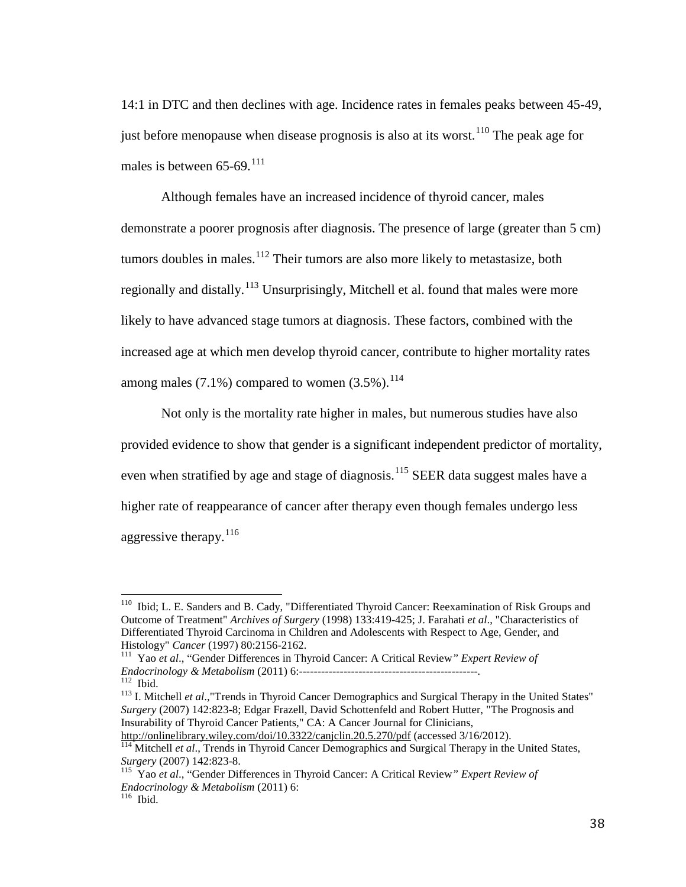14:1 in DTC and then declines with age. Incidence rates in females peaks between 45-49, just before menopause when disease prognosis is also at its worst.<sup>[110](#page-44-0)</sup> The peak age for males is between  $65-69$ .<sup>[111](#page-44-1)</sup>

Although females have an increased incidence of thyroid cancer, males demonstrate a poorer prognosis after diagnosis. The presence of large (greater than 5 cm) tumors doubles in males. $112$  Their tumors are also more likely to metastasize, both regionally and distally.<sup>[113](#page-44-3)</sup> Unsurprisingly, Mitchell et al. found that males were more likely to have advanced stage tumors at diagnosis. These factors, combined with the increased age at which men develop thyroid cancer, contribute to higher mortality rates among males  $(7.1\%)$  compared to women  $(3.5\%)$ .<sup>[114](#page-44-4)</sup>

Not only is the mortality rate higher in males, but numerous studies have also provided evidence to show that gender is a significant independent predictor of mortality, even when stratified by age and stage of diagnosis.<sup>[115](#page-44-5)</sup> SEER data suggest males have a higher rate of reappearance of cancer after therapy even though females undergo less aggressive therapy.<sup>[116](#page-44-6)</sup>

<span id="page-44-0"></span>110 Ibid; L. E. Sanders and B. Cady, "Differentiated Thyroid Cancer: Reexamination of Risk Groups and Outcome of Treatment" *Archives of Surgery* (1998) 133:419-425; J. Farahati *et al*., "Characteristics of Differentiated Thyroid Carcinoma in Children and Adolescents with Respect to Age, Gender, and Histology" Cancer (1997) 80:2156-2162.

<span id="page-44-1"></span>Histology" *Cancer* (1997) 80:2156-2162. <sup>111</sup> Yao *et al*., "Gender Differences in Thyroid Cancer: A Critical Review*" Expert Review of* 

<span id="page-44-3"></span><span id="page-44-2"></span>*Endocrinomics*<br><sup>112</sup> Ibid.<br><sup>113</sup> I. Mitchell *et al.*,"Trends in Thyroid Cancer Demographics and Surgical Therapy in the United States" *Surgery* (2007) 142:823-8; Edgar Frazell, David Schottenfeld and Robert Hutter, "The Prognosis and Insurability of Thyroid Cancer Patients," CA: A Cancer Journal for Clinicians,

<span id="page-44-4"></span><http://onlinelibrary.wiley.com/doi/10.3322/canjclin.20.5.270/pdf> (accessed 3/16/2012).<br><sup>114</sup> Mitchell *et al.*, Trends in Thyroid Cancer Demographics and Surgical Therapy in the United States,<br>*Surgery* (2007) 142:823-8.

<span id="page-44-6"></span><span id="page-44-5"></span><sup>&</sup>lt;sup>115</sup> Yao et al., "Gender Differences in Thyroid Cancer: A Critical Review" Expert Review of *Endocrinology & Metabolism* (2011) 6: 116 Ibid.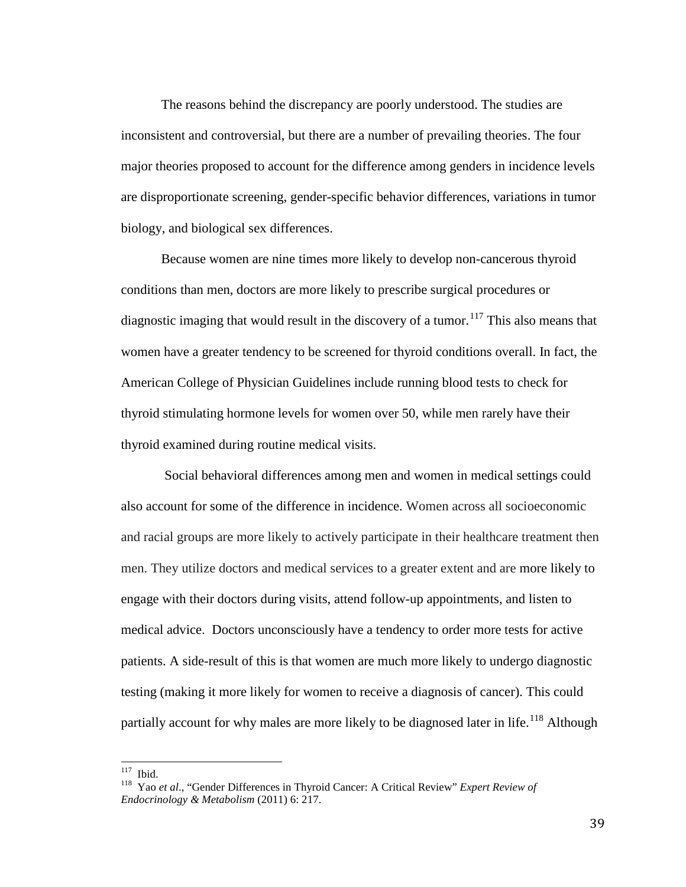The reasons behind the discrepancy are poorly understood. The studies are inconsistent and controversial, but there are a number of prevailing theories. The four major theories proposed to account for the difference among genders in incidence levels are disproportionate screening, gender-specific behavior differences, variations in tumor biology, and biological sex differences.

Because women are nine times more likely to develop non-cancerous thyroid conditions than men, doctors are more likely to prescribe surgical procedures or diagnostic imaging that would result in the discovery of a tumor.<sup>[117](#page-45-0)</sup> This also means that women have a greater tendency to be screened for thyroid conditions overall. In fact, the American College of Physician Guidelines include running blood tests to check for thyroid stimulating hormone levels for women over 50, while men rarely have their thyroid examined during routine medical visits.

Social behavioral differences among men and women in medical settings could also account for some of the difference in incidence. Women across all socioeconomic and racial groups are more likely to actively participate in their healthcare treatment then men. They utilize doctors and medical services to a greater extent and are more likely to engage with their doctors during visits, attend follow-up appointments, and listen to medical advice. Doctors unconsciously have a tendency to order more tests for active patients. A side-result of this is that women are much more likely to undergo diagnostic testing (making it more likely for women to receive a diagnosis of cancer). This could partially account for why males are more likely to be diagnosed later in life.<sup>[118](#page-45-1)</sup> Although

<span id="page-45-1"></span><span id="page-45-0"></span><sup>&</sup>lt;sup>117</sup> Ibid.<br><sup>118</sup> Yao *et al.*, "Gender Differences in Thyroid Cancer: A Critical Review" *Expert Review of Endocrinology & Metabolism* (2011) 6: 217.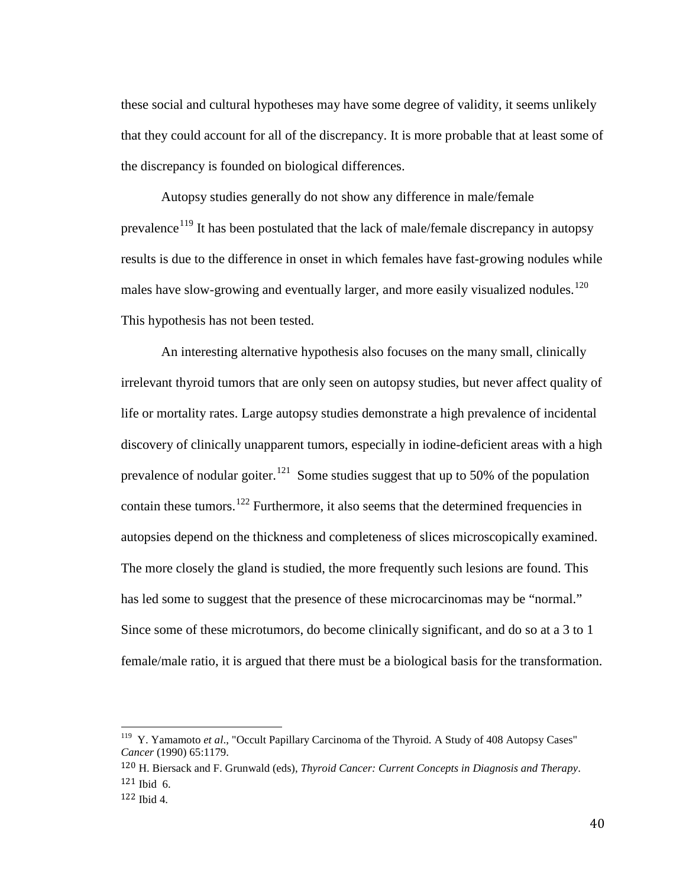these social and cultural hypotheses may have some degree of validity, it seems unlikely that they could account for all of the discrepancy. It is more probable that at least some of the discrepancy is founded on biological differences.

Autopsy studies generally do not show any difference in male/female prevalence<sup>[119](#page-46-0)</sup> It has been postulated that the lack of male/female discrepancy in autopsy results is due to the difference in onset in which females have fast-growing nodules while males have slow-growing and eventually larger, and more easily visualized nodules.<sup>[120](#page-46-1)</sup> This hypothesis has not been tested.

An interesting alternative hypothesis also focuses on the many small, clinically irrelevant thyroid tumors that are only seen on autopsy studies, but never affect quality of life or mortality rates. Large autopsy studies demonstrate a high prevalence of incidental discovery of clinically unapparent tumors, especially in iodine-deficient areas with a high prevalence of nodular goiter.<sup>[121](#page-46-2)</sup> Some studies suggest that up to 50% of the population contain these tumors.<sup>[122](#page-46-3)</sup> Furthermore, it also seems that the determined frequencies in autopsies depend on the thickness and completeness of slices microscopically examined. The more closely the gland is studied, the more frequently such lesions are found. This has led some to suggest that the presence of these microcarcinomas may be "normal." Since some of these microtumors, do become clinically significant, and do so at a 3 to 1 female/male ratio, it is argued that there must be a biological basis for the transformation.

<span id="page-46-0"></span><sup>&</sup>lt;sup>119</sup> Y. Yamamoto *et al.*, "Occult Papillary Carcinoma of the Thyroid. A Study of 408 Autopsy Cases" *Cancer* (1990) 65:1179.

<span id="page-46-2"></span><span id="page-46-1"></span><sup>120</sup> H. Biersack and F. Grunwald (eds), *Thyroid Cancer: Current Concepts in Diagnosis and Therapy*. 121 Ibid 6.

<span id="page-46-3"></span> $122$  Ibid 4.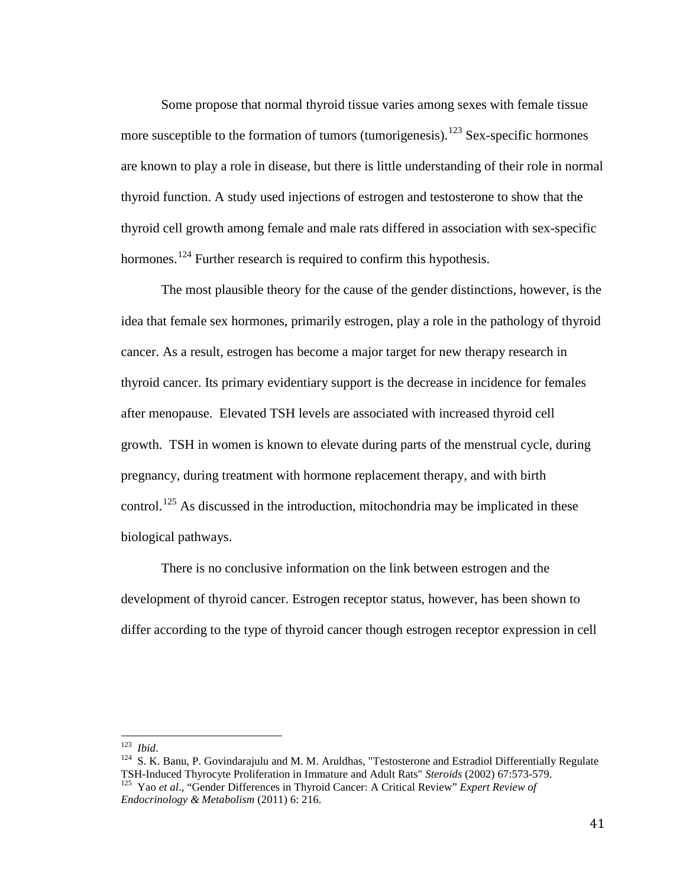Some propose that normal thyroid tissue varies among sexes with female tissue more susceptible to the formation of tumors (tumorigenesis).<sup>[123](#page-47-0)</sup> Sex-specific hormones are known to play a role in disease, but there is little understanding of their role in normal thyroid function. A study used injections of estrogen and testosterone to show that the thyroid cell growth among female and male rats differed in association with sex-specific hormones.<sup>[124](#page-47-1)</sup> Further research is required to confirm this hypothesis.

The most plausible theory for the cause of the gender distinctions, however, is the idea that female sex hormones, primarily estrogen, play a role in the pathology of thyroid cancer. As a result, estrogen has become a major target for new therapy research in thyroid cancer. Its primary evidentiary support is the decrease in incidence for females after menopause. Elevated TSH levels are associated with increased thyroid cell growth. TSH in women is known to elevate during parts of the menstrual cycle, during pregnancy, during treatment with hormone replacement therapy, and with birth control.<sup>[125](#page-47-2)</sup> As discussed in the introduction, mitochondria may be implicated in these biological pathways.

There is no conclusive information on the link between estrogen and the development of thyroid cancer. Estrogen receptor status, however, has been shown to differ according to the type of thyroid cancer though estrogen receptor expression in cell

<span id="page-47-1"></span><span id="page-47-0"></span><sup>&</sup>lt;sup>123</sup> *Ibid.* 124 S. K. Banu, P. Govindarajulu and M. M. Aruldhas, "Testosterone and Estradiol Differentially Regulate TSH-Induced Thyrocyte Proliferation in Immature and Adult Rats" *Steroids* (2002) 67:573-579. <sup>125</sup> Yao et al., "Gender Differences in Thyroid Cancer: A Critical Review" *Expert Review of* 

<span id="page-47-2"></span>*Endocrinology & Metabolism* (2011) 6: 216.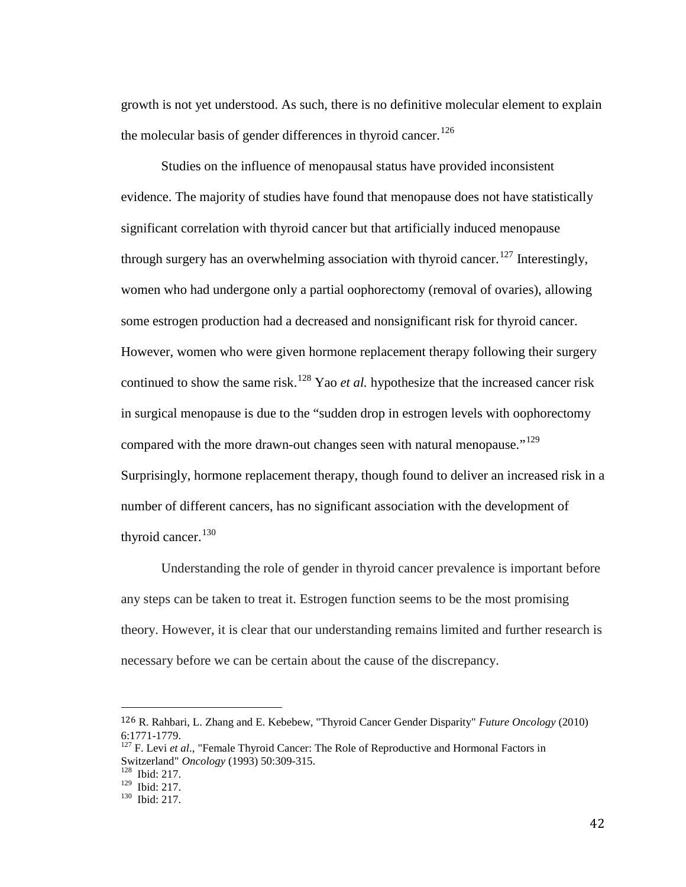growth is not yet understood. As such, there is no definitive molecular element to explain the molecular basis of gender differences in thyroid cancer.<sup>[126](#page-48-0)</sup>

Studies on the influence of menopausal status have provided inconsistent evidence. The majority of studies have found that menopause does not have statistically significant correlation with thyroid cancer but that artificially induced menopause through surgery has an overwhelming association with thyroid cancer.<sup>[127](#page-48-1)</sup> Interestingly, women who had undergone only a partial oophorectomy (removal of ovaries), allowing some estrogen production had a decreased and nonsignificant risk for thyroid cancer. However, women who were given hormone replacement therapy following their surgery continued to show the same risk.<sup>[128](#page-48-2)</sup> Yao *et al.* hypothesize that the increased cancer risk in surgical menopause is due to the "sudden drop in estrogen levels with oophorectomy compared with the more drawn-out changes seen with natural menopause."<sup>[129](#page-48-3)</sup> Surprisingly, hormone replacement therapy, though found to deliver an increased risk in a number of different cancers, has no significant association with the development of thyroid cancer.<sup>[130](#page-48-4)</sup>

Understanding the role of gender in thyroid cancer prevalence is important before any steps can be taken to treat it. Estrogen function seems to be the most promising theory. However, it is clear that our understanding remains limited and further research is necessary before we can be certain about the cause of the discrepancy.

<span id="page-48-0"></span> <sup>126</sup> R. Rahbari, L. Zhang and E. Kebebew, "Thyroid Cancer Gender Disparity" *Future Oncology* (2010) 6:1771-1779.<br><sup>127</sup> F. Levi *et al.*, "Female Thyroid Cancer: The Role of Reproductive and Hormonal Factors in

<span id="page-48-1"></span>Switzerland" *Oncology* (1993) 50:309-315.<br><sup>128</sup> Ibid: 217.<br><sup>129</sup> Ibid: 217.

<span id="page-48-2"></span>

<span id="page-48-4"></span><span id="page-48-3"></span><sup>&</sup>lt;sup>130</sup> Ibid: 217.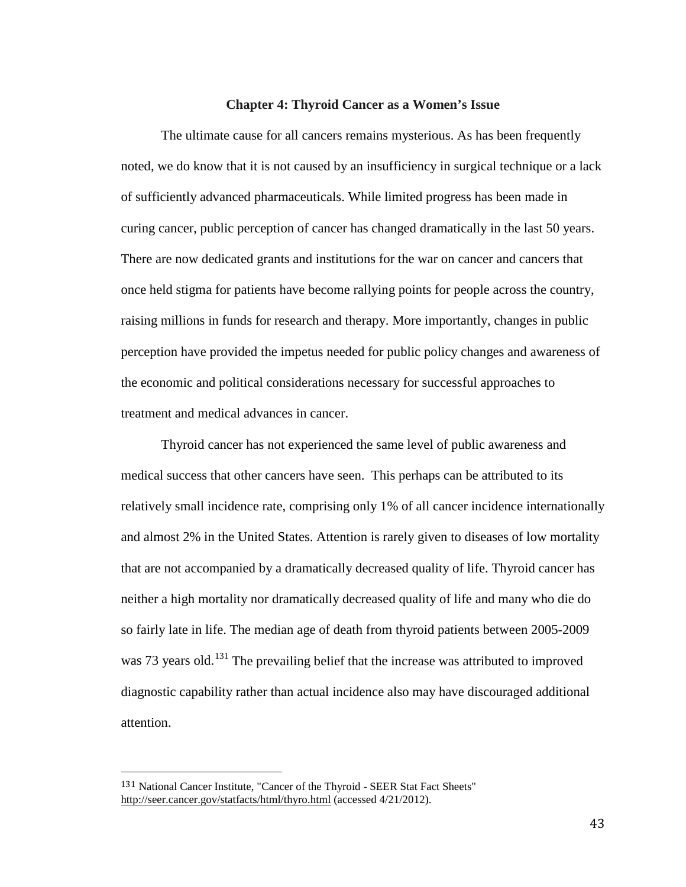# **Chapter 4: Thyroid Cancer as a Women's Issue**

The ultimate cause for all cancers remains mysterious. As has been frequently noted, we do know that it is not caused by an insufficiency in surgical technique or a lack of sufficiently advanced pharmaceuticals. While limited progress has been made in curing cancer, public perception of cancer has changed dramatically in the last 50 years. There are now dedicated grants and institutions for the war on cancer and cancers that once held stigma for patients have become rallying points for people across the country, raising millions in funds for research and therapy. More importantly, changes in public perception have provided the impetus needed for public policy changes and awareness of the economic and political considerations necessary for successful approaches to treatment and medical advances in cancer.

Thyroid cancer has not experienced the same level of public awareness and medical success that other cancers have seen. This perhaps can be attributed to its relatively small incidence rate, comprising only 1% of all cancer incidence internationally and almost 2% in the United States. Attention is rarely given to diseases of low mortality that are not accompanied by a dramatically decreased quality of life. Thyroid cancer has neither a high mortality nor dramatically decreased quality of life and many who die do so fairly late in life. The median age of death from thyroid patients between 2005-2009 was 73 years old.<sup>[131](#page-49-0)</sup> The prevailing belief that the increase was attributed to improved diagnostic capability rather than actual incidence also may have discouraged additional attention.

<span id="page-49-0"></span> <sup>131</sup> National Cancer Institute, "Cancer of the Thyroid - SEER Stat Fact Sheets" <http://seer.cancer.gov/statfacts/html/thyro.html> (accessed 4/21/2012).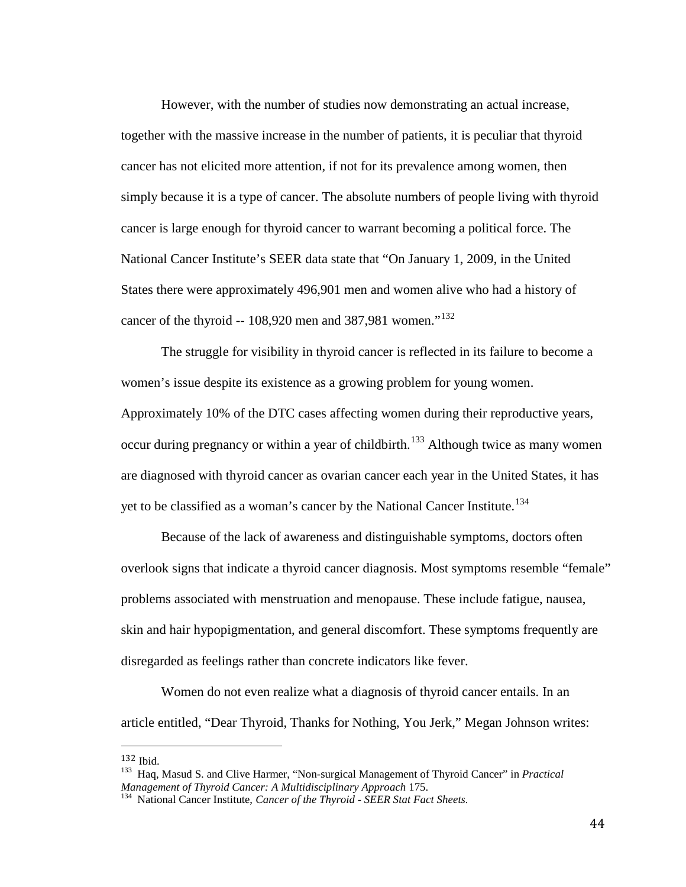However, with the number of studies now demonstrating an actual increase, together with the massive increase in the number of patients, it is peculiar that thyroid cancer has not elicited more attention, if not for its prevalence among women, then simply because it is a type of cancer. The absolute numbers of people living with thyroid cancer is large enough for thyroid cancer to warrant becoming a political force. The National Cancer Institute's SEER data state that "On January 1, 2009, in the United States there were approximately 496,901 men and women alive who had a history of cancer of the thyroid  $-108,920$  men and 387,981 women."<sup>[132](#page-50-0)</sup>

The struggle for visibility in thyroid cancer is reflected in its failure to become a women's issue despite its existence as a growing problem for young women. Approximately 10% of the DTC cases affecting women during their reproductive years,

occur during pregnancy or within a year of childbirth.<sup>[133](#page-50-1)</sup> Although twice as many women are diagnosed with thyroid cancer as ovarian cancer each year in the United States, it has yet to be classified as a woman's cancer by the National Cancer Institute.<sup>[134](#page-50-2)</sup>

Because of the lack of awareness and distinguishable symptoms, doctors often overlook signs that indicate a thyroid cancer diagnosis. Most symptoms resemble "female" problems associated with menstruation and menopause. These include fatigue, nausea, skin and hair hypopigmentation, and general discomfort. These symptoms frequently are disregarded as feelings rather than concrete indicators like fever.

Women do not even realize what a diagnosis of thyroid cancer entails. In an article entitled, "Dear Thyroid, Thanks for Nothing, You Jerk," Megan Johnson writes:

<span id="page-50-1"></span><span id="page-50-0"></span><sup>132</sup> Ibid. <sup>133</sup> Haq, Masud S. and Clive Harmer, "Non-surgical Management of Thyroid Cancer" in *Practical Management of Thyroid Cancer: A Multidisciplinary Approach 175.* <sup>134</sup> National Cancer Institute, *Cancer of the Thyroid - SEER Stat Fact Sheets.* 

<span id="page-50-2"></span>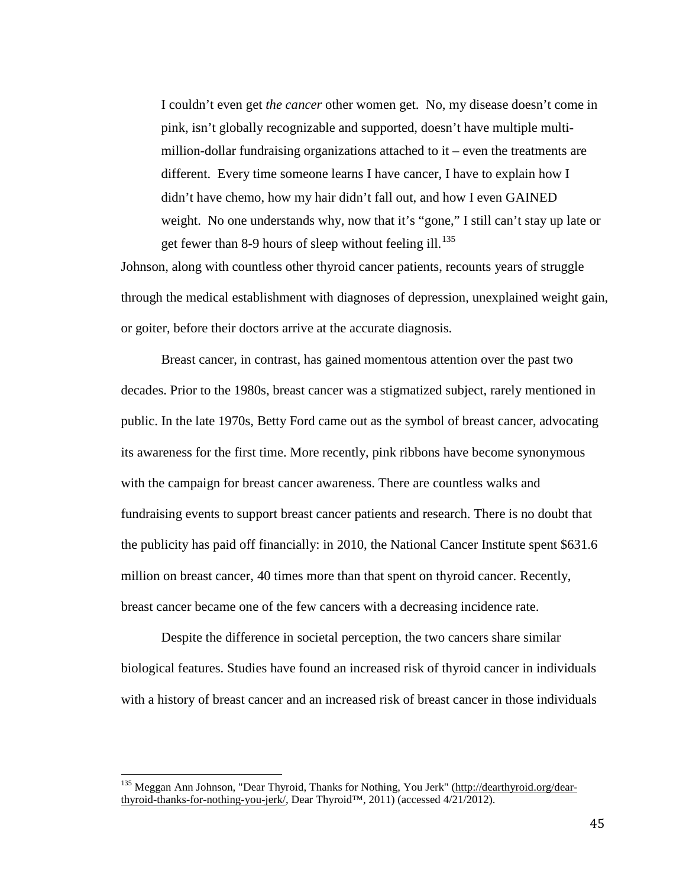I couldn't even get *the cancer* other women get. No, my disease doesn't come in pink, isn't globally recognizable and supported, doesn't have multiple multimillion-dollar fundraising organizations attached to it – even the treatments are different. Every time someone learns I have cancer, I have to explain how I didn't have chemo, how my hair didn't fall out, and how I even GAINED weight. No one understands why, now that it's "gone," I still can't stay up late or get fewer than 8-9 hours of sleep without feeling ill.<sup>[135](#page-51-0)</sup>

Johnson, along with countless other thyroid cancer patients, recounts years of struggle through the medical establishment with diagnoses of depression, unexplained weight gain, or goiter, before their doctors arrive at the accurate diagnosis.

Breast cancer, in contrast, has gained momentous attention over the past two decades. Prior to the 1980s, breast cancer was a stigmatized subject, rarely mentioned in public. In the late 1970s, Betty Ford came out as the symbol of breast cancer, advocating its awareness for the first time. More recently, pink ribbons have become synonymous with the campaign for breast cancer awareness. There are countless walks and fundraising events to support breast cancer patients and research. There is no doubt that the publicity has paid off financially: in 2010, the National Cancer Institute spent \$631.6 million on breast cancer, 40 times more than that spent on thyroid cancer. Recently, breast cancer became one of the few cancers with a decreasing incidence rate.

Despite the difference in societal perception, the two cancers share similar biological features. Studies have found an increased risk of thyroid cancer in individuals with a history of breast cancer and an increased risk of breast cancer in those individuals

<span id="page-51-0"></span><sup>&</sup>lt;sup>135</sup> Meggan Ann Johnson, "Dear Thyroid, Thanks for Nothing, You Jerk" [\(http://dearthyroid.org/dear](http://dearthyroid.org/dear-thyroid-thanks-for-nothing-you-jerk/)[thyroid-thanks-for-nothing-you-jerk/,](http://dearthyroid.org/dear-thyroid-thanks-for-nothing-you-jerk/) Dear Thyroid™, 2011) (accessed 4/21/2012).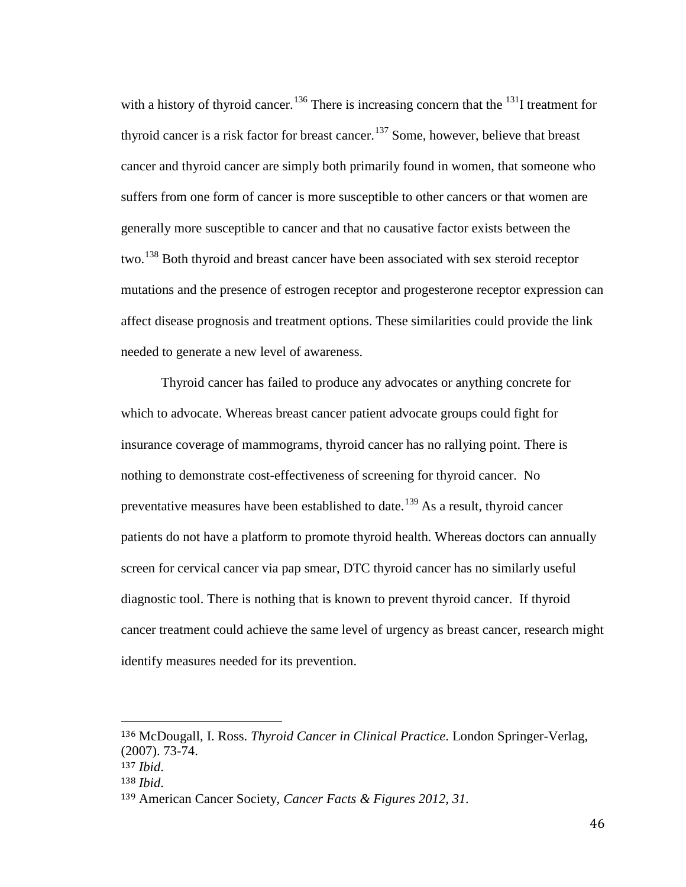with a history of thyroid cancer.<sup>[136](#page-52-0)</sup> There is increasing concern that the <sup>131</sup>I treatment for thyroid cancer is a risk factor for breast cancer.<sup>[137](#page-52-1)</sup> Some, however, believe that breast cancer and thyroid cancer are simply both primarily found in women, that someone who suffers from one form of cancer is more susceptible to other cancers or that women are generally more susceptible to cancer and that no causative factor exists between the two.<sup>[138](#page-52-2)</sup> Both thyroid and breast cancer have been associated with sex steroid receptor mutations and the presence of estrogen receptor and progesterone receptor expression can affect disease prognosis and treatment options. These similarities could provide the link needed to generate a new level of awareness.

Thyroid cancer has failed to produce any advocates or anything concrete for which to advocate. Whereas breast cancer patient advocate groups could fight for insurance coverage of mammograms, thyroid cancer has no rallying point. There is nothing to demonstrate cost-effectiveness of screening for thyroid cancer. No preventative measures have been established to date.<sup>[139](#page-52-3)</sup> As a result, thyroid cancer patients do not have a platform to promote thyroid health. Whereas doctors can annually screen for cervical cancer via pap smear, DTC thyroid cancer has no similarly useful diagnostic tool. There is nothing that is known to prevent thyroid cancer. If thyroid cancer treatment could achieve the same level of urgency as breast cancer, research might identify measures needed for its prevention.

<span id="page-52-3"></span><span id="page-52-2"></span><span id="page-52-1"></span><span id="page-52-0"></span> <sup>136</sup> McDougall, I. Ross. *Thyroid Cancer in Clinical Practice*. London Springer-Verlag, (2007). 73-74. <sup>137</sup> *Ibid*. <sup>138</sup> *Ibid*. <sup>139</sup> American Cancer Society, *Cancer Facts & Figures 2012, 31.*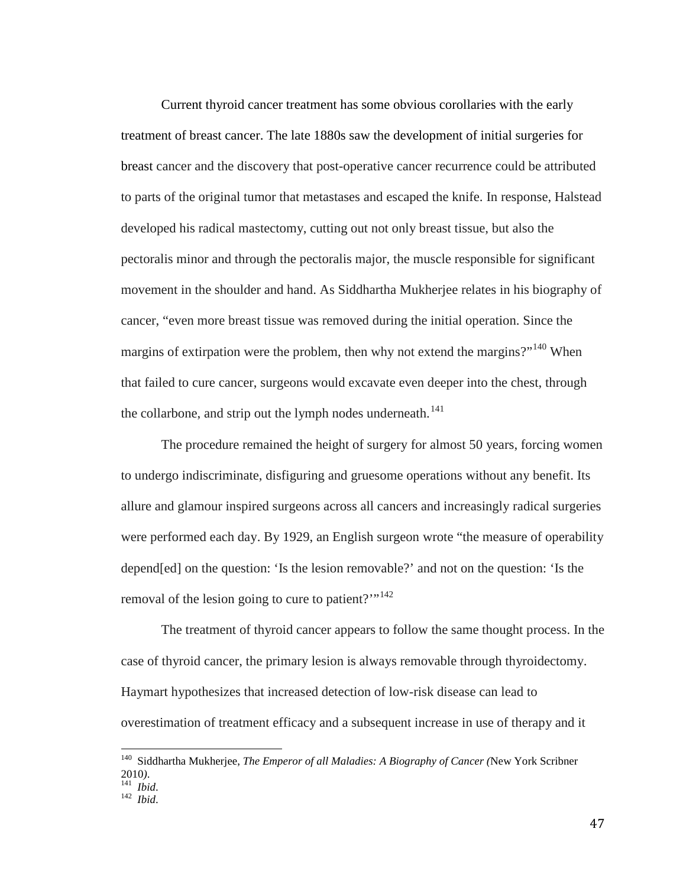Current thyroid cancer treatment has some obvious corollaries with the early treatment of breast cancer. The late 1880s saw the development of initial surgeries for breast cancer and the discovery that post-operative cancer recurrence could be attributed to parts of the original tumor that metastases and escaped the knife. In response, Halstead developed his radical mastectomy, cutting out not only breast tissue, but also the pectoralis minor and through the pectoralis major, the muscle responsible for significant movement in the shoulder and hand. As Siddhartha Mukherjee relates in his biography of cancer, "even more breast tissue was removed during the initial operation. Since the margins of extirpation were the problem, then why not extend the margins?"<sup>[140](#page-53-0)</sup> When that failed to cure cancer, surgeons would excavate even deeper into the chest, through the collarbone, and strip out the lymph nodes underneath.<sup>[141](#page-53-1)</sup>

The procedure remained the height of surgery for almost 50 years, forcing women to undergo indiscriminate, disfiguring and gruesome operations without any benefit. Its allure and glamour inspired surgeons across all cancers and increasingly radical surgeries were performed each day. By 1929, an English surgeon wrote "the measure of operability depend[ed] on the question: 'Is the lesion removable?' and not on the question: 'Is the removal of the lesion going to cure to patient?"<sup>[142](#page-53-2)</sup>

The treatment of thyroid cancer appears to follow the same thought process. In the case of thyroid cancer, the primary lesion is always removable through thyroidectomy. Haymart hypothesizes that increased detection of low-risk disease can lead to overestimation of treatment efficacy and a subsequent increase in use of therapy and it

<span id="page-53-0"></span><sup>140</sup> Siddhartha Mukherjee, *The Emperor of all Maladies: A Biography of Cancer (*New York Scribner <sup>2010</sup>*)*. <sup>141</sup> *Ibid*. <sup>142</sup> *Ibid*.

<span id="page-53-2"></span><span id="page-53-1"></span>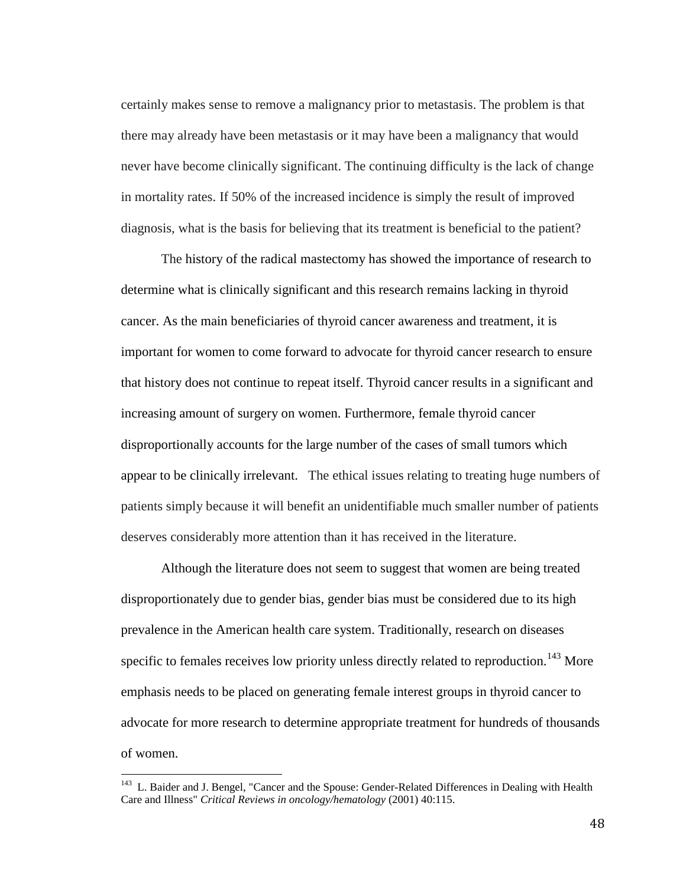certainly makes sense to remove a malignancy prior to metastasis. The problem is that there may already have been metastasis or it may have been a malignancy that would never have become clinically significant. The continuing difficulty is the lack of change in mortality rates. If 50% of the increased incidence is simply the result of improved diagnosis, what is the basis for believing that its treatment is beneficial to the patient?

The history of the radical mastectomy has showed the importance of research to determine what is clinically significant and this research remains lacking in thyroid cancer. As the main beneficiaries of thyroid cancer awareness and treatment, it is important for women to come forward to advocate for thyroid cancer research to ensure that history does not continue to repeat itself. Thyroid cancer results in a significant and increasing amount of surgery on women. Furthermore, female thyroid cancer disproportionally accounts for the large number of the cases of small tumors which appear to be clinically irrelevant. The ethical issues relating to treating huge numbers of patients simply because it will benefit an unidentifiable much smaller number of patients deserves considerably more attention than it has received in the literature.

Although the literature does not seem to suggest that women are being treated disproportionately due to gender bias, gender bias must be considered due to its high prevalence in the American health care system. Traditionally, research on diseases specific to females receives low priority unless directly related to reproduction.<sup>[143](#page-54-0)</sup> More emphasis needs to be placed on generating female interest groups in thyroid cancer to advocate for more research to determine appropriate treatment for hundreds of thousands of women.

<span id="page-54-0"></span><sup>&</sup>lt;sup>143</sup> L. Baider and J. Bengel, "Cancer and the Spouse: Gender-Related Differences in Dealing with Health Care and Illness" *Critical Reviews in oncology/hematology* (2001) 40:115.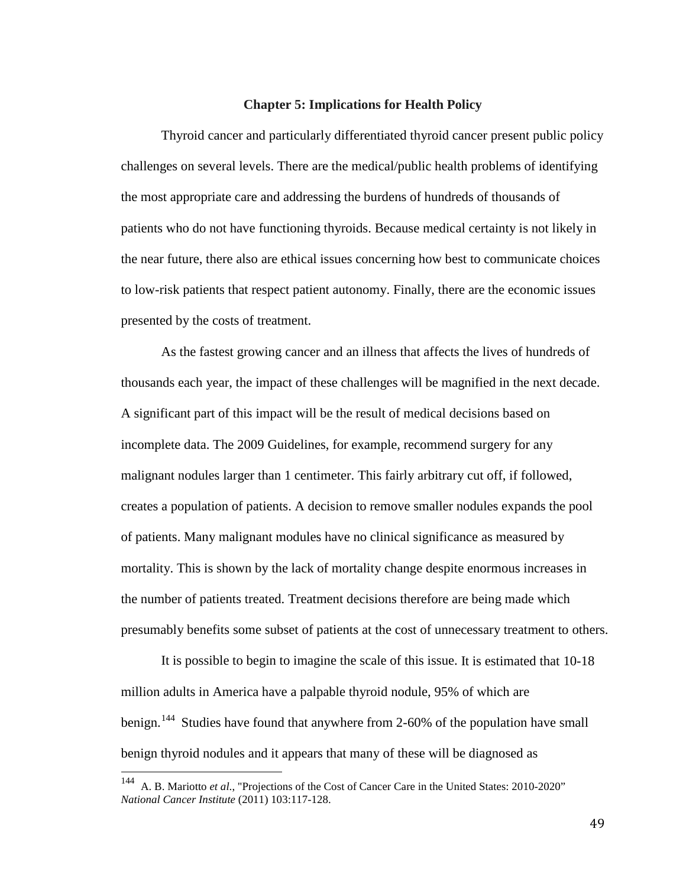# **Chapter 5: Implications for Health Policy**

Thyroid cancer and particularly differentiated thyroid cancer present public policy challenges on several levels. There are the medical/public health problems of identifying the most appropriate care and addressing the burdens of hundreds of thousands of patients who do not have functioning thyroids. Because medical certainty is not likely in the near future, there also are ethical issues concerning how best to communicate choices to low-risk patients that respect patient autonomy. Finally, there are the economic issues presented by the costs of treatment.

As the fastest growing cancer and an illness that affects the lives of hundreds of thousands each year, the impact of these challenges will be magnified in the next decade. A significant part of this impact will be the result of medical decisions based on incomplete data. The 2009 Guidelines, for example, recommend surgery for any malignant nodules larger than 1 centimeter. This fairly arbitrary cut off, if followed, creates a population of patients. A decision to remove smaller nodules expands the pool of patients. Many malignant modules have no clinical significance as measured by mortality. This is shown by the lack of mortality change despite enormous increases in the number of patients treated. Treatment decisions therefore are being made which presumably benefits some subset of patients at the cost of unnecessary treatment to others.

It is possible to begin to imagine the scale of this issue. It is estimated that 10-18 million adults in America have a palpable thyroid nodule, 95% of which are benign.<sup>[144](#page-55-0)</sup> Studies have found that anywhere from 2-60% of the population have small benign thyroid nodules and it appears that many of these will be diagnosed as

49

<span id="page-55-0"></span><sup>144</sup> A. B. Mariotto *et al*., "Projections of the Cost of Cancer Care in the United States: 2010-2020" *National Cancer Institute* (2011) 103:117-128.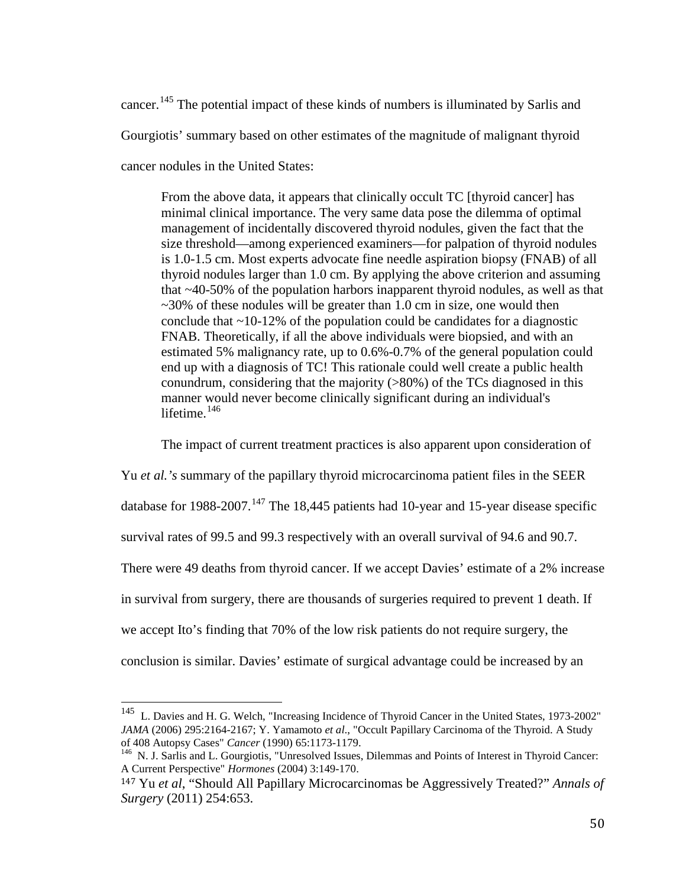cancer.<sup>[145](#page-56-0)</sup> The potential impact of these kinds of numbers is illuminated by Sarlis and Gourgiotis' summary based on other estimates of the magnitude of malignant thyroid cancer nodules in the United States:

From the above data, it appears that clinically occult TC [thyroid cancer] has minimal clinical importance. The very same data pose the dilemma of optimal management of incidentally discovered thyroid nodules, given the fact that the size threshold—among experienced examiners—for palpation of thyroid nodules is 1.0-1.5 cm. Most experts advocate fine needle aspiration biopsy (FNAB) of all thyroid nodules larger than 1.0 cm. By applying the above criterion and assuming that ~40-50% of the population harbors inapparent thyroid nodules, as well as that  $\sim$ 30% of these nodules will be greater than 1.0 cm in size, one would then conclude that  $\sim$ 10-12% of the population could be candidates for a diagnostic FNAB. Theoretically, if all the above individuals were biopsied, and with an estimated 5% malignancy rate, up to 0.6%-0.7% of the general population could end up with a diagnosis of TC! This rationale could well create a public health conundrum, considering that the majority (>80%) of the TCs diagnosed in this manner would never become clinically significant during an individual's lifetime.<sup>[146](#page-56-1)</sup>

The impact of current treatment practices is also apparent upon consideration of

Yu *et al.'s* summary of the papillary thyroid microcarcinoma patient files in the SEER database for 1988-2007.<sup>[147](#page-56-2)</sup> The 18,445 patients had 10-year and 15-year disease specific survival rates of 99.5 and 99.3 respectively with an overall survival of 94.6 and 90.7. There were 49 deaths from thyroid cancer. If we accept Davies' estimate of a 2% increase in survival from surgery, there are thousands of surgeries required to prevent 1 death. If we accept Ito's finding that 70% of the low risk patients do not require surgery, the conclusion is similar. Davies' estimate of surgical advantage could be increased by an

<span id="page-56-0"></span><sup>145</sup> L. Davies and H. G. Welch, "Increasing Incidence of Thyroid Cancer in the United States, 1973-2002" *JAMA* (2006) 295:2164-2167; Y. Yamamoto *et al.*, "Occult Papillary Carcinoma of the Thyroid. A Study of 408 Autopsy Cases" *Cancer* (1990) 65:1173-1179.

<span id="page-56-1"></span><sup>&</sup>lt;sup>146</sup> N. J. Sarlis and L. Gourgiotis, "Unresolved Issues, Dilemmas and Points of Interest in Thyroid Cancer: A Current Perspective" *Hormones* (2004) 3:149-170.

<span id="page-56-2"></span><sup>147</sup> Yu *et al*, "Should All Papillary Microcarcinomas be Aggressively Treated?" *Annals of Surgery* (2011) 254:653.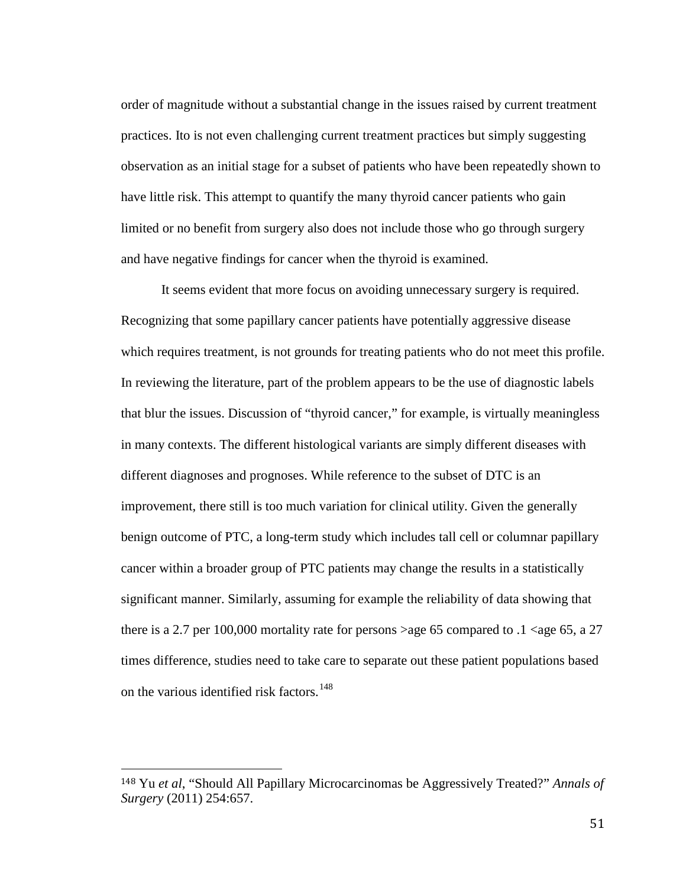order of magnitude without a substantial change in the issues raised by current treatment practices. Ito is not even challenging current treatment practices but simply suggesting observation as an initial stage for a subset of patients who have been repeatedly shown to have little risk. This attempt to quantify the many thyroid cancer patients who gain limited or no benefit from surgery also does not include those who go through surgery and have negative findings for cancer when the thyroid is examined.

It seems evident that more focus on avoiding unnecessary surgery is required. Recognizing that some papillary cancer patients have potentially aggressive disease which requires treatment, is not grounds for treating patients who do not meet this profile. In reviewing the literature, part of the problem appears to be the use of diagnostic labels that blur the issues. Discussion of "thyroid cancer," for example, is virtually meaningless in many contexts. The different histological variants are simply different diseases with different diagnoses and prognoses. While reference to the subset of DTC is an improvement, there still is too much variation for clinical utility. Given the generally benign outcome of PTC, a long-term study which includes tall cell or columnar papillary cancer within a broader group of PTC patients may change the results in a statistically significant manner. Similarly, assuming for example the reliability of data showing that there is a 2.7 per 100,000 mortality rate for persons >age 65 compared to  $.1$  <age 65, a 27 times difference, studies need to take care to separate out these patient populations based on the various identified risk factors.<sup>[148](#page-57-0)</sup>

<span id="page-57-0"></span> <sup>148</sup> Yu *et al*, "Should All Papillary Microcarcinomas be Aggressively Treated?" *Annals of Surgery* (2011) 254:657.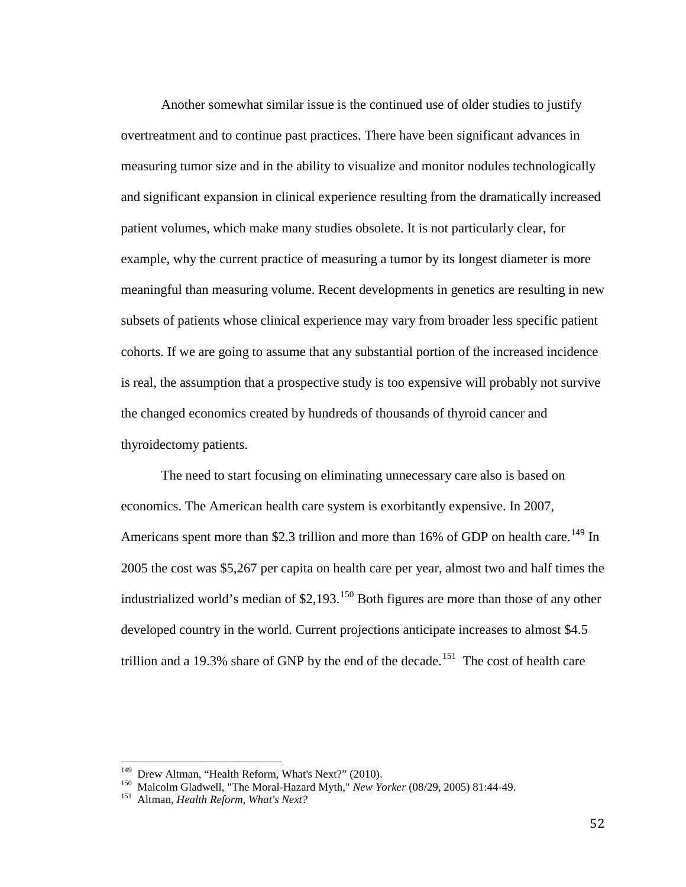Another somewhat similar issue is the continued use of older studies to justify overtreatment and to continue past practices. There have been significant advances in measuring tumor size and in the ability to visualize and monitor nodules technologically and significant expansion in clinical experience resulting from the dramatically increased patient volumes, which make many studies obsolete. It is not particularly clear, for example, why the current practice of measuring a tumor by its longest diameter is more meaningful than measuring volume. Recent developments in genetics are resulting in new subsets of patients whose clinical experience may vary from broader less specific patient cohorts. If we are going to assume that any substantial portion of the increased incidence is real, the assumption that a prospective study is too expensive will probably not survive the changed economics created by hundreds of thousands of thyroid cancer and thyroidectomy patients.

The need to start focusing on eliminating unnecessary care also is based on economics. The American health care system is exorbitantly expensive. In 2007, Americans spent more than \$2.3 trillion and more than 16% of GDP on health care.<sup>[149](#page-58-0)</sup> In 2005 the cost was \$5,267 per capita on health care per year, almost two and half times the industrialized world's median of  $$2,193$ .<sup>[150](#page-58-1)</sup> Both figures are more than those of any other developed country in the world. Current projections anticipate increases to almost \$4.5 trillion and a 19.3% share of GNP by the end of the decade.<sup>[151](#page-58-2)</sup> The cost of health care

<span id="page-58-1"></span><span id="page-58-0"></span><sup>&</sup>lt;sup>149</sup> Drew Altman, "Health Reform, What's Next?" (2010).<br><sup>150</sup> Malcolm Gladwell, "The Moral-Hazard Myth," *New Yorker* (08/29, 2005) 81:44-49.<br><sup>151</sup> Altman, *Health Reform, What's Next?* 

<span id="page-58-2"></span>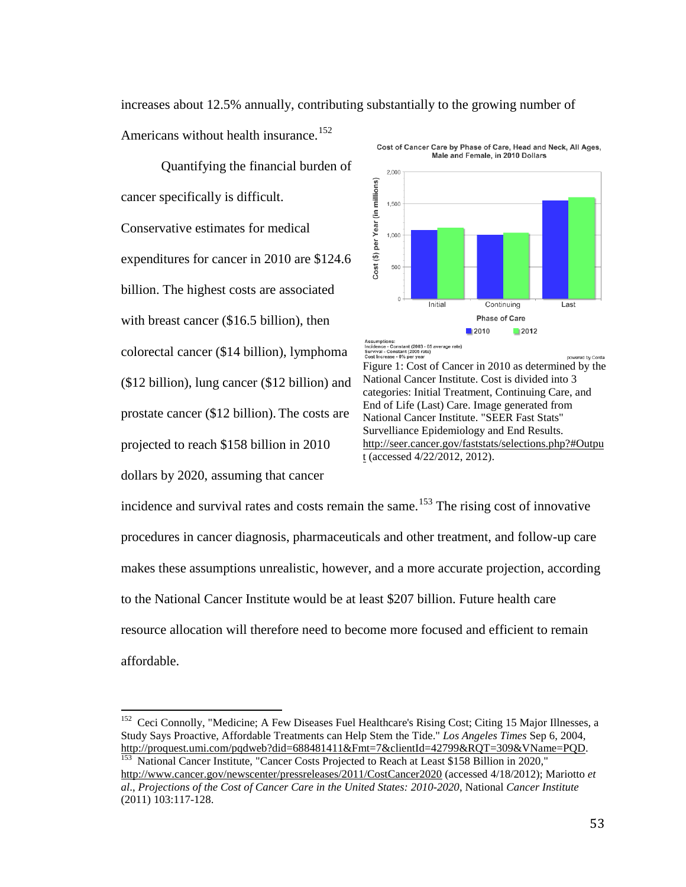increases about 12.5% annually, contributing substantially to the growing number of Americans without health insurance.<sup>[152](#page-59-0)</sup> Cost of Cancer Care by Phase of Care, Head and Neck, All Ages,

Quantifying the financial burden of cancer specifically is difficult. Conservative estimates for medical expenditures for cancer in 2010 are \$124.6 billion. The highest costs are associated with breast cancer (\$16.5 billion), then colorectal cancer (\$14 billion), lymphoma (\$12 billion), lung cancer (\$12 billion) and prostate cancer (\$12 billion). The costs are projected to reach \$158 billion in 2010 dollars by 2020, assuming that cancer



Assumptions:<br>Incidence - Constant (2003 - 05 average rate)<br>Survival - Constant (2005 rate)<br>Cost Increase - 0% per year wered by Corda Figure 1: Cost of Cancer in 2010 as determined by the National Cancer Institute. Cost is divided into 3 categories: Initial Treatment, Continuing Care, and End of Life (Last) Care. Image generated from National Cancer Institute. "SEER Fast Stats" Survelliance Epidemiology and End Results. [http://seer.cancer.gov/faststats/selections.php?#Outpu](http://seer.cancer.gov/faststats/selections.php?#Output) [t](http://seer.cancer.gov/faststats/selections.php?#Output) (accessed 4/22/2012, 2012).

incidence and survival rates and costs remain the same.<sup>[153](#page-59-1)</sup> The rising cost of innovative procedures in cancer diagnosis, pharmaceuticals and other treatment, and follow-up care makes these assumptions unrealistic, however, and a more accurate projection, according to the National Cancer Institute would be at least \$207 billion. Future health care resource allocation will therefore need to become more focused and efficient to remain affordable.

<span id="page-59-0"></span><sup>&</sup>lt;sup>152</sup> Ceci Connolly, "Medicine; A Few Diseases Fuel Healthcare's Rising Cost; Citing 15 Major Illnesses, a Study Says Proactive, Affordable Treatments can Help Stem the Tide." *Los Angeles Times* Sep 6, 2004, [http://proquest.umi.com/pqdweb?did=688481411&Fmt=7&clientId=42799&RQT=309&VName=PQD.](http://proquest.umi.com/pqdweb?did=688481411&Fmt=7&clientId=42799&RQT=309&VName=PQD)<br><sup>153</sup> National Cancer Institute, "Cancer Costs Projected to Reach at Least \$158 Billion in 2020,"

<span id="page-59-1"></span><http://www.cancer.gov/newscenter/pressreleases/2011/CostCancer2020> (accessed 4/18/2012); Mariotto *et al*., *Projections of the Cost of Cancer Care in the United States: 2010-2020*, National *Cancer Institute* (2011) 103:117-128.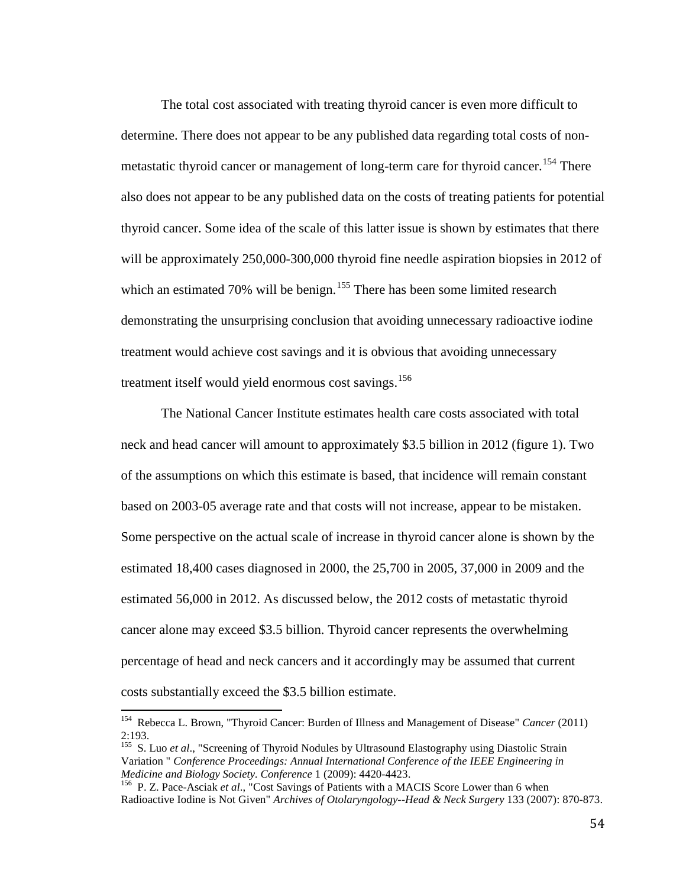The total cost associated with treating thyroid cancer is even more difficult to determine. There does not appear to be any published data regarding total costs of non-metastatic thyroid cancer or management of long-term care for thyroid cancer.<sup>[154](#page-60-0)</sup> There also does not appear to be any published data on the costs of treating patients for potential thyroid cancer. Some idea of the scale of this latter issue is shown by estimates that there will be approximately 250,000-300,000 thyroid fine needle aspiration biopsies in 2012 of which an estimated 70% will be benign.<sup>[155](#page-60-1)</sup> There has been some limited research demonstrating the unsurprising conclusion that avoiding unnecessary radioactive iodine treatment would achieve cost savings and it is obvious that avoiding unnecessary treatment itself would yield enormous cost savings.<sup>[156](#page-60-2)</sup>

The National Cancer Institute estimates health care costs associated with total neck and head cancer will amount to approximately \$3.5 billion in 2012 (figure 1). Two of the assumptions on which this estimate is based, that incidence will remain constant based on 2003-05 average rate and that costs will not increase, appear to be mistaken. Some perspective on the actual scale of increase in thyroid cancer alone is shown by the estimated 18,400 cases diagnosed in 2000, the 25,700 in 2005, 37,000 in 2009 and the estimated 56,000 in 2012. As discussed below, the 2012 costs of metastatic thyroid cancer alone may exceed \$3.5 billion. Thyroid cancer represents the overwhelming percentage of head and neck cancers and it accordingly may be assumed that current costs substantially exceed the \$3.5 billion estimate.

<span id="page-60-0"></span>154 Rebecca L. Brown, "Thyroid Cancer: Burden of Illness and Management of Disease" *Cancer* (2011) 2:193.

<span id="page-60-1"></span><sup>&</sup>lt;sup>155</sup> S. Luo *et al.*, "Screening of Thyroid Nodules by Ultrasound Elastography using Diastolic Strain Variation " *Conference Proceedings: Annual International Conference of the IEEE Engineering in* 

<span id="page-60-2"></span><sup>&</sup>lt;sup>156</sup> P. Z. Pace-Asciak *et al.*, "Cost Savings of Patients with a MACIS Score Lower than 6 when Radioactive Iodine is Not Given" *Archives of Otolaryngology--Head & Neck Surgery* 133 (2007): 870-873.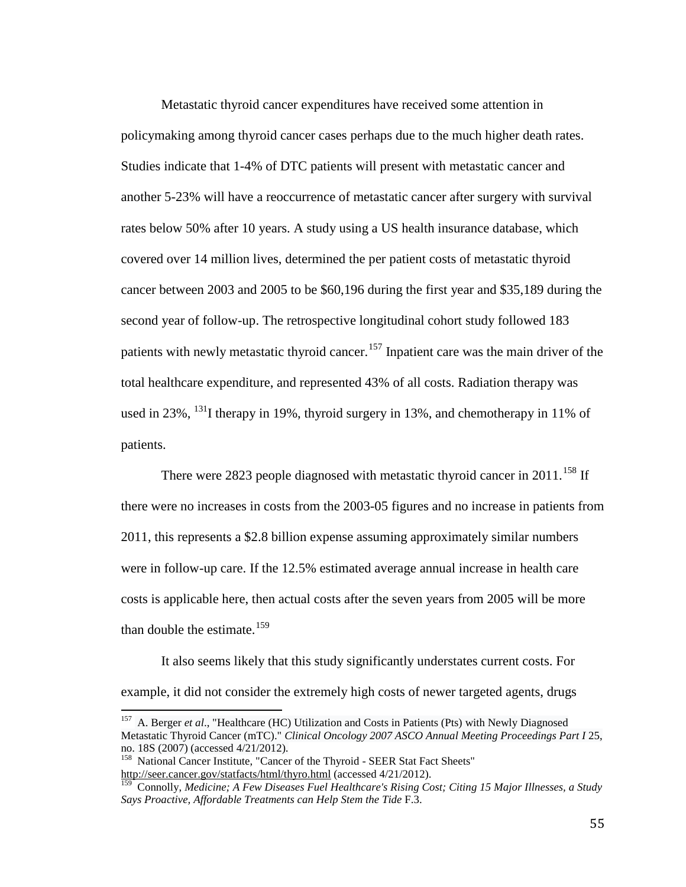Metastatic thyroid cancer expenditures have received some attention in policymaking among thyroid cancer cases perhaps due to the much higher death rates. Studies indicate that 1-4% of DTC patients will present with metastatic cancer and another 5-23% will have a reoccurrence of metastatic cancer after surgery with survival rates below 50% after 10 years. A study using a US health insurance database, which covered over 14 million lives, determined the per patient costs of metastatic thyroid cancer between 2003 and 2005 to be \$60,196 during the first year and \$35,189 during the second year of follow-up. The retrospective longitudinal cohort study followed 183 patients with newly metastatic thyroid cancer.<sup>[157](#page-61-0)</sup> Inpatient care was the main driver of the total healthcare expenditure, and represented 43% of all costs. Radiation therapy was used in 23%, <sup>131</sup>I therapy in 19%, thyroid surgery in 13%, and chemotherapy in 11% of patients.

There were 2823 people diagnosed with metastatic thyroid cancer in 2011.<sup>[158](#page-61-1)</sup> If there were no increases in costs from the 2003-05 figures and no increase in patients from 2011, this represents a \$2.8 billion expense assuming approximately similar numbers were in follow-up care. If the 12.5% estimated average annual increase in health care costs is applicable here, then actual costs after the seven years from 2005 will be more than double the estimate.<sup>159</sup>

It also seems likely that this study significantly understates current costs. For example, it did not consider the extremely high costs of newer targeted agents, drugs

<span id="page-61-0"></span><sup>&</sup>lt;sup>157</sup> A. Berger *et al.*, "Healthcare (HC) Utilization and Costs in Patients (Pts) with Newly Diagnosed Metastatic Thyroid Cancer (mTC)." *Clinical Oncology 2007 ASCO Annual Meeting Proceedings Part I* 25, no. 18S (2007) (accessed 4/21/2012).

<span id="page-61-1"></span><sup>&</sup>lt;sup>158</sup> National Cancer Institute, "Cancer of the Thyroid - SEER Stat Fact Sheets" <http://seer.cancer.gov/statfacts/html/thyro.html> (accessed 4/21/2012).

<span id="page-61-2"></span><sup>159</sup> Connolly, *Medicine; A Few Diseases Fuel Healthcare's Rising Cost; Citing 15 Major Illnesses, a Study Says Proactive, Affordable Treatments can Help Stem the Tide* F.3.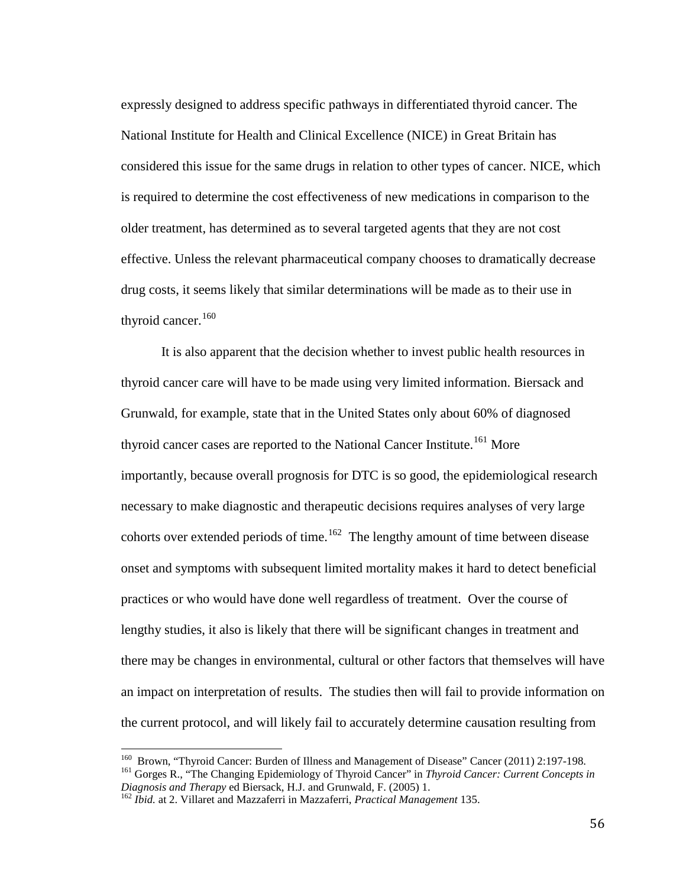expressly designed to address specific pathways in differentiated thyroid cancer. The National Institute for Health and Clinical Excellence (NICE) in Great Britain has considered this issue for the same drugs in relation to other types of cancer. NICE, which is required to determine the cost effectiveness of new medications in comparison to the older treatment, has determined as to several targeted agents that they are not cost effective. Unless the relevant pharmaceutical company chooses to dramatically decrease drug costs, it seems likely that similar determinations will be made as to their use in thyroid cancer.  $160$ 

It is also apparent that the decision whether to invest public health resources in thyroid cancer care will have to be made using very limited information. Biersack and Grunwald, for example, state that in the United States only about 60% of diagnosed thyroid cancer cases are reported to the National Cancer Institute.<sup>[161](#page-62-1)</sup> More importantly, because overall prognosis for DTC is so good, the epidemiological research necessary to make diagnostic and therapeutic decisions requires analyses of very large cohorts over extended periods of time.<sup>[162](#page-62-2)</sup> The lengthy amount of time between disease onset and symptoms with subsequent limited mortality makes it hard to detect beneficial practices or who would have done well regardless of treatment. Over the course of lengthy studies, it also is likely that there will be significant changes in treatment and there may be changes in environmental, cultural or other factors that themselves will have an impact on interpretation of results. The studies then will fail to provide information on the current protocol, and will likely fail to accurately determine causation resulting from

<span id="page-62-1"></span><span id="page-62-0"></span><sup>160</sup> Brown, "Thyroid Cancer: Burden of Illness and Management of Disease" Cancer (2011) 2:197-198.<br><sup>161</sup> Gorges R., "The Changing Epidemiology of Thyroid Cancer" in *Thyroid Cancer: Current Concepts in Diagnosis and Thera* 

<span id="page-62-2"></span><sup>&</sup>lt;sup>162</sup> *Ibid.* at 2. Villaret and Mazzaferri in Mazzaferri, *Practical Management* 135.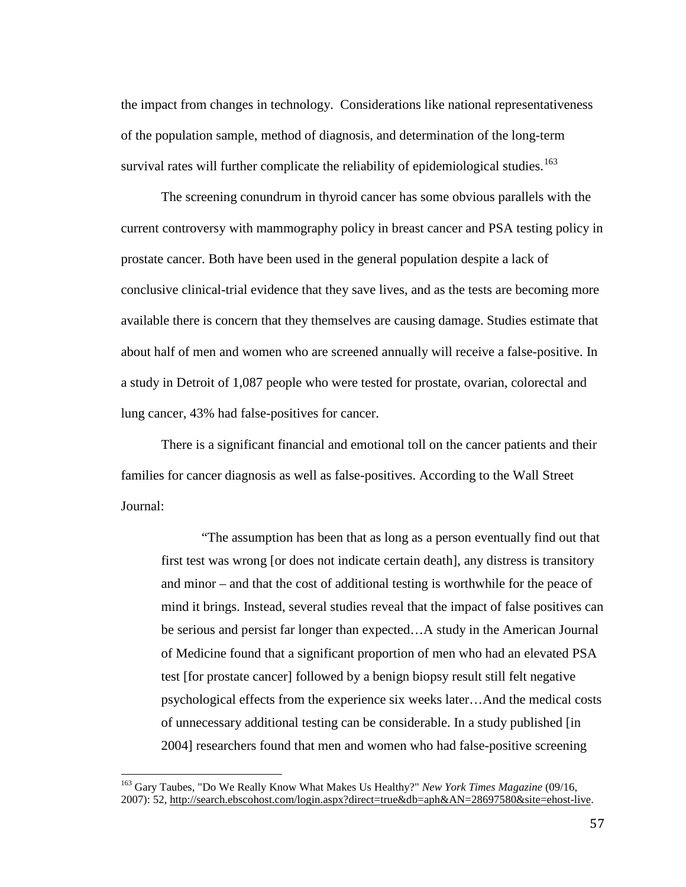the impact from changes in technology. Considerations like national representativeness of the population sample, method of diagnosis, and determination of the long-term survival rates will further complicate the reliability of epidemiological studies.<sup>[163](#page-63-0)</sup>

The screening conundrum in thyroid cancer has some obvious parallels with the current controversy with mammography policy in breast cancer and PSA testing policy in prostate cancer. Both have been used in the general population despite a lack of conclusive clinical-trial evidence that they save lives, and as the tests are becoming more available there is concern that they themselves are causing damage. Studies estimate that about half of men and women who are screened annually will receive a false-positive. In a study in Detroit of 1,087 people who were tested for prostate, ovarian, colorectal and lung cancer, 43% had false-positives for cancer.

There is a significant financial and emotional toll on the cancer patients and their families for cancer diagnosis as well as false-positives. According to the Wall Street Journal:

"The assumption has been that as long as a person eventually find out that first test was wrong [or does not indicate certain death], any distress is transitory and minor – and that the cost of additional testing is worthwhile for the peace of mind it brings. Instead, several studies reveal that the impact of false positives can be serious and persist far longer than expected…A study in the American Journal of Medicine found that a significant proportion of men who had an elevated PSA test [for prostate cancer] followed by a benign biopsy result still felt negative psychological effects from the experience six weeks later…And the medical costs of unnecessary additional testing can be considerable. In a study published [in 2004] researchers found that men and women who had false-positive screening

<span id="page-63-0"></span><sup>163</sup> Gary Taubes, "Do We Really Know What Makes Us Healthy?" *New York Times Magazine* (09/16, 2007): 52[, http://search.ebscohost.com/login.aspx?direct=true&db=aph&AN=28697580&site=ehost-live.](http://search.ebscohost.com/login.aspx?direct=true&db=aph&AN=28697580&site=ehost-live)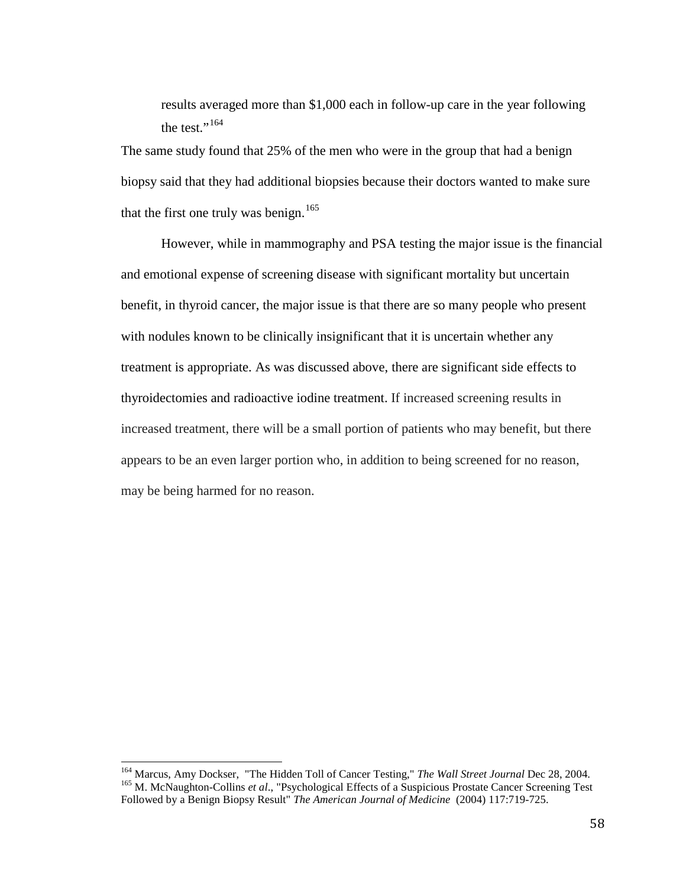results averaged more than \$1,000 each in follow-up care in the year following the test."<sup>[164](#page-64-0)</sup>

The same study found that 25% of the men who were in the group that had a benign biopsy said that they had additional biopsies because their doctors wanted to make sure that the first one truly was benign.<sup>[165](#page-64-1)</sup>

However, while in mammography and PSA testing the major issue is the financial and emotional expense of screening disease with significant mortality but uncertain benefit, in thyroid cancer, the major issue is that there are so many people who present with nodules known to be clinically insignificant that it is uncertain whether any treatment is appropriate. As was discussed above, there are significant side effects to thyroidectomies and radioactive iodine treatment. If increased screening results in increased treatment, there will be a small portion of patients who may benefit, but there appears to be an even larger portion who, in addition to being screened for no reason, may be being harmed for no reason.

<span id="page-64-1"></span><span id="page-64-0"></span><sup>&</sup>lt;sup>164</sup> Marcus, Amy Dockser, "The Hidden Toll of Cancer Testing," *The Wall Street Journal* Dec 28, 2004.<br><sup>165</sup> M. McNaughton-Collins *et al.*, "Psychological Effects of a Suspicious Prostate Cancer Screening Test Followed by a Benign Biopsy Result" *The American Journal of Medicine* (2004) 117:719-725.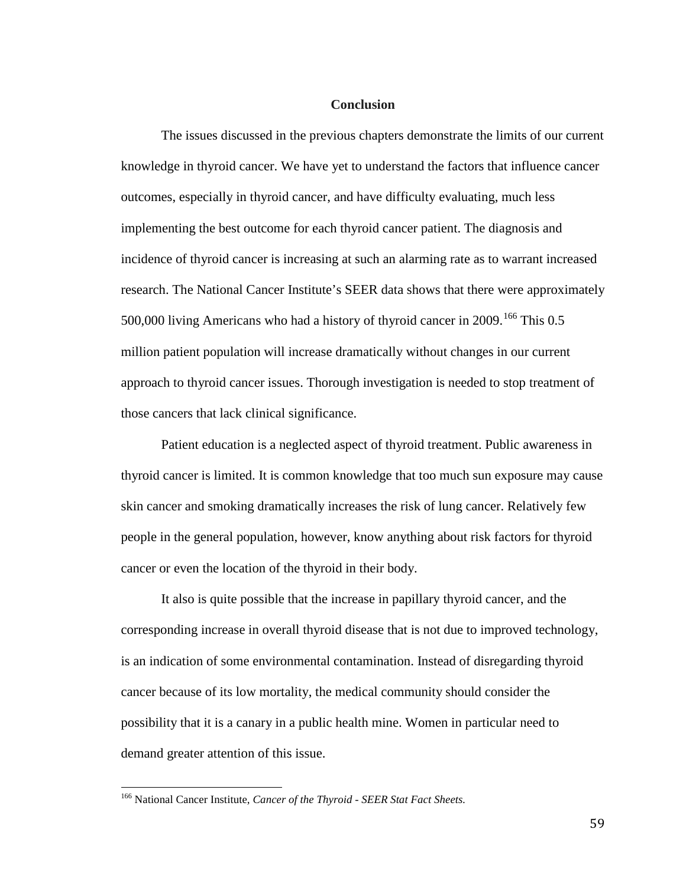### **Conclusion**

The issues discussed in the previous chapters demonstrate the limits of our current knowledge in thyroid cancer. We have yet to understand the factors that influence cancer outcomes, especially in thyroid cancer, and have difficulty evaluating, much less implementing the best outcome for each thyroid cancer patient. The diagnosis and incidence of thyroid cancer is increasing at such an alarming rate as to warrant increased research. The National Cancer Institute's SEER data shows that there were approximately 500,000 living Americans who had a history of thyroid cancer in 2009.<sup>[166](#page-65-0)</sup> This 0.5 million patient population will increase dramatically without changes in our current approach to thyroid cancer issues. Thorough investigation is needed to stop treatment of those cancers that lack clinical significance.

Patient education is a neglected aspect of thyroid treatment. Public awareness in thyroid cancer is limited. It is common knowledge that too much sun exposure may cause skin cancer and smoking dramatically increases the risk of lung cancer. Relatively few people in the general population, however, know anything about risk factors for thyroid cancer or even the location of the thyroid in their body.

It also is quite possible that the increase in papillary thyroid cancer, and the corresponding increase in overall thyroid disease that is not due to improved technology, is an indication of some environmental contamination. Instead of disregarding thyroid cancer because of its low mortality, the medical community should consider the possibility that it is a canary in a public health mine. Women in particular need to demand greater attention of this issue.

<span id="page-65-0"></span><sup>166</sup> National Cancer Institute, *Cancer of the Thyroid - SEER Stat Fact Sheets.*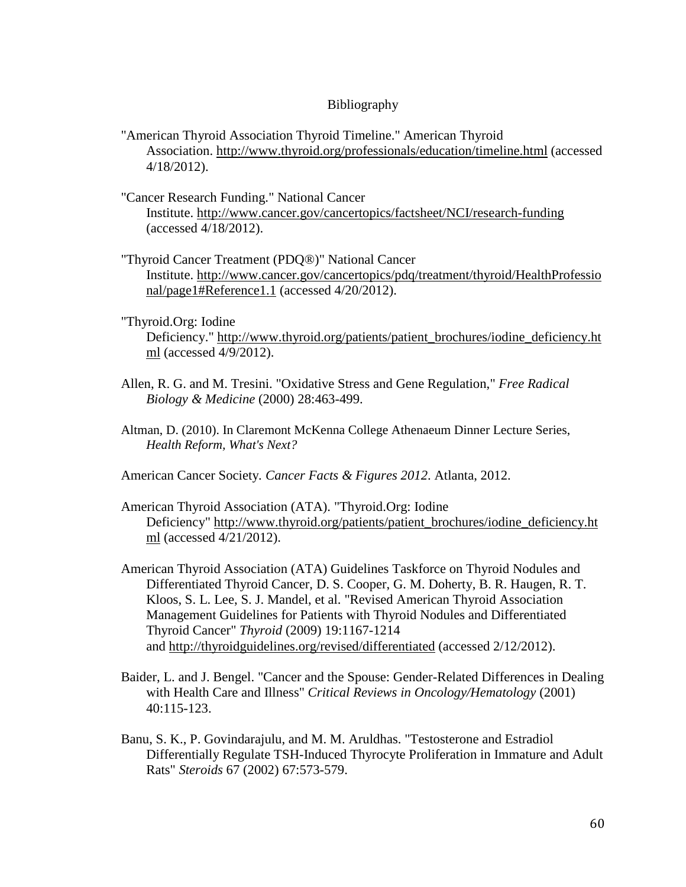### Bibliography

- "American Thyroid Association Thyroid Timeline." American Thyroid Association.<http://www.thyroid.org/professionals/education/timeline.html> (accessed 4/18/2012).
- "Cancer Research Funding." National Cancer Institute.<http://www.cancer.gov/cancertopics/factsheet/NCI/research-funding> (accessed 4/18/2012).
- "Thyroid Cancer Treatment (PDQ®)" National Cancer Institute. [http://www.cancer.gov/cancertopics/pdq/treatment/thyroid/HealthProfessio](http://www.cancer.gov/cancertopics/pdq/treatment/thyroid/HealthProfessional/page1#Reference1.1) [nal/page1#Reference1.1](http://www.cancer.gov/cancertopics/pdq/treatment/thyroid/HealthProfessional/page1#Reference1.1) (accessed 4/20/2012).
- "Thyroid.Org: Iodine Deficiency." [http://www.thyroid.org/patients/patient\\_brochures/iodine\\_deficiency.ht](http://www.thyroid.org/patients/patient_brochures/iodine_deficiency.html) [ml](http://www.thyroid.org/patients/patient_brochures/iodine_deficiency.html) (accessed 4/9/2012).
- Allen, R. G. and M. Tresini. "Oxidative Stress and Gene Regulation," *Free Radical Biology & Medicine* (2000) 28:463-499.
- Altman, D. (2010). In Claremont McKenna College Athenaeum Dinner Lecture Series, *Health Reform, What's Next?*

American Cancer Society*. Cancer Facts & Figures 2012*. Atlanta, 2012.

- American Thyroid Association (ATA). "Thyroid.Org: Iodine Deficiency" [http://www.thyroid.org/patients/patient\\_brochures/iodine\\_deficiency.ht](http://www.thyroid.org/patients/patient_brochures/iodine_deficiency.html) [ml](http://www.thyroid.org/patients/patient_brochures/iodine_deficiency.html) (accessed 4/21/2012).
- American Thyroid Association (ATA) Guidelines Taskforce on Thyroid Nodules and Differentiated Thyroid Cancer, D. S. Cooper, G. M. Doherty, B. R. Haugen, R. T. Kloos, S. L. Lee, S. J. Mandel, et al. "Revised American Thyroid Association Management Guidelines for Patients with Thyroid Nodules and Differentiated Thyroid Cancer" *Thyroid* (2009) 19:1167-1214 and<http://thyroidguidelines.org/revised/differentiated> (accessed 2/12/2012).
- Baider, L. and J. Bengel. "Cancer and the Spouse: Gender-Related Differences in Dealing with Health Care and Illness" *Critical Reviews in Oncology/Hematology* (2001) 40:115-123.
- Banu, S. K., P. Govindarajulu, and M. M. Aruldhas. "Testosterone and Estradiol Differentially Regulate TSH-Induced Thyrocyte Proliferation in Immature and Adult Rats" *Steroids* 67 (2002) 67:573-579.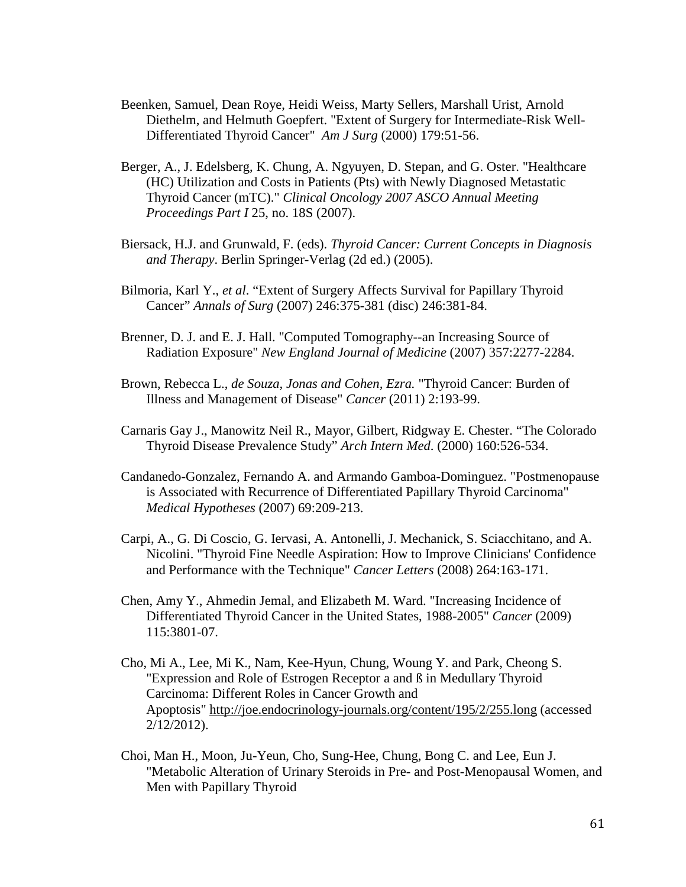- Beenken, Samuel, Dean Roye, Heidi Weiss, Marty Sellers, Marshall Urist, Arnold Diethelm, and Helmuth Goepfert. "Extent of Surgery for Intermediate-Risk Well-Differentiated Thyroid Cancer" *Am J Surg* (2000) 179:51-56.
- Berger, A., J. Edelsberg, K. Chung, A. Ngyuyen, D. Stepan, and G. Oster. "Healthcare (HC) Utilization and Costs in Patients (Pts) with Newly Diagnosed Metastatic Thyroid Cancer (mTC)." *Clinical Oncology 2007 ASCO Annual Meeting Proceedings Part I* 25, no. 18S (2007).
- Biersack, H.J. and Grunwald, F. (eds). *Thyroid Cancer: Current Concepts in Diagnosis and Therapy*. Berlin Springer-Verlag (2d ed.) (2005).
- Bilmoria, Karl Y., *et al*. "Extent of Surgery Affects Survival for Papillary Thyroid Cancer" *Annals of Surg* (2007) 246:375-381 (disc) 246:381-84.
- Brenner, D. J. and E. J. Hall. "Computed Tomography--an Increasing Source of Radiation Exposure" *New England Journal of Medicine* (2007) 357:2277-2284.
- Brown, Rebecca L., *de Souza, Jonas and Cohen, Ezra.* "Thyroid Cancer: Burden of Illness and Management of Disease" *Cancer* (2011) 2:193-99.
- Carnaris Gay J., Manowitz Neil R., Mayor, Gilbert, Ridgway E. Chester. "The Colorado Thyroid Disease Prevalence Study" *Arch Intern Med*. (2000) 160:526-534.
- Candanedo-Gonzalez, Fernando A. and Armando Gamboa-Dominguez. "Postmenopause is Associated with Recurrence of Differentiated Papillary Thyroid Carcinoma" *Medical Hypotheses* (2007) 69:209-213.
- Carpi, A., G. Di Coscio, G. Iervasi, A. Antonelli, J. Mechanick, S. Sciacchitano, and A. Nicolini. "Thyroid Fine Needle Aspiration: How to Improve Clinicians' Confidence and Performance with the Technique" *Cancer Letters* (2008) 264:163-171.
- Chen, Amy Y., Ahmedin Jemal, and Elizabeth M. Ward. "Increasing Incidence of Differentiated Thyroid Cancer in the United States, 1988-2005" *Cancer* (2009) 115:3801-07.
- Cho, Mi A., Lee, Mi K., Nam, Kee-Hyun, Chung, Woung Y. and Park, Cheong S. "Expression and Role of Estrogen Receptor a and ß in Medullary Thyroid Carcinoma: Different Roles in Cancer Growth and Apoptosis"<http://joe.endocrinology-journals.org/content/195/2/255.long> (accessed 2/12/2012).
- Choi, Man H., Moon, Ju-Yeun, Cho, Sung-Hee, Chung, Bong C. and Lee, Eun J. "Metabolic Alteration of Urinary Steroids in Pre- and Post-Menopausal Women, and Men with Papillary Thyroid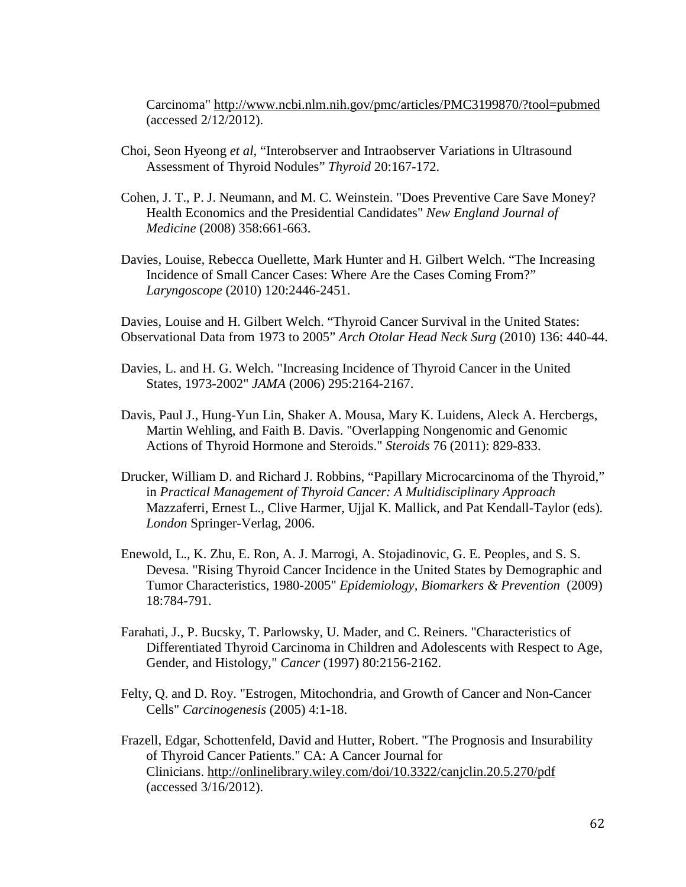Carcinoma"<http://www.ncbi.nlm.nih.gov/pmc/articles/PMC3199870/?tool=pubmed> (accessed 2/12/2012).

- Choi, Seon Hyeong *et al*, "Interobserver and Intraobserver Variations in Ultrasound Assessment of Thyroid Nodules" *Thyroid* 20:167-172.
- Cohen, J. T., P. J. Neumann, and M. C. Weinstein. "Does Preventive Care Save Money? Health Economics and the Presidential Candidates" *New England Journal of Medicine* (2008) 358:661-663.
- Davies, Louise, Rebecca Ouellette, Mark Hunter and H. Gilbert Welch. "The Increasing Incidence of Small Cancer Cases: Where Are the Cases Coming From?" *Laryngoscope* (2010) 120:2446-2451.

Davies, Louise and H. Gilbert Welch. "Thyroid Cancer Survival in the United States: Observational Data from 1973 to 2005" *Arch Otolar Head Neck Surg* (2010) 136: 440-44.

- Davies, L. and H. G. Welch. "Increasing Incidence of Thyroid Cancer in the United States, 1973-2002" *JAMA* (2006) 295:2164-2167.
- Davis, Paul J., Hung-Yun Lin, Shaker A. Mousa, Mary K. Luidens, Aleck A. Hercbergs, Martin Wehling, and Faith B. Davis. "Overlapping Nongenomic and Genomic Actions of Thyroid Hormone and Steroids." *Steroids* 76 (2011): 829-833.
- Drucker, William D. and Richard J. Robbins, "Papillary Microcarcinoma of the Thyroid," in *Practical Management of Thyroid Cancer: A Multidisciplinary Approach* Mazzaferri, Ernest L., Clive Harmer, Ujjal K. Mallick, and Pat Kendall-Taylor (eds)*. London* Springer-Verlag, 2006.
- Enewold, L., K. Zhu, E. Ron, A. J. Marrogi, A. Stojadinovic, G. E. Peoples, and S. S. Devesa. "Rising Thyroid Cancer Incidence in the United States by Demographic and Tumor Characteristics, 1980-2005" *Epidemiology, Biomarkers & Prevention* (2009) 18:784-791.
- Farahati, J., P. Bucsky, T. Parlowsky, U. Mader, and C. Reiners. "Characteristics of Differentiated Thyroid Carcinoma in Children and Adolescents with Respect to Age, Gender, and Histology," *Cancer* (1997) 80:2156-2162.
- Felty, Q. and D. Roy. "Estrogen, Mitochondria, and Growth of Cancer and Non-Cancer Cells" *Carcinogenesis* (2005) 4:1-18.
- Frazell, Edgar, Schottenfeld, David and Hutter, Robert. "The Prognosis and Insurability of Thyroid Cancer Patients." CA: A Cancer Journal for Clinicians.<http://onlinelibrary.wiley.com/doi/10.3322/canjclin.20.5.270/pdf> (accessed 3/16/2012).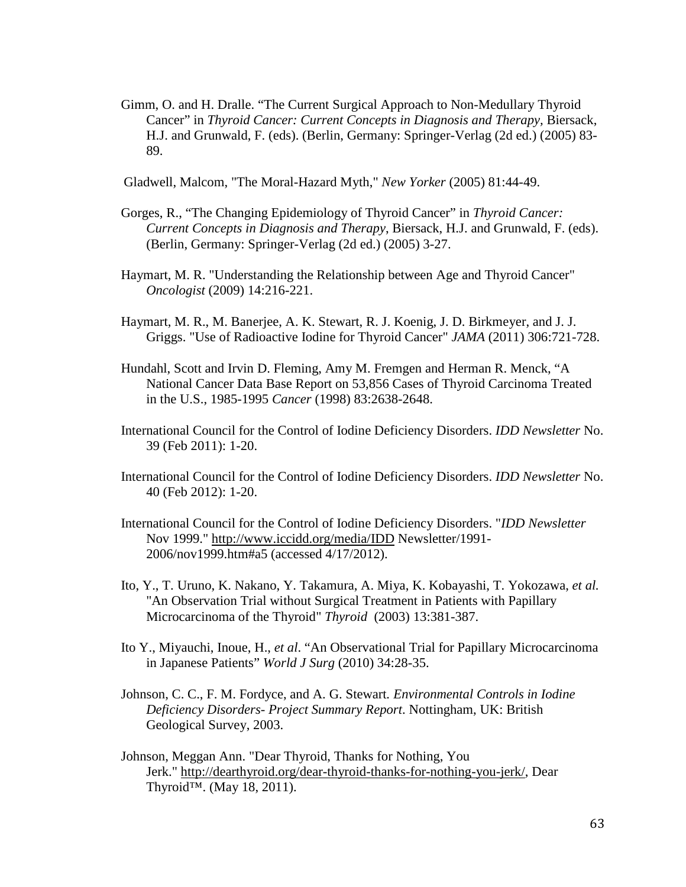Gimm, O. and H. Dralle. "The Current Surgical Approach to Non-Medullary Thyroid Cancer" in *Thyroid Cancer: Current Concepts in Diagnosis and Therapy,* Biersack, H.J. and Grunwald, F. (eds). (Berlin, Germany: Springer-Verlag (2d ed.) (2005) 83- 89.

Gladwell, Malcom, "The Moral-Hazard Myth," *New Yorker* (2005) 81:44-49.

- Gorges, R., "The Changing Epidemiology of Thyroid Cancer" in *Thyroid Cancer*: *Current Concepts in Diagnosis and Therapy*, Biersack, H.J. and Grunwald, F. (eds). (Berlin, Germany: Springer-Verlag (2d ed.) (2005) 3-27.
- Haymart, M. R. "Understanding the Relationship between Age and Thyroid Cancer" *Oncologist* (2009) 14:216-221.
- Haymart, M. R., M. Banerjee, A. K. Stewart, R. J. Koenig, J. D. Birkmeyer, and J. J. Griggs. "Use of Radioactive Iodine for Thyroid Cancer" *JAMA* (2011) 306:721-728.
- Hundahl, Scott and Irvin D. Fleming, Amy M. Fremgen and Herman R. Menck, "A National Cancer Data Base Report on 53,856 Cases of Thyroid Carcinoma Treated in the U.S., 1985-1995 *Cancer* (1998) 83:2638-2648.
- International Council for the Control of Iodine Deficiency Disorders. *IDD Newsletter* No. 39 (Feb 2011): 1-20.
- International Council for the Control of Iodine Deficiency Disorders. *IDD Newsletter* No. 40 (Feb 2012): 1-20.
- International Council for the Control of Iodine Deficiency Disorders. "*IDD Newsletter* Nov 1999."<http://www.iccidd.org/media/IDD> Newsletter/1991- 2006/nov1999.htm#a5 (accessed 4/17/2012).
- Ito, Y., T. Uruno, K. Nakano, Y. Takamura, A. Miya, K. Kobayashi, T. Yokozawa, *et al.* "An Observation Trial without Surgical Treatment in Patients with Papillary Microcarcinoma of the Thyroid" *Thyroid* (2003) 13:381-387.
- Ito Y., Miyauchi, Inoue, H., *et al*. "An Observational Trial for Papillary Microcarcinoma in Japanese Patients" *World J Surg* (2010) 34:28-35.
- Johnson, C. C., F. M. Fordyce, and A. G. Stewart*. Environmental Controls in Iodine Deficiency Disorders- Project Summary Report*. Nottingham, UK: British Geological Survey, 2003.
- Johnson, Meggan Ann. "Dear Thyroid, Thanks for Nothing, You Jerk." [http://dearthyroid.org/dear-thyroid-thanks-for-nothing-you-jerk/,](http://dearthyroid.org/dear-thyroid-thanks-for-nothing-you-jerk/) Dear Thyroid<sup>™</sup>. (May 18, 2011).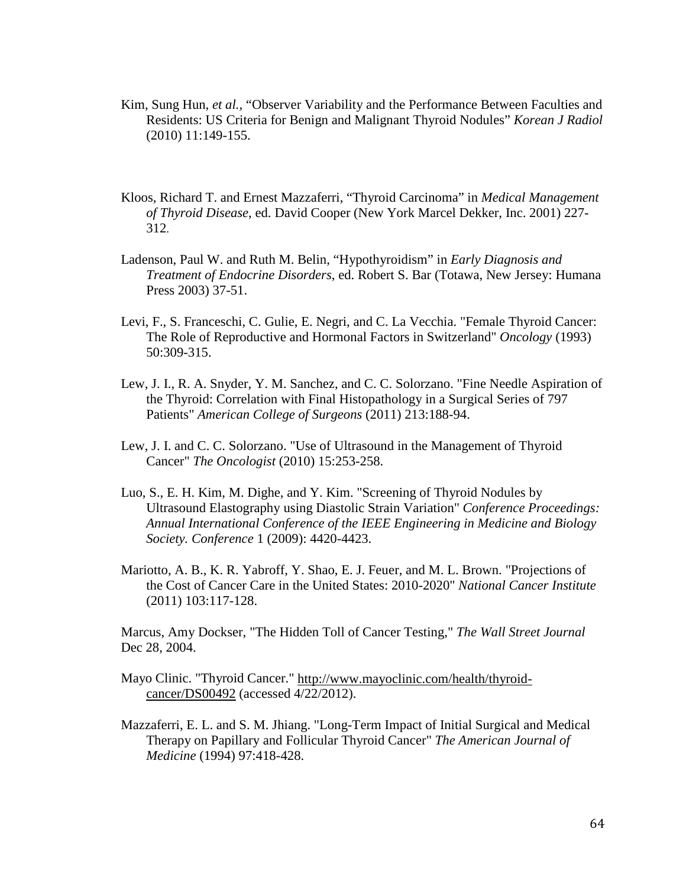- Kim, Sung Hun, *et al.,* "Observer Variability and the Performance Between Faculties and Residents: US Criteria for Benign and Malignant Thyroid Nodules" *Korean J Radiol* (2010) 11:149-155.
- Kloos, Richard T. and Ernest Mazzaferri, "Thyroid Carcinoma" in *Medical Management of Thyroid Disease*, ed. David Cooper (New York Marcel Dekker, Inc. 2001) 227- 312.
- Ladenson, Paul W. and Ruth M. Belin, "Hypothyroidism" in *Early Diagnosis and Treatment of Endocrine Disorders*, ed. Robert S. Bar (Totawa, New Jersey: Humana Press 2003) 37-51.
- Levi, F., S. Franceschi, C. Gulie, E. Negri, and C. La Vecchia. "Female Thyroid Cancer: The Role of Reproductive and Hormonal Factors in Switzerland" *Oncology* (1993) 50:309-315.
- Lew, J. I., R. A. Snyder, Y. M. Sanchez, and C. C. Solorzano. "Fine Needle Aspiration of the Thyroid: Correlation with Final Histopathology in a Surgical Series of 797 Patients" *American College of Surgeons* (2011) 213:188-94.
- Lew, J. I. and C. C. Solorzano. "Use of Ultrasound in the Management of Thyroid Cancer" *The Oncologist* (2010) 15:253-258.
- Luo, S., E. H. Kim, M. Dighe, and Y. Kim. "Screening of Thyroid Nodules by Ultrasound Elastography using Diastolic Strain Variation" *Conference Proceedings: Annual International Conference of the IEEE Engineering in Medicine and Biology Society. Conference* 1 (2009): 4420-4423.
- Mariotto, A. B., K. R. Yabroff, Y. Shao, E. J. Feuer, and M. L. Brown. "Projections of the Cost of Cancer Care in the United States: 2010-2020" *National Cancer Institute* (2011) 103:117-128.

Marcus, Amy Dockser, "The Hidden Toll of Cancer Testing," *The Wall Street Journal* Dec 28, 2004.

- Mayo Clinic. "Thyroid Cancer." [http://www.mayoclinic.com/health/thyroid](http://www.mayoclinic.com/health/thyroid-cancer/DS00492)[cancer/DS00492](http://www.mayoclinic.com/health/thyroid-cancer/DS00492) (accessed 4/22/2012).
- Mazzaferri, E. L. and S. M. Jhiang. "Long-Term Impact of Initial Surgical and Medical Therapy on Papillary and Follicular Thyroid Cancer" *The American Journal of Medicine* (1994) 97:418-428.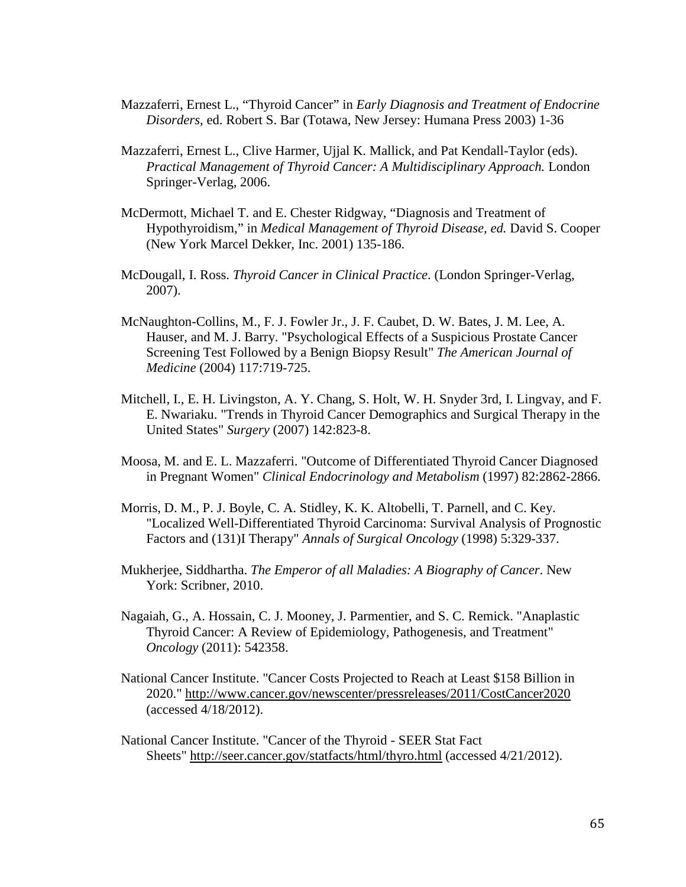- Mazzaferri, Ernest L., "Thyroid Cancer" in *Early Diagnosis and Treatment of Endocrine Disorders*, ed. Robert S. Bar (Totawa, New Jersey: Humana Press 2003) 1-36
- Mazzaferri, Ernest L., Clive Harmer, Ujjal K. Mallick, and Pat Kendall-Taylor (eds). *Practical Management of Thyroid Cancer: A Multidisciplinary Approach.* London Springer-Verlag, 2006.
- McDermott, Michael T. and E. Chester Ridgway, "Diagnosis and Treatment of Hypothyroidism," in *Medical Management of Thyroid Disease, ed.* David S. Cooper (New York Marcel Dekker, Inc. 2001) 135-186.
- McDougall, I. Ross. *Thyroid Cancer in Clinical Practice*. (London Springer-Verlag, 2007).
- McNaughton-Collins, M., F. J. Fowler Jr., J. F. Caubet, D. W. Bates, J. M. Lee, A. Hauser, and M. J. Barry. "Psychological Effects of a Suspicious Prostate Cancer Screening Test Followed by a Benign Biopsy Result" *The American Journal of Medicine* (2004) 117:719-725.
- Mitchell, I., E. H. Livingston, A. Y. Chang, S. Holt, W. H. Snyder 3rd, I. Lingvay, and F. E. Nwariaku. "Trends in Thyroid Cancer Demographics and Surgical Therapy in the United States" *Surgery* (2007) 142:823-8.
- Moosa, M. and E. L. Mazzaferri. "Outcome of Differentiated Thyroid Cancer Diagnosed in Pregnant Women" *Clinical Endocrinology and Metabolism* (1997) 82:2862-2866.
- Morris, D. M., P. J. Boyle, C. A. Stidley, K. K. Altobelli, T. Parnell, and C. Key. "Localized Well-Differentiated Thyroid Carcinoma: Survival Analysis of Prognostic Factors and (131)I Therapy" *Annals of Surgical Oncology* (1998) 5:329-337.
- Mukherjee, Siddhartha. *The Emperor of all Maladies: A Biography of Cancer*. New York: Scribner, 2010.
- Nagaiah, G., A. Hossain, C. J. Mooney, J. Parmentier, and S. C. Remick. "Anaplastic Thyroid Cancer: A Review of Epidemiology, Pathogenesis, and Treatment" *Oncology* (2011): 542358.
- National Cancer Institute. "Cancer Costs Projected to Reach at Least \$158 Billion in 2020."<http://www.cancer.gov/newscenter/pressreleases/2011/CostCancer2020> (accessed 4/18/2012).
- National Cancer Institute. "Cancer of the Thyroid SEER Stat Fact Sheets"<http://seer.cancer.gov/statfacts/html/thyro.html> (accessed 4/21/2012).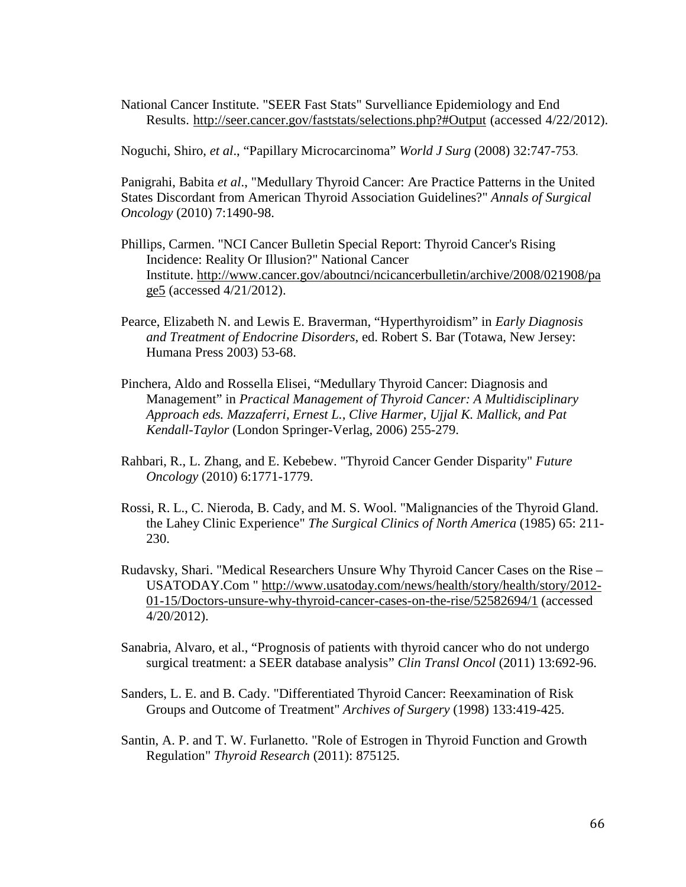National Cancer Institute. "SEER Fast Stats" Survelliance Epidemiology and End Results.<http://seer.cancer.gov/faststats/selections.php?#Output> (accessed 4/22/2012).

Noguchi, Shiro, *et al*., "Papillary Microcarcinoma" *World J Surg* (2008) 32:747-753.

Panigrahi, Babita *et al*., "Medullary Thyroid Cancer: Are Practice Patterns in the United States Discordant from American Thyroid Association Guidelines?" *Annals of Surgical Oncology* (2010) 7:1490-98.

- Phillips, Carmen. "NCI Cancer Bulletin Special Report: Thyroid Cancer's Rising Incidence: Reality Or Illusion?" National Cancer Institute. [http://www.cancer.gov/aboutnci/ncicancerbulletin/archive/2008/021908/pa](http://www.cancer.gov/aboutnci/ncicancerbulletin/archive/2008/021908/page5) [ge5](http://www.cancer.gov/aboutnci/ncicancerbulletin/archive/2008/021908/page5) (accessed 4/21/2012).
- Pearce, Elizabeth N. and Lewis E. Braverman, "Hyperthyroidism" in *Early Diagnosis and Treatment of Endocrine Disorders*, ed. Robert S. Bar (Totawa, New Jersey: Humana Press 2003) 53-68.
- Pinchera, Aldo and Rossella Elisei, "Medullary Thyroid Cancer: Diagnosis and Management" in *Practical Management of Thyroid Cancer: A Multidisciplinary Approach eds. Mazzaferri, Ernest L., Clive Harmer, Ujjal K. Mallick, and Pat Kendall-Taylor* (London Springer-Verlag, 2006) 255-279.
- Rahbari, R., L. Zhang, and E. Kebebew. "Thyroid Cancer Gender Disparity" *Future Oncology* (2010) 6:1771-1779.
- Rossi, R. L., C. Nieroda, B. Cady, and M. S. Wool. "Malignancies of the Thyroid Gland. the Lahey Clinic Experience" *The Surgical Clinics of North America* (1985) 65: 211- 230.
- Rudavsky, Shari. "Medical Researchers Unsure Why Thyroid Cancer Cases on the Rise USATODAY.Com " [http://www.usatoday.com/news/health/story/health/story/2012-](http://www.usatoday.com/news/health/story/health/story/2012-01-15/Doctors-unsure-why-thyroid-cancer-cases-on-the-rise/52582694/1) [01-15/Doctors-unsure-why-thyroid-cancer-cases-on-the-rise/52582694/1](http://www.usatoday.com/news/health/story/health/story/2012-01-15/Doctors-unsure-why-thyroid-cancer-cases-on-the-rise/52582694/1) (accessed 4/20/2012).
- Sanabria, Alvaro, et al., "Prognosis of patients with thyroid cancer who do not undergo surgical treatment: a SEER database analysis" *Clin Transl Oncol* (2011) 13:692-96.
- Sanders, L. E. and B. Cady. "Differentiated Thyroid Cancer: Reexamination of Risk Groups and Outcome of Treatment" *Archives of Surgery* (1998) 133:419-425.
- Santin, A. P. and T. W. Furlanetto. "Role of Estrogen in Thyroid Function and Growth Regulation" *Thyroid Research* (2011): 875125.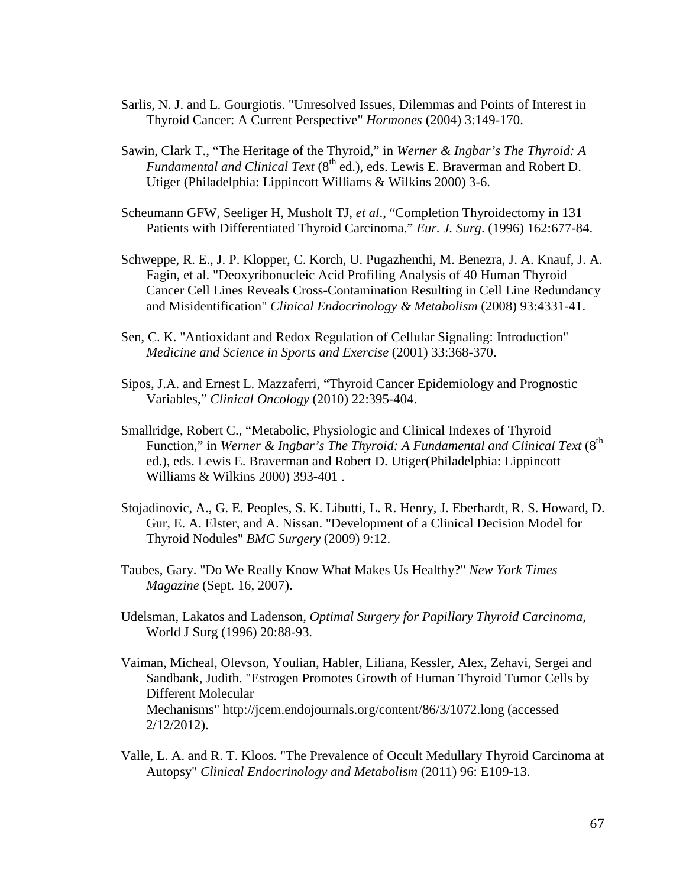- Sarlis, N. J. and L. Gourgiotis. "Unresolved Issues, Dilemmas and Points of Interest in Thyroid Cancer: A Current Perspective" *Hormones* (2004) 3:149-170.
- Sawin, Clark T., "The Heritage of the Thyroid," in *Werner & Ingbar's The Thyroid: A Fundamental and Clinical Text* (8<sup>th</sup> ed.), eds. Lewis E. Braverman and Robert D. Utiger (Philadelphia: Lippincott Williams & Wilkins 2000) 3-6.
- Scheumann GFW, Seeliger H, Musholt TJ, *et al*., "Completion Thyroidectomy in 131 Patients with Differentiated Thyroid Carcinoma." *Eur. J. Surg*. (1996) 162:677-84.
- Schweppe, R. E., J. P. Klopper, C. Korch, U. Pugazhenthi, M. Benezra, J. A. Knauf, J. A. Fagin, et al. "Deoxyribonucleic Acid Profiling Analysis of 40 Human Thyroid Cancer Cell Lines Reveals Cross-Contamination Resulting in Cell Line Redundancy and Misidentification" *Clinical Endocrinology & Metabolism* (2008) 93:4331-41.
- Sen, C. K. "Antioxidant and Redox Regulation of Cellular Signaling: Introduction" *Medicine and Science in Sports and Exercise* (2001) 33:368-370.
- Sipos, J.A. and Ernest L. Mazzaferri, "Thyroid Cancer Epidemiology and Prognostic Variables," *Clinical Oncology* (2010) 22:395-404.
- Smallridge, Robert C., "Metabolic, Physiologic and Clinical Indexes of Thyroid Function," in *Werner & Ingbar's The Thyroid: A Fundamental and Clinical Text* (8<sup>th</sup>) ed.), eds. Lewis E. Braverman and Robert D. Utiger(Philadelphia: Lippincott Williams & Wilkins 2000) 393-401 .
- Stojadinovic, A., G. E. Peoples, S. K. Libutti, L. R. Henry, J. Eberhardt, R. S. Howard, D. Gur, E. A. Elster, and A. Nissan. "Development of a Clinical Decision Model for Thyroid Nodules" *BMC Surgery* (2009) 9:12.
- Taubes, Gary. "Do We Really Know What Makes Us Healthy?" *New York Times Magazine* (Sept. 16, 2007).
- Udelsman, Lakatos and Ladenson, *Optimal Surgery for Papillary Thyroid Carcinoma*, World J Surg (1996) 20:88-93.
- Vaiman, Micheal, Olevson, Youlian, Habler, Liliana, Kessler, Alex, Zehavi, Sergei and Sandbank, Judith. "Estrogen Promotes Growth of Human Thyroid Tumor Cells by Different Molecular Mechanisms"<http://jcem.endojournals.org/content/86/3/1072.long> (accessed 2/12/2012).
- Valle, L. A. and R. T. Kloos. "The Prevalence of Occult Medullary Thyroid Carcinoma at Autopsy" *Clinical Endocrinology and Metabolism* (2011) 96: E109-13.